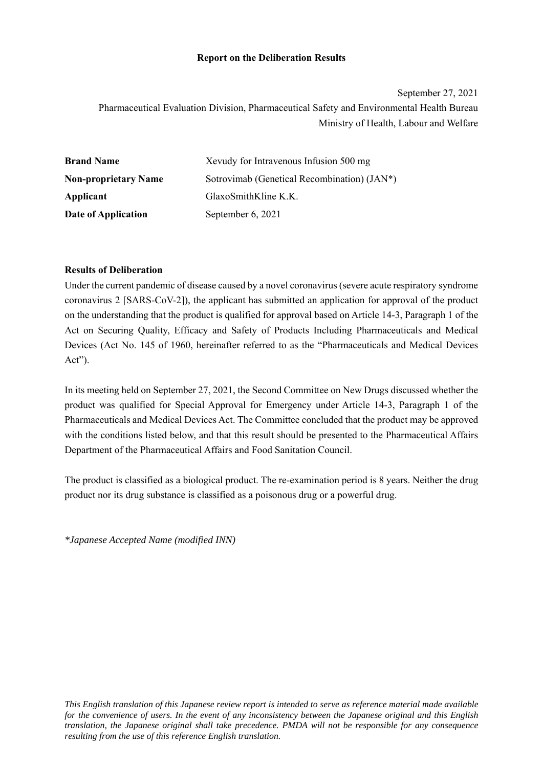### **Report on the Deliberation Results**

September 27, 2021 Pharmaceutical Evaluation Division, Pharmaceutical Safety and Environmental Health Bureau Ministry of Health, Labour and Welfare

| <b>Brand Name</b>           | Xevudy for Intravenous Infusion 500 mg      |
|-----------------------------|---------------------------------------------|
| <b>Non-proprietary Name</b> | Sotrovimab (Genetical Recombination) (JAN*) |
| Applicant                   | GlaxoSmithKline K.K.                        |
| Date of Application         | September 6, 2021                           |

### **Results of Deliberation**

Under the current pandemic of disease caused by a novel coronavirus (severe acute respiratory syndrome coronavirus 2 [SARS-CoV-2]), the applicant has submitted an application for approval of the product on the understanding that the product is qualified for approval based on Article 14-3, Paragraph 1 of the Act on Securing Quality, Efficacy and Safety of Products Including Pharmaceuticals and Medical Devices (Act No. 145 of 1960, hereinafter referred to as the "Pharmaceuticals and Medical Devices Act").

In its meeting held on September 27, 2021, the Second Committee on New Drugs discussed whether the product was qualified for Special Approval for Emergency under Article 14-3, Paragraph 1 of the Pharmaceuticals and Medical Devices Act. The Committee concluded that the product may be approved with the conditions listed below, and that this result should be presented to the Pharmaceutical Affairs Department of the Pharmaceutical Affairs and Food Sanitation Council.

The product is classified as a biological product. The re-examination period is 8 years. Neither the drug product nor its drug substance is classified as a poisonous drug or a powerful drug.

*\*Japanese Accepted Name (modified INN)*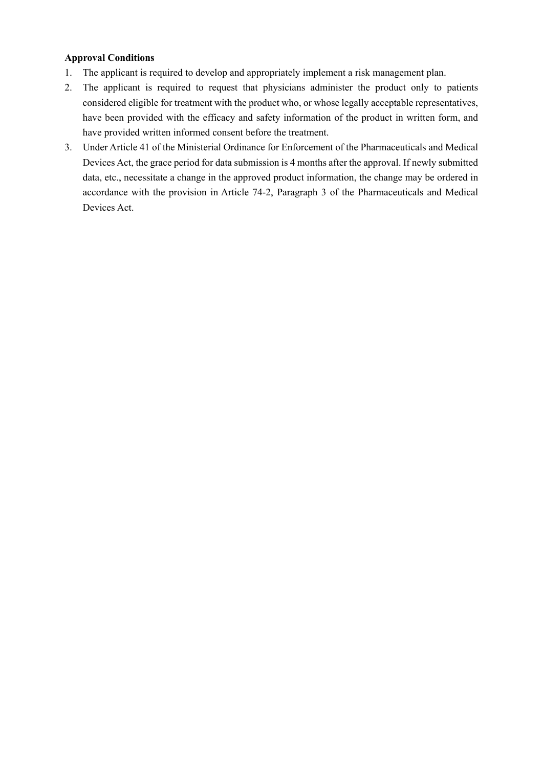## **Approval Conditions**

- 1. The applicant is required to develop and appropriately implement a risk management plan.
- 2. The applicant is required to request that physicians administer the product only to patients considered eligible for treatment with the product who, or whose legally acceptable representatives, have been provided with the efficacy and safety information of the product in written form, and have provided written informed consent before the treatment.
- 3. Under Article 41 of the Ministerial Ordinance for Enforcement of the Pharmaceuticals and Medical Devices Act, the grace period for data submission is 4 months after the approval. If newly submitted data, etc., necessitate a change in the approved product information, the change may be ordered in accordance with the provision in Article 74-2, Paragraph 3 of the Pharmaceuticals and Medical Devices Act.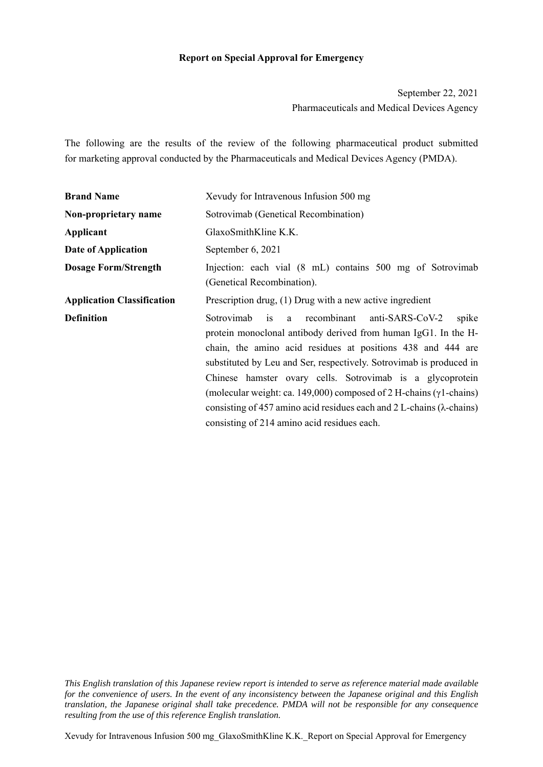### **Report on Special Approval for Emergency**

September 22, 2021 Pharmaceuticals and Medical Devices Agency

The following are the results of the review of the following pharmaceutical product submitted for marketing approval conducted by the Pharmaceuticals and Medical Devices Agency (PMDA).

| <b>Brand Name</b>                 | Xevudy for Intravenous Infusion 500 mg                                                                                                                                                                                                                                                                                                                                                                                                                                                                                                   |
|-----------------------------------|------------------------------------------------------------------------------------------------------------------------------------------------------------------------------------------------------------------------------------------------------------------------------------------------------------------------------------------------------------------------------------------------------------------------------------------------------------------------------------------------------------------------------------------|
| Non-proprietary name              | Sotrovimab (Genetical Recombination)                                                                                                                                                                                                                                                                                                                                                                                                                                                                                                     |
| Applicant                         | GlaxoSmithKline K.K.                                                                                                                                                                                                                                                                                                                                                                                                                                                                                                                     |
| Date of Application               | September 6, 2021                                                                                                                                                                                                                                                                                                                                                                                                                                                                                                                        |
| <b>Dosage Form/Strength</b>       | Injection: each vial (8 mL) contains 500 mg of Sotrovimab<br>(Genetical Recombination).                                                                                                                                                                                                                                                                                                                                                                                                                                                  |
| <b>Application Classification</b> | Prescription drug, (1) Drug with a new active ingredient                                                                                                                                                                                                                                                                                                                                                                                                                                                                                 |
| <b>Definition</b>                 | Sotrovimab is a recombinant anti-SARS-CoV-2<br>spike<br>protein monoclonal antibody derived from human IgG1. In the H-<br>chain, the amino acid residues at positions 438 and 444 are<br>substituted by Leu and Ser, respectively. Sotrovimab is produced in<br>Chinese hamster ovary cells. Sotrovimab is a glycoprotein<br>(molecular weight: ca. 149,000) composed of 2 H-chains ( $\gamma$ 1-chains)<br>consisting of 457 amino acid residues each and 2 L-chains $(\lambda$ -chains)<br>consisting of 214 amino acid residues each. |

Xevudy for Intravenous Infusion 500 mg\_GlaxoSmithKline K.K.\_Report on Special Approval for Emergency

*This English translation of this Japanese review report is intended to serve as reference material made available for the convenience of users. In the event of any inconsistency between the Japanese original and this English translation, the Japanese original shall take precedence. PMDA will not be responsible for any consequence resulting from the use of this reference English translation.*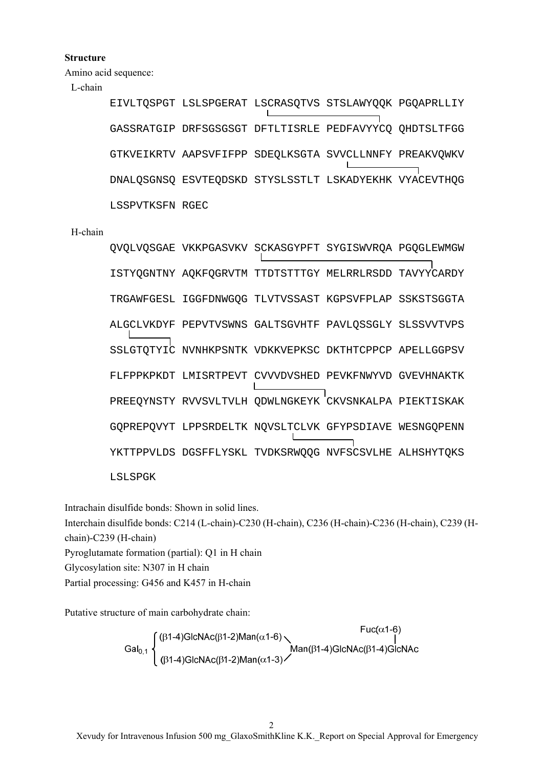### **Structure**

Amino acid sequence:

## L-chain

EIVLTQSPGT LSLSPGERAT LSCRASQTVS STSLAWYQQK PGQAPRLLIY GASSRATGIP DRFSGSGSGT DFTLTISRLE PEDFAVYYCQ QHDTSLTFGG GTKVEIKRTV AAPSVFIFPP SDEQLKSGTA SVVCLLNNFY PREAKVQWKV  $\mathbf{I}$ DNALQSGNSQ ESVTEQDSKD STYSLSSTLT LSKADYEKHK VYACEVTHQG LSSPVTKSFN RGEC

#### H-chain

QVQLVQSGAE VKKPGASVKV SCKASGYPFT SYGISWVRQA PGQGLEWMGW ISTYQGNTNY AQKFQGRVTM TTDTSTTTGY MELRRLRSDD TAVYYCARDY TRGAWFGESL IGGFDNWGQG TLVTVSSAST KGPSVFPLAP SSKSTSGGTA ALGCLVKDYF PEPVTVSWNS GALTSGVHTF PAVLQSSGLY SLSSVVTVPS SSLGTQTYIC NVNHKPSNTK VDKKVEPKSC DKTHTCPPCP APELLGGPSV FLFPPKPKDT LMISRTPEVT CVVVDVSHED PEVKFNWYVD GVEVHNAKTK PREEQYNSTY RVVSVLTVLH QDWLNGKEYK CKVSNKALPA PIEKTISKAK GQPREPQVYT LPPSRDELTK NQVSLTCLVK GFYPSDIAVE WESNGQPENN YKTTPPVLDS DGSFFLYSKL TVDKSRWQQG NVFSCSVLHE ALHSHYTQKS LSLSPGK

Intrachain disulfide bonds: Shown in solid lines.

Interchain disulfide bonds: C214 (L-chain)-C230 (H-chain), C236 (H-chain)-C236 (H-chain), C239 (Hchain)-C239 (H-chain)

Pyroglutamate formation (partial): Q1 in H chain

Glycosylation site: N307 in H chain

Partial processing: G456 and K457 in H-chain

Putative structure of main carbohydrate chain:

$$
\text{Gal}_{0,1}\left\{\begin{matrix}(\beta1-4)\text{GlcNAc}(\beta1-2)\text{Man}(\alpha1-6)\\|\beta1-4)\text{GlcNAc}(\beta1-2)\text{Man}(\alpha1-3)\end{matrix}\right\}
$$
  
Man(31-4)  
Gen<sub>0,1</sub>

 $\frac{1}{2}$   $\frac{1}{2}$   $\frac{1}{2}$   $\frac{1}{2}$   $\frac{1}{2}$ 

 $\mathcal{D}$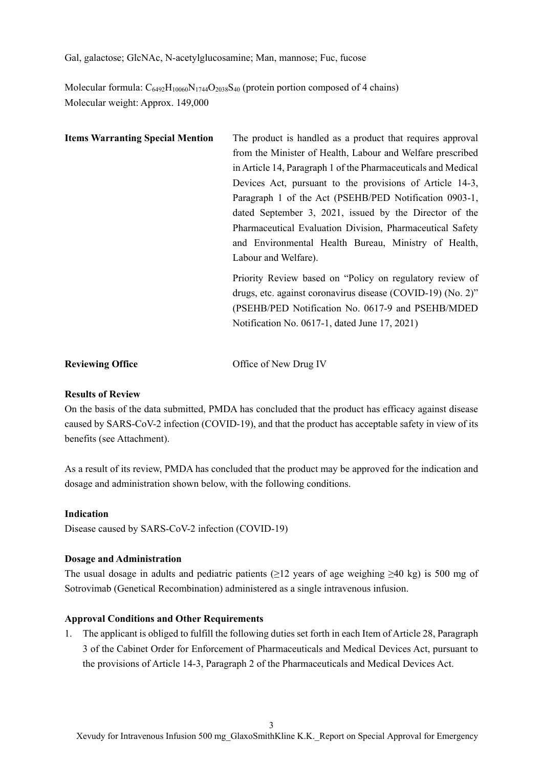Gal, galactose; GlcNAc, N-acetylglucosamine; Man, mannose; Fuc, fucose

Molecular formula:  $C_{6492}H_{10060}N_{1744}O_{2038}S_{40}$  (protein portion composed of 4 chains) Molecular weight: Approx. 149,000

| <b>Items Warranting Special Mention</b> | The product is handled as a product that requires approval    |
|-----------------------------------------|---------------------------------------------------------------|
|                                         | from the Minister of Health, Labour and Welfare prescribed    |
|                                         | in Article 14, Paragraph 1 of the Pharmaceuticals and Medical |
|                                         | Devices Act, pursuant to the provisions of Article 14-3,      |
|                                         | Paragraph 1 of the Act (PSEHB/PED Notification 0903-1,        |
|                                         | dated September 3, 2021, issued by the Director of the        |
|                                         | Pharmaceutical Evaluation Division, Pharmaceutical Safety     |
|                                         | and Environmental Health Bureau, Ministry of Health,          |
|                                         | Labour and Welfare).                                          |
|                                         | Priority Review based on "Policy on regulatory review of      |
|                                         | drugs, etc. against coronavirus disease (COVID-19) (No. 2)"   |
|                                         | (PSEHB/PED Notification No. 0617-9 and PSEHB/MDED             |
|                                         | Notification No. 0617-1, dated June 17, 2021)                 |
|                                         |                                                               |
|                                         |                                                               |

**Reviewing Office Contract Office of New Drug IV** 

## **Results of Review**

On the basis of the data submitted, PMDA has concluded that the product has efficacy against disease caused by SARS-CoV-2 infection (COVID-19), and that the product has acceptable safety in view of its benefits (see Attachment).

As a result of its review, PMDA has concluded that the product may be approved for the indication and dosage and administration shown below, with the following conditions.

### **Indication**

Disease caused by SARS-CoV-2 infection (COVID-19)

### **Dosage and Administration**

The usual dosage in adults and pediatric patients ( $\geq$ 12 years of age weighing  $\geq$ 40 kg) is 500 mg of Sotrovimab (Genetical Recombination) administered as a single intravenous infusion.

## **Approval Conditions and Other Requirements**

1. The applicant is obliged to fulfill the following duties set forth in each Item of Article 28, Paragraph 3 of the Cabinet Order for Enforcement of Pharmaceuticals and Medical Devices Act, pursuant to the provisions of Article 14-3, Paragraph 2 of the Pharmaceuticals and Medical Devices Act.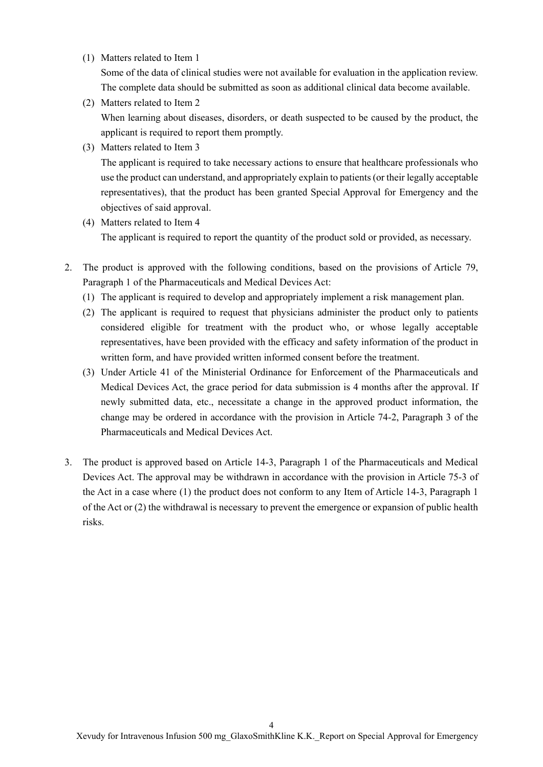(1) Matters related to Item 1

Some of the data of clinical studies were not available for evaluation in the application review. The complete data should be submitted as soon as additional clinical data become available.

(2) Matters related to Item 2

When learning about diseases, disorders, or death suspected to be caused by the product, the applicant is required to report them promptly.

(3) Matters related to Item 3

The applicant is required to take necessary actions to ensure that healthcare professionals who use the product can understand, and appropriately explain to patients (or their legally acceptable representatives), that the product has been granted Special Approval for Emergency and the objectives of said approval.

- (4) Matters related to Item 4 The applicant is required to report the quantity of the product sold or provided, as necessary.
- 2. The product is approved with the following conditions, based on the provisions of Article 79, Paragraph 1 of the Pharmaceuticals and Medical Devices Act:
	- (1) The applicant is required to develop and appropriately implement a risk management plan.
	- (2) The applicant is required to request that physicians administer the product only to patients considered eligible for treatment with the product who, or whose legally acceptable representatives, have been provided with the efficacy and safety information of the product in written form, and have provided written informed consent before the treatment.
	- (3) Under Article 41 of the Ministerial Ordinance for Enforcement of the Pharmaceuticals and Medical Devices Act, the grace period for data submission is 4 months after the approval. If newly submitted data, etc., necessitate a change in the approved product information, the change may be ordered in accordance with the provision in Article 74-2, Paragraph 3 of the Pharmaceuticals and Medical Devices Act.
- 3. The product is approved based on Article 14-3, Paragraph 1 of the Pharmaceuticals and Medical Devices Act. The approval may be withdrawn in accordance with the provision in Article 75-3 of the Act in a case where (1) the product does not conform to any Item of Article 14-3, Paragraph 1 of the Act or (2) the withdrawal is necessary to prevent the emergence or expansion of public health risks.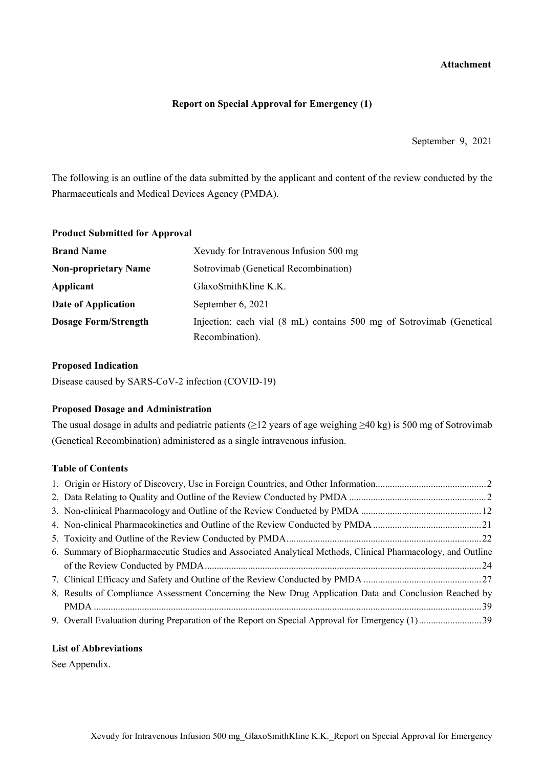### **Attachment**

### **Report on Special Approval for Emergency (1)**

September 9, 2021

The following is an outline of the data submitted by the applicant and content of the review conducted by the Pharmaceuticals and Medical Devices Agency (PMDA).

| <b>Product Submitted for Approval</b> |                                                                      |
|---------------------------------------|----------------------------------------------------------------------|
| <b>Brand Name</b>                     | Xevudy for Intravenous Infusion 500 mg                               |
| <b>Non-proprietary Name</b>           | Sotrovimab (Genetical Recombination)                                 |
| Applicant                             | GlaxoSmithKline K.K.                                                 |
| Date of Application                   | September 6, 2021                                                    |
| <b>Dosage Form/Strength</b>           | Injection: each vial (8 mL) contains 500 mg of Sotrovimab (Genetical |
|                                       | Recombination).                                                      |

#### **Proposed Indication**

Disease caused by SARS-CoV-2 infection (COVID-19)

### **Proposed Dosage and Administration**

The usual dosage in adults and pediatric patients (≥12 years of age weighing ≥40 kg) is 500 mg of Sotrovimab (Genetical Recombination) administered as a single intravenous infusion.

### **Table of Contents**

| 6. Summary of Biopharmaceutic Studies and Associated Analytical Methods, Clinical Pharmacology, and Outline |  |
|-------------------------------------------------------------------------------------------------------------|--|
|                                                                                                             |  |
|                                                                                                             |  |
| 8. Results of Compliance Assessment Concerning the New Drug Application Data and Conclusion Reached by      |  |
|                                                                                                             |  |
|                                                                                                             |  |

#### **List of Abbreviations**

See Appendix.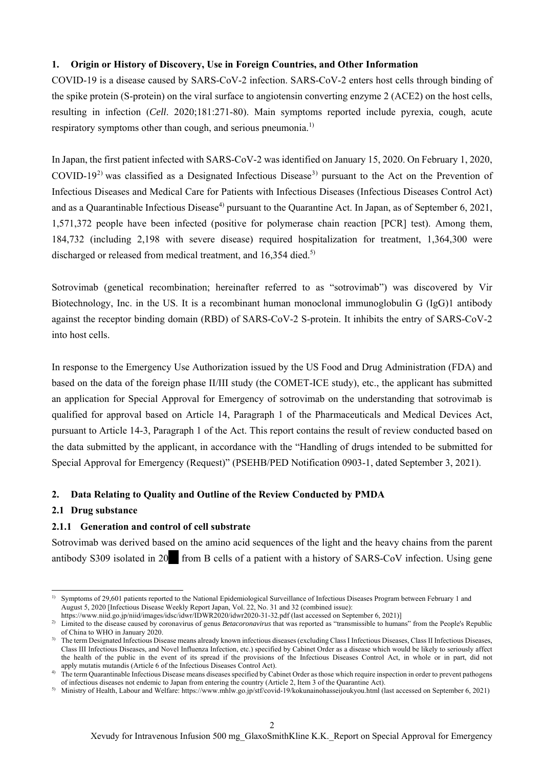### **1. Origin or History of Discovery, Use in Foreign Countries, and Other Information**

COVID-19 is a disease caused by SARS-CoV-2 infection. SARS-CoV-2 enters host cells through binding of the spike protein (S-protein) on the viral surface to angiotensin converting enzyme 2 (ACE2) on the host cells, resulting in infection (*Cell*. 2020;181:271-80). Main symptoms reported include pyrexia, cough, acute respiratory symptoms other than cough, and serious pneumonia.<sup>1)</sup>

In Japan, the first patient infected with SARS-CoV-2 was identified on January 15, 2020. On February 1, 2020, COVID-19<sup>2)</sup> was classified as a Designated Infectious Disease<sup>3)</sup> pursuant to the Act on the Prevention of Infectious Diseases and Medical Care for Patients with Infectious Diseases (Infectious Diseases Control Act) and as a Quarantinable Infectious Disease<sup>4)</sup> pursuant to the Quarantine Act. In Japan, as of September 6, 2021, 1,571,372 people have been infected (positive for polymerase chain reaction [PCR] test). Among them, 184,732 (including 2,198 with severe disease) required hospitalization for treatment, 1,364,300 were discharged or released from medical treatment, and 16,354 died.<sup>5)</sup>

Sotrovimab (genetical recombination; hereinafter referred to as "sotrovimab") was discovered by Vir Biotechnology, Inc. in the US. It is a recombinant human monoclonal immunoglobulin G (IgG)1 antibody against the receptor binding domain (RBD) of SARS-CoV-2 S-protein. It inhibits the entry of SARS-CoV-2 into host cells.

In response to the Emergency Use Authorization issued by the US Food and Drug Administration (FDA) and based on the data of the foreign phase II/III study (the COMET-ICE study), etc., the applicant has submitted an application for Special Approval for Emergency of sotrovimab on the understanding that sotrovimab is qualified for approval based on Article 14, Paragraph 1 of the Pharmaceuticals and Medical Devices Act, pursuant to Article 14-3, Paragraph 1 of the Act. This report contains the result of review conducted based on the data submitted by the applicant, in accordance with the "Handling of drugs intended to be submitted for Special Approval for Emergency (Request)" (PSEHB/PED Notification 0903-1, dated September 3, 2021).

## **2. Data Relating to Quality and Outline of the Review Conducted by PMDA**

### **2.1 Drug substance**

### **2.1.1 Generation and control of cell substrate**

Sotrovimab was derived based on the amino acid sequences of the light and the heavy chains from the parent antibody S309 isolated in 20<sup>\*\*</sup> from B cells of a patient with a history of SARS-CoV infection. Using gene

 $\overline{a}$ <sup>1)</sup> Symptoms of 29,601 patients reported to the National Epidemiological Surveillance of Infectious Diseases Program between February 1 and August 5, 2020 [Infectious Disease Weekly Report Japan, Vol. 22, No. 31 and 32 (combined issue):

https://www.niid.go.jp/niid/images/idsc/idwr/IDWR2020/idwr2020-31-32.pdf (last accessed on September 6, 2021)]

<sup>&</sup>lt;sup>2)</sup> Limited to the disease caused by coronavirus of genus *Betacoronavirus* that was reported as "transmissible to humans" from the People's Republic of China to WHO in January 2020.

<sup>&</sup>lt;sup>3)</sup> The term Designated Infectious Disease means already known infectious diseases (excluding Class I Infectious Diseases, Class II Infectious Diseases, Class III Infectious Diseases, and Novel Influenza Infection, etc.) specified by Cabinet Order as a disease which would be likely to seriously affect the health of the public in the event of its spread if the provisions of the Infectious Diseases Control Act, in whole or in part, did not apply mutatis mutandis (Article 6 of the Infectious Diseases Control Act).

<sup>&</sup>lt;sup>4)</sup> The term Quarantinable Infectious Disease means diseases specified by Cabinet Order as those which require inspection in order to prevent pathogens of infectious diseases not endemic to Japan from entering the country (Article 2, Item 3 of the Quarantine Act).

<sup>5)</sup> Ministry of Health, Labour and Welfare: https://www.mhlw.go.jp/stf/covid-19/kokunainohasseijoukyou.html (last accessed on September 6, 2021)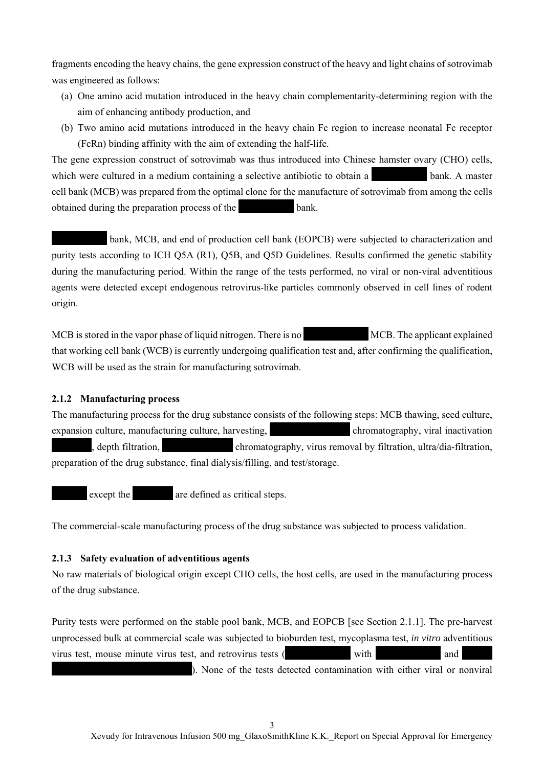fragments encoding the heavy chains, the gene expression construct of the heavy and light chains of sotrovimab was engineered as follows:

- (a) One amino acid mutation introduced in the heavy chain complementarity-determining region with the aim of enhancing antibody production, and
- (b) Two amino acid mutations introduced in the heavy chain Fc region to increase neonatal Fc receptor (FcRn) binding affinity with the aim of extending the half-life.

The gene expression construct of sotrovimab was thus introduced into Chinese hamster ovary (CHO) cells, which were cultured in a medium containing a selective antibiotic to obtain a \*\*\*\*\*\*\*\*\*\*\*\*\* bank. A master cell bank (MCB) was prepared from the optimal clone for the manufacture of sotrovimab from among the cells obtained during the preparation process of the \*\*\*\*\*\*\*\*\*\*\* bank.

bank, MCB, and end of production cell bank (EOPCB) were subjected to characterization and purity tests according to ICH Q5A (R1), Q5B, and Q5D Guidelines. Results confirmed the genetic stability during the manufacturing period. Within the range of the tests performed, no viral or non-viral adventitious agents were detected except endogenous retrovirus-like particles commonly observed in cell lines of rodent origin.

MCB is stored in the vapor phase of liquid nitrogen. There is no \*\*\*\*\*\*\*\*\*\*\*\* MCB. The applicant explained that working cell bank (WCB) is currently undergoing qualification test and, after confirming the qualification, WCB will be used as the strain for manufacturing sotrovimab.

### **2.1.2 Manufacturing process**

The manufacturing process for the drug substance consists of the following steps: MCB thawing, seed culture, expansion culture, manufacturing culture, harvesting, \*\*\*\*\*\*\*\*\*\*\*\*\*\*\*\* chromatography, viral inactivation  $\alpha$ , depth filtration,  $\beta$  chromatography, virus removal by filtration, ultra/dia-filtration, preparation of the drug substance, final dialysis/filling, and test/storage.

except the  $\qquad$  are defined as critical steps.

The commercial-scale manufacturing process of the drug substance was subjected to process validation.

### **2.1.3 Safety evaluation of adventitious agents**

No raw materials of biological origin except CHO cells, the host cells, are used in the manufacturing process of the drug substance.

Purity tests were performed on the stable pool bank, MCB, and EOPCB [see Section 2.1.1]. The pre-harvest unprocessed bulk at commercial scale was subjected to bioburden test, mycoplasma test, *in vitro* adventitious virus test, mouse minute virus test, and retrovirus tests (\*\*\*\*\*\*\*\*\*\*\*\*\* with \*\*\*\*\*\*\*\*\*\*\*\*\* and \*\*\*\*\*\*

). None of the tests detected contamination with either viral or nonviral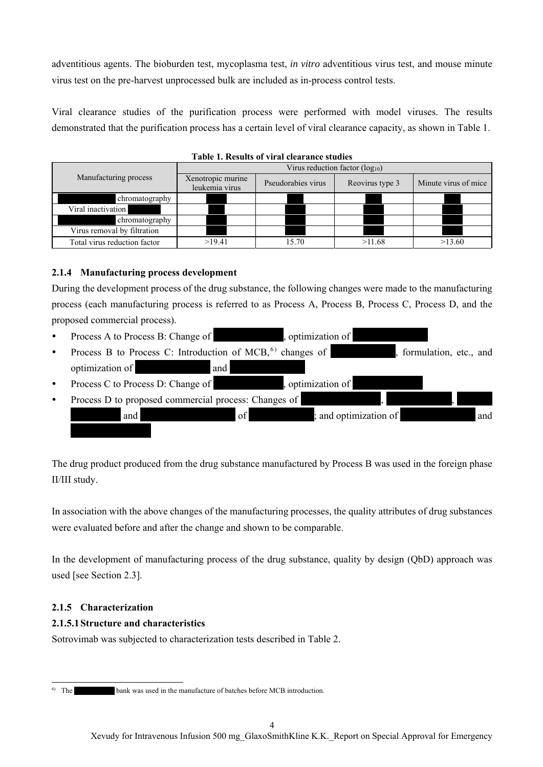adventitious agents. The bioburden test, mycoplasma test, *in vitro* adventitious virus test, and mouse minute virus test on the pre-harvest unprocessed bulk are included as in-process control tests.

Viral clearance studies of the purification process were performed with model viruses. The results demonstrated that the purification process has a certain level of viral clearance capacity, as shown in Table 1.

|                              |                                     | Tabic 1. Results of viral cicaralice studies |                 |                      |  |  |  |  |
|------------------------------|-------------------------------------|----------------------------------------------|-----------------|----------------------|--|--|--|--|
|                              | Virus reduction factor $(log_{10})$ |                                              |                 |                      |  |  |  |  |
| Manufacturing process        | Xenotropic murine<br>leukemia virus | Pseudorabies virus                           | Reovirus type 3 | Minute virus of mice |  |  |  |  |
| chromatography               |                                     |                                              |                 |                      |  |  |  |  |
| Viral inactivation           |                                     |                                              |                 |                      |  |  |  |  |
| chromatography               |                                     |                                              |                 |                      |  |  |  |  |
| Virus removal by filtration  |                                     |                                              |                 |                      |  |  |  |  |
| Total virus reduction factor | >19.41                              | 15.70                                        | >11.68          | >13.60               |  |  |  |  |

## **Table 1. Results of viral clearance studies**

### **2.1.4 Manufacturing process development**

During the development process of the drug substance, the following changes were made to the manufacturing process (each manufacturing process is referred to as Process A, Process B, Process C, Process D, and the proposed commercial process).

- Process A to Process B: Change of \*\*\*\*\*\*\*\*\*\*\*\*\*\*, optimization of \*\*\*\*\*\*\*\*\*\*\*\*\*\*\*
- Process B to Process C: Introduction of MCB,<sup>6)</sup> changes of  $\blacksquare$ , formulation, etc., and optimization of \*\*\*\*\*\*\*\*\*\*\*\*\*\*\* and \*\*\*\*\*\*\*\*\*\*\*\*\*\*\*
- Process C to Process D: Change of \*\*\*\*\*\*\*\*\*\*\*\*\*\*, optimization of \*\*\*\*\*\*\*\*\*\*\*\*\*\*
- Process D to proposed commercial process: Changes of \*\*\*\*\*\*\*\*\*\* and \*\*\*\*\*\*\*\*\*\*\*\*\*\*\*\*\*\*\* of \*\*\*\*\*\*\*\*\*\*\*\*\*; and optimization of \*\*\*\*\*\*\*\*\*\*\*\*\*\*\* and  $*{\mathbb Z}$

The drug product produced from the drug substance manufactured by Process B was used in the foreign phase II/III study.

In association with the above changes of the manufacturing processes, the quality attributes of drug substances were evaluated before and after the change and shown to be comparable.

In the development of manufacturing process of the drug substance, quality by design (QbD) approach was used [see Section 2.3].

### **2.1.5 Characterization**

### **2.1.5.1 Structure and characteristics**

Sotrovimab was subjected to characterization tests described in Table 2.

 $\overline{a}$ 

<sup>6)</sup> The \*\*\*\*\*\*\*\*\*\*\* bank was used in the manufacture of batches before MCB introduction.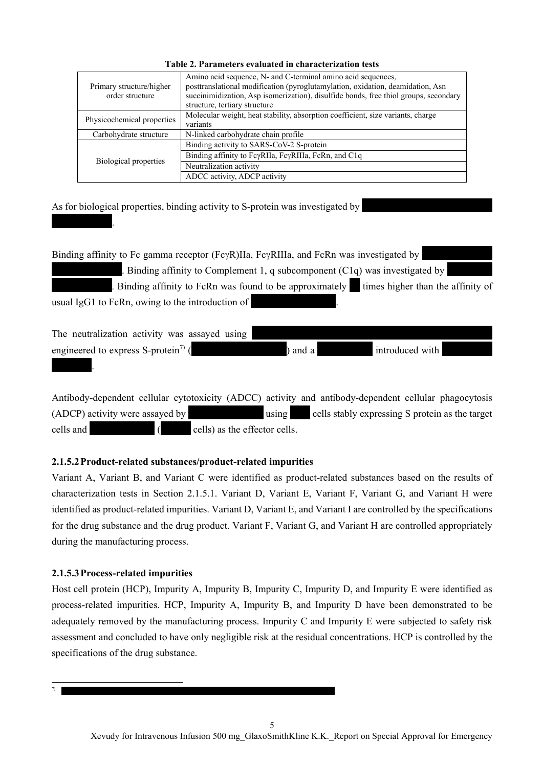| Primary structure/higher<br>order structure | Amino acid sequence, N- and C-terminal amino acid sequences,<br>posttranslational modification (pyroglutamylation, oxidation, deamidation, Asn<br>succinimidization, Asp isomerization), disulfide bonds, free thiol groups, secondary<br>structure, tertiary structure |
|---------------------------------------------|-------------------------------------------------------------------------------------------------------------------------------------------------------------------------------------------------------------------------------------------------------------------------|
| Physicochemical properties                  | Molecular weight, heat stability, absorption coefficient, size variants, charge<br>variants                                                                                                                                                                             |
| Carbohydrate structure                      | N-linked carbohydrate chain profile                                                                                                                                                                                                                                     |
|                                             | Binding activity to SARS-CoV-2 S-protein                                                                                                                                                                                                                                |
| Biological properties                       | Binding affinity to FcyRIIa, FcyRIIIa, FcRn, and C1q                                                                                                                                                                                                                    |
|                                             | Neutralization activity                                                                                                                                                                                                                                                 |
|                                             | ADCC activity, ADCP activity                                                                                                                                                                                                                                            |

**Table 2. Parameters evaluated in characterization tests** 

As for biological properties, binding activity to S-protein was investigated by

Binding affinity to Fc gamma receptor (FcγR)IIa, FcγRIIIa, and FcRn was investigated by Binding affinity to Complement 1, q subcomponent (C1q) was investigated by . Binding affinity to FcRn was found to be approximately  $\blacksquare$  times higher than the affinity of usual IgG1 to FcRn, owing to the introduction of

The neutralization activity was assayed using engineered to express S-protein7) (\*\*\*\*\*\*\*\*\*\*\*\*\*\*\*\*\*\*\*) and a \*\*\*\*\*\*\*\*\*\*\* introduced with \*\*\*\*\*\*\*\*\*\*  $\mathbf{r}$ 

Antibody-dependent cellular cytotoxicity (ADCC) activity and antibody-dependent cellular phagocytosis (ADCP) activity were assayed by \*\*\*\*\*\*\*\*\*\*\*\*\*\*\* using \*\*\*\* cells stably expressing S protein as the target cells and  $\left($  cells) as the effector cells.

# **2.1.5.2 Product-related substances/product-related impurities**

Variant A, Variant B, and Variant C were identified as product-related substances based on the results of characterization tests in Section 2.1.5.1. Variant D, Variant E, Variant F, Variant G, and Variant H were identified as product-related impurities. Variant D, Variant E, and Variant I are controlled by the specifications for the drug substance and the drug product. Variant F, Variant G, and Variant H are controlled appropriately during the manufacturing process.

# **2.1.5.3 Process-related impurities**

 $\mathbb{R}^n$ 

Host cell protein (HCP), Impurity A, Impurity B, Impurity C, Impurity D, and Impurity E were identified as process-related impurities. HCP, Impurity A, Impurity B, and Impurity D have been demonstrated to be adequately removed by the manufacturing process. Impurity C and Impurity E were subjected to safety risk assessment and concluded to have only negligible risk at the residual concentrations. HCP is controlled by the specifications of the drug substance.

 $\overline{a}$ 7) \*\*\*\*\*\*\*\*\*\*\*\*\*\*\*\*\*\*\*\*\*\*\*\*\*\*\*\*\*\*\*\*\*\*\*\*\*\*\*\*\*\*\*\*\*\*\*\*\*\*\*\*\*\*\*\*\*\*\*\*\*\*\*\*\*\*\*\*\*\*\*\*\*\*\*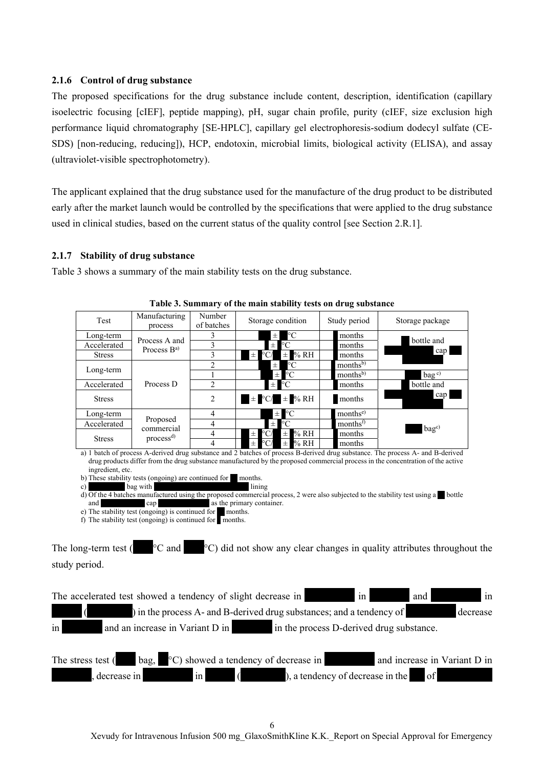### **2.1.6 Control of drug substance**

The proposed specifications for the drug substance include content, description, identification (capillary isoelectric focusing [cIEF], peptide mapping), pH, sugar chain profile, purity (cIEF, size exclusion high performance liquid chromatography [SE-HPLC], capillary gel electrophoresis-sodium dodecyl sulfate (CE-SDS) [non-reducing, reducing]), HCP, endotoxin, microbial limits, biological activity (ELISA), and assay (ultraviolet-visible spectrophotometry).

The applicant explained that the drug substance used for the manufacture of the drug product to be distributed early after the market launch would be controlled by the specifications that were applied to the drug substance used in clinical studies, based on the current status of the quality control [see Section 2.R.1].

#### **2.1.7 Stability of drug substance**

Table 3 shows a summary of the main stability tests on the drug substance.

| Test          | Manufacturing                      | Number         | Storage condition                             | Study period         | Storage package     |
|---------------|------------------------------------|----------------|-----------------------------------------------|----------------------|---------------------|
|               | process                            | of batches     |                                               |                      |                     |
| Long-term     | Process A and                      | 3              | °C<br>$\pm$                                   | months               | bottle and          |
| Accelerated   | Process $B^{a)}$                   | 3              | $\rm ^{\circ}C$<br>$\pm$                      | months               |                     |
| <b>Stress</b> |                                    | 3              | % RH<br>°C/<br>$\pm$<br>.± '                  | months               | cap                 |
|               |                                    | $\mathfrak{D}$ | °C<br>$_{\pm}$                                | months <sup>b)</sup> |                     |
| Long-term     | Process D                          |                | $\rm ^{\circ}C$<br>$\pm$                      | months <sup>b)</sup> | $bag$ <sup>c)</sup> |
| Accelerated   |                                    | $\mathfrak{D}$ | $\pm$ °C                                      | months               | bottle and          |
| <b>Stress</b> |                                    | $\overline{2}$ | $\pm$ °C/ $\pm$ % RH                          | months               | cap                 |
| Long-term     |                                    | 4              | $\pm$ °C                                      | months <sup>e)</sup> |                     |
| Accelerated   | Proposed                           | 4              | $\rm ^{\circ}C$<br>$\pm$                      | months <sup>f)</sup> |                     |
| <b>Stress</b> | commercial<br>process <sup>d</sup> | 4              | % RH<br>°C/<br>$\pm$ 1<br>$\pm$               | months               | bag <sup>c</sup>    |
|               |                                    | 4              | % RH<br>$^{\circ}\mathrm{C}/$<br>$\pm$ 1<br>士 | months               |                     |

**Table 3. Summary of the main stability tests on drug substance** 

a) 1 batch of process A-derived drug substance and 2 batches of process B-derived drug substance. The process A- and B-derived drug products differ from the drug substance manufactured by the proposed commercial process in the concentration of the active ingredient, etc.

b) These stability tests (ongoing) are continued for  $*$  months.

c) \*\*\*\*\*\*\*\*\*\* bag with \*\*\*\*\*\*\*\*\*\*\*\*\*\*\*\*\*\*\*\*\*\*\*\*\*\* lining d) Of the 4 batches manufactured using the proposed commercial process, 2 were also subjected to the stability test using a \*\* bottle and  $\Box$  cap  $\Box$  as the primary container.

e) The stability test (ongoing) is continued for \*\* months.

f) The stability test  $(ongoing)$  is continued for months.

The long-term test ( $^{\circ}$ C and  $^{\circ}$ C) did not show any clear changes in quality attributes throughout the study period.

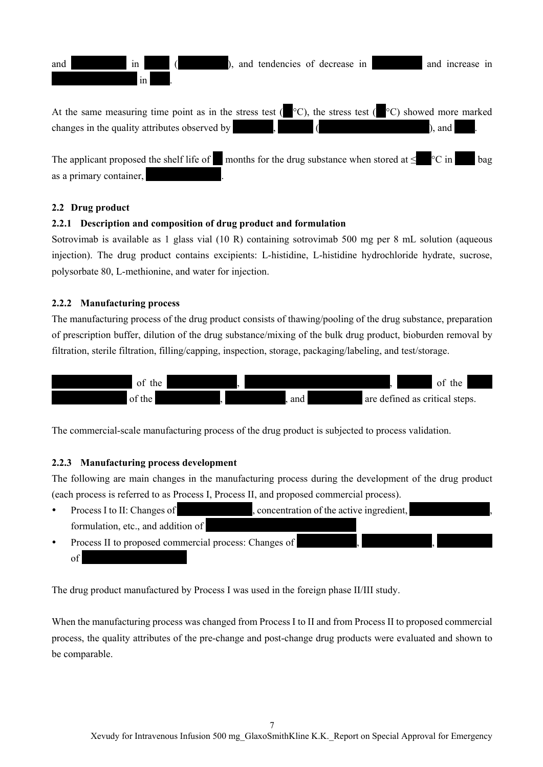

### **2.2 Drug product**

### **2.2.1 Description and composition of drug product and formulation**

Sotrovimab is available as 1 glass vial (10 R) containing sotrovimab 500 mg per 8 mL solution (aqueous injection). The drug product contains excipients: L-histidine, L-histidine hydrochloride hydrate, sucrose, polysorbate 80, L-methionine, and water for injection.

### **2.2.2 Manufacturing process**

The manufacturing process of the drug product consists of thawing/pooling of the drug substance, preparation of prescription buffer, dilution of the drug substance/mixing of the bulk drug product, bioburden removal by filtration, sterile filtration, filling/capping, inspection, storage, packaging/labeling, and test/storage.



The commercial-scale manufacturing process of the drug product is subjected to process validation.

### **2.2.3 Manufacturing process development**

The following are main changes in the manufacturing process during the development of the drug product (each process is referred to as Process I, Process II, and proposed commercial process).

- Process I to II: Changes of \*\*\*\*\*\*\*\*\*\*\*\*\*\*\*, concentration of the active ingredient, \*\*\*\*\*\*\*\*\*\*\*\*\*\*\*\*, formulation, etc., and addition of
- Process II to proposed commercial process: Changes of of  $\bullet$

The drug product manufactured by Process I was used in the foreign phase II/III study.

When the manufacturing process was changed from Process I to II and from Process II to proposed commercial process, the quality attributes of the pre-change and post-change drug products were evaluated and shown to be comparable.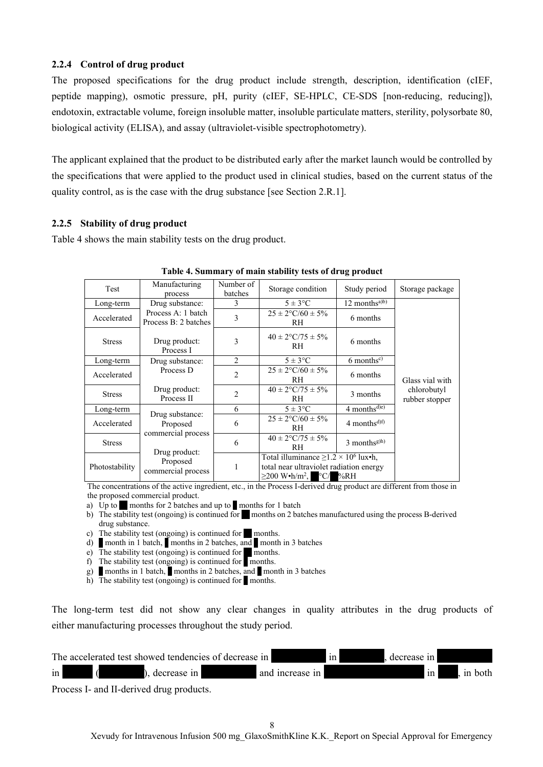### **2.2.4 Control of drug product**

The proposed specifications for the drug product include strength, description, identification (cIEF, peptide mapping), osmotic pressure, pH, purity (cIEF, SE-HPLC, CE-SDS [non-reducing, reducing]), endotoxin, extractable volume, foreign insoluble matter, insoluble particulate matters, sterility, polysorbate 80, biological activity (ELISA), and assay (ultraviolet-visible spectrophotometry).

The applicant explained that the product to be distributed early after the market launch would be controlled by the specifications that were applied to the product used in clinical studies, based on the current status of the quality control, as is the case with the drug substance [see Section 2.R.1].

### **2.2.5 Stability of drug product**

Table 4 shows the main stability tests on the drug product.

|                |                                            |                      |                                                                                                                                             | . .                       |                               |  |
|----------------|--------------------------------------------|----------------------|---------------------------------------------------------------------------------------------------------------------------------------------|---------------------------|-------------------------------|--|
| Test           | Manufacturing<br>process                   | Number of<br>batches | Storage condition                                                                                                                           | Study period              | Storage package               |  |
| Long-term      | Drug substance:                            | 3                    | $5 \pm 3$ °C                                                                                                                                | 12 months <sup>a)b)</sup> |                               |  |
| Accelerated    | Process A: 1 batch<br>Process B: 2 batches | 3                    | $25 \pm 2$ °C/60 ± 5%<br>RH                                                                                                                 | 6 months                  |                               |  |
| <b>Stress</b>  | Drug product:<br>Process I                 | 3                    | $40 \pm 2$ °C/75 $\pm$ 5%<br>RH                                                                                                             | 6 months                  |                               |  |
| Long-term      | Drug substance:                            | $\overline{c}$       | $5 \pm 3$ °C                                                                                                                                | $6$ months <sup>c)</sup>  |                               |  |
| Accelerated    | Process D                                  | $\overline{c}$       | $25 \pm 2$ °C/60 ± 5%<br>RH                                                                                                                 | 6 months                  | Glass vial with               |  |
| <b>Stress</b>  | Drug product:<br>Process II                | $\overline{c}$       | $40 \pm 2$ °C/75 ± 5%<br>RH                                                                                                                 | 3 months                  | chlorobutyl<br>rubber stopper |  |
| Long-term      |                                            | 6                    | $5 \pm 3$ °C                                                                                                                                | $4 months^{d(e)}$         |                               |  |
| Accelerated    | Drug substance:<br>Proposed                | 6                    | $25 \pm 2$ °C/60 ± 5%<br>RH                                                                                                                 | 4 months <sup>d)f)</sup>  |                               |  |
| <b>Stress</b>  | commercial process<br>Drug product:        | 6                    | $40 \pm 2$ °C/75 ± 5%<br>RH                                                                                                                 | 3 monthsg)h)              |                               |  |
| Photostability | Proposed<br>commercial process             | 1                    | Total illuminance $\geq$ 1.2 × 10 <sup>6</sup> lux•h,<br>total near ultraviolet radiation energy<br>$\geq$ 200 W•h/m <sup>2</sup> , °C/ %RH |                           |                               |  |

#### **Table 4. Summary of main stability tests of drug product**

The concentrations of the active ingredient, etc., in the Process I-derived drug product are different from those in

- the proposed commercial product.<br>
a) Up to **m** months for 2 batches months for 2 batches and up to **months for 1 batch**
- b) The stability test (ongoing) is continued for **\*\*** months on 2 batches manufactured using the process B-derived drug substance.
- c) The stability test (ongoing) is continued for months.
- d) **\*** month in 1 batch,  $\bullet$  months in 2 batches, and  $\bullet$  month in 3 batches
- e) The stability test (ongoing) is continued for months.
- f) The stability test (ongoing) is continued for  $\blacksquare$  months.
- g) **months in 1 batch,** months in 2 batches, and  $\blacksquare$  month in 3 batches
- h) The stability test (ongoing) is continued for  $\blacksquare$  months.

The long-term test did not show any clear changes in quality attributes in the drug products of either manufacturing processes throughout the study period.

|               |  |  |                    | The accelerated test showed tendencies of decrease in |                 | 1n <sub>l</sub> | decrease in |         |
|---------------|--|--|--------------------|-------------------------------------------------------|-----------------|-----------------|-------------|---------|
| $\frac{1}{2}$ |  |  | $\log$ decrease in |                                                       | and increase in |                 | $\ln$       | in both |
| $\sim$        |  |  |                    |                                                       |                 |                 |             |         |

Process I- and II-derived drug products.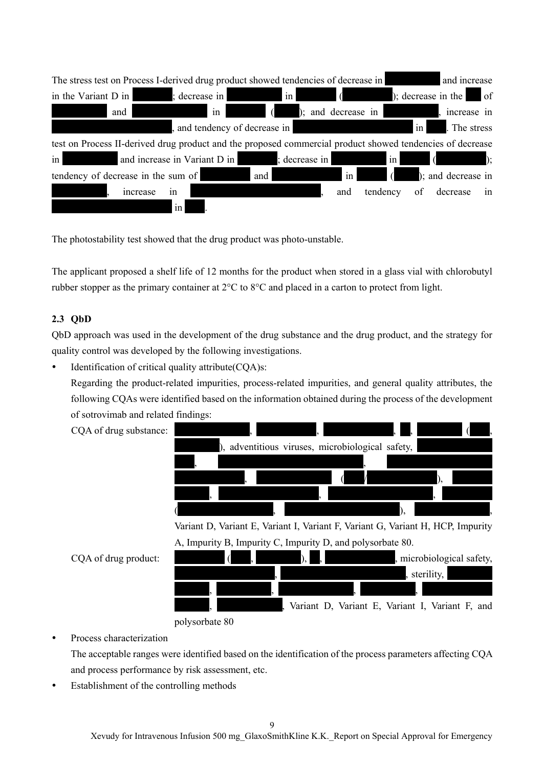| The stress test on Process I-derived drug product showed tendencies of decrease in                        |                                                                                                                                                                                                                                      |                                      |                            |                            |                         |                                                                                                                                         | and increase                 |  |
|-----------------------------------------------------------------------------------------------------------|--------------------------------------------------------------------------------------------------------------------------------------------------------------------------------------------------------------------------------------|--------------------------------------|----------------------------|----------------------------|-------------------------|-----------------------------------------------------------------------------------------------------------------------------------------|------------------------------|--|
| in the Variant D in                                                                                       | ; decrease in                                                                                                                                                                                                                        |                                      | $\left  \text{in} \right $ | $\sqrt{ }$                 |                         |                                                                                                                                         | ); decrease in the $\Box$ of |  |
| and                                                                                                       | <b>The Company of the Company of the Company of the Company of the Company of the Company of the Company of the Company of the Company of the Company of the Company of the Company of the Company of the Company of the Company</b> | $\sqrt{ }$<br>$\overline{\text{in}}$ | ); and decrease in         |                            |                         |                                                                                                                                         | increase in                  |  |
|                                                                                                           |                                                                                                                                                                                                                                      | , and tendency of decrease in        |                            |                            |                         | in                                                                                                                                      | The stress                   |  |
| test on Process II-derived drug product and the proposed commercial product showed tendencies of decrease |                                                                                                                                                                                                                                      |                                      |                            |                            |                         |                                                                                                                                         |                              |  |
| $\frac{1}{2}$                                                                                             | and increase in Variant D in                                                                                                                                                                                                         |                                      | ; decrease in              |                            | $\ln$                   | <b>Alice of the Contract of the Contract of the Contract of the Contract of the Contract of the Contract of the C</b><br>$\overline{6}$ | $\mathcal{L}$                |  |
| tendency of decrease in the sum of                                                                        |                                                                                                                                                                                                                                      | and                                  |                            | $\left  \text{in} \right $ | $\overline{6}$          |                                                                                                                                         | ); and decrease in           |  |
| increase                                                                                                  | in                                                                                                                                                                                                                                   |                                      |                            | and                        | tendency of decrease in |                                                                                                                                         |                              |  |
|                                                                                                           | in                                                                                                                                                                                                                                   |                                      |                            |                            |                         |                                                                                                                                         |                              |  |

The photostability test showed that the drug product was photo-unstable.

The applicant proposed a shelf life of 12 months for the product when stored in a glass vial with chlorobutyl rubber stopper as the primary container at 2°C to 8°C and placed in a carton to protect from light.

## **2.3 QbD**

QbD approach was used in the development of the drug substance and the drug product, and the strategy for quality control was developed by the following investigations.

• Identification of critical quality attribute  $(CQA)$ s:

Regarding the product-related impurities, process-related impurities, and general quality attributes, the following CQAs were identified based on the information obtained during the process of the development of sotrovimab and related findings:

CQA of drug substance:



Variant D, Variant E, Variant I, Variant F, Variant G, Variant H, HCP, Impurity A, Impurity B, Impurity C, Impurity D, and polysorbate 80.

|  |                      |  |  |  |  | , microbiological safety,                         |  |
|--|----------------------|--|--|--|--|---------------------------------------------------|--|
|  |                      |  |  |  |  | , sterility,                                      |  |
|  |                      |  |  |  |  |                                                   |  |
|  |                      |  |  |  |  | , Variant D, Variant E, Variant I, Variant F, and |  |
|  | $\sim$ $\sim$ $\sim$ |  |  |  |  |                                                   |  |

CQA of drug product:

polysorbate 80

## Process characterization

The acceptable ranges were identified based on the identification of the process parameters affecting CQA and process performance by risk assessment, etc.

Establishment of the controlling methods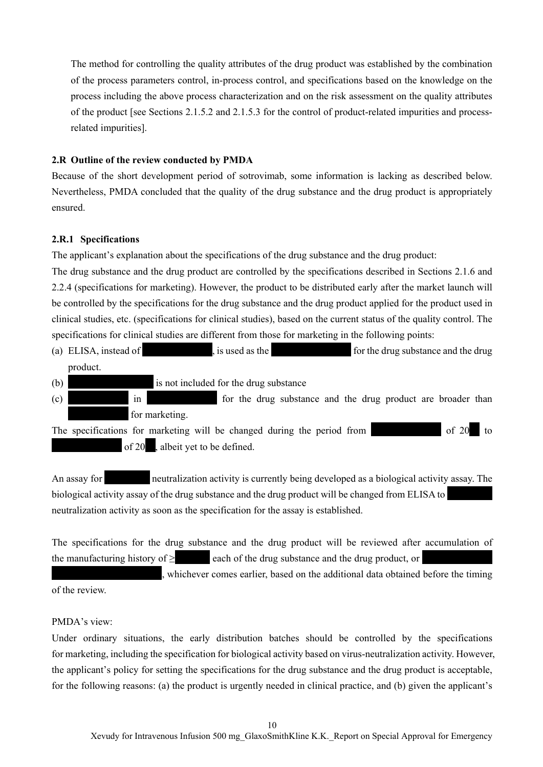The method for controlling the quality attributes of the drug product was established by the combination of the process parameters control, in-process control, and specifications based on the knowledge on the process including the above process characterization and on the risk assessment on the quality attributes of the product [see Sections 2.1.5.2 and 2.1.5.3 for the control of product-related impurities and processrelated impurities].

#### **2.R Outline of the review conducted by PMDA**

Because of the short development period of sotrovimab, some information is lacking as described below. Nevertheless, PMDA concluded that the quality of the drug substance and the drug product is appropriately ensured.

#### **2.R.1 Specifications**

The applicant's explanation about the specifications of the drug substance and the drug product:

The drug substance and the drug product are controlled by the specifications described in Sections 2.1.6 and 2.2.4 (specifications for marketing). However, the product to be distributed early after the market launch will be controlled by the specifications for the drug substance and the drug product applied for the product used in clinical studies, etc. (specifications for clinical studies), based on the current status of the quality control. The specifications for clinical studies are different from those for marketing in the following points:

- (a) ELISA, instead of  $\qquad$ , is used as the  $\qquad$  for the drug substance and the drug product.
- $(b)$  is not included for the drug substance
- $\begin{array}{r}\n\text{(c)}\\
\text{in}\n\end{array}$  in  $\begin{array}{r}\n\text{for the drug substance and the drug product are broader than}\n\end{array}$ for marketing.

The specifications for marketing will be changed during the period from  $\blacksquare$  of 20 of 20 , albeit yet to be defined.

An assay for \*\*\*\*\*\*\* neutralization activity is currently being developed as a biological activity assay. The biological activity assay of the drug substance and the drug product will be changed from ELISA to \*\*\*\*\*\*\*\*\* neutralization activity as soon as the specification for the assay is established.

The specifications for the drug substance and the drug product will be reviewed after accumulation of the manufacturing history of  $\ge$  \*\*\*\*\*\*\*\* each of the drug substance and the drug product, or

whichever comes earlier, based on the additional data obtained before the timing

of the review.

### PMDA's view:

Under ordinary situations, the early distribution batches should be controlled by the specifications for marketing, including the specification for biological activity based on virus-neutralization activity. However, the applicant's policy for setting the specifications for the drug substance and the drug product is acceptable, for the following reasons: (a) the product is urgently needed in clinical practice, and (b) given the applicant's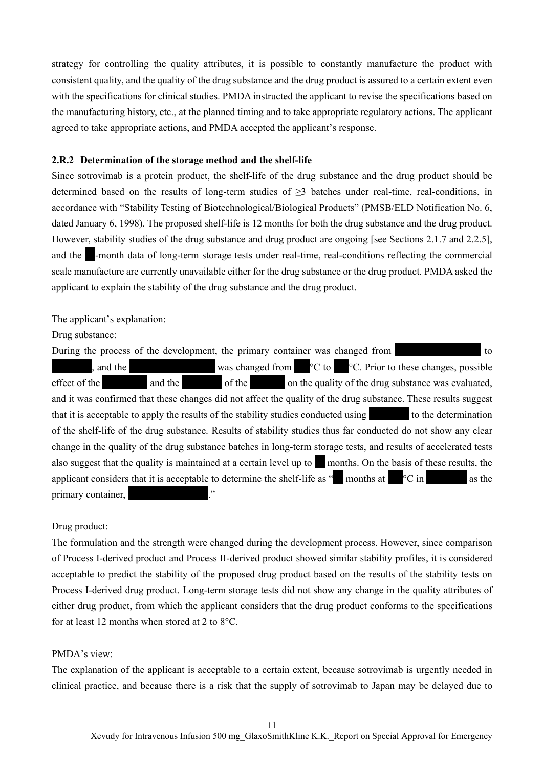strategy for controlling the quality attributes, it is possible to constantly manufacture the product with consistent quality, and the quality of the drug substance and the drug product is assured to a certain extent even with the specifications for clinical studies. PMDA instructed the applicant to revise the specifications based on the manufacturing history, etc., at the planned timing and to take appropriate regulatory actions. The applicant agreed to take appropriate actions, and PMDA accepted the applicant's response.

#### **2.R.2 Determination of the storage method and the shelf-life**

Since sotrovimab is a protein product, the shelf-life of the drug substance and the drug product should be determined based on the results of long-term studies of ≥3 batches under real-time, real-conditions, in accordance with "Stability Testing of Biotechnological/Biological Products" (PMSB/ELD Notification No. 6, dated January 6, 1998). The proposed shelf-life is 12 months for both the drug substance and the drug product. However, stability studies of the drug substance and drug product are ongoing [see Sections 2.1.7 and 2.2.5], and the **\*\***-month data of long-term storage tests under real-time, real-conditions reflecting the commercial scale manufacture are currently unavailable either for the drug substance or the drug product. PMDA asked the applicant to explain the stability of the drug substance and the drug product.

The applicant's explanation:

Drug substance:

During the process of the development, the primary container was changed from  $\sim$  to \*\*\*\*\*\*\*\*, and the \*\*\*\*\*\*\*\*\*\*\*\*\*\*\*\*\* was changed from \*\*\*°C to \*\*\*°C. Prior to these changes, possible effect of the \*\*\*\*\*\*\*\*\*\*\* and the \*\*\*\*\* of the \*\*\*\* on the quality of the drug substance was evaluated, and it was confirmed that these changes did not affect the quality of the drug substance. These results suggest that it is acceptable to apply the results of the stability studies conducted using  $\frac{1}{x}$  to the determination of the shelf-life of the drug substance. Results of stability studies thus far conducted do not show any clear change in the quality of the drug substance batches in long-term storage tests, and results of accelerated tests also suggest that the quality is maintained at a certain level up to  $\blacksquare$  months. On the basis of these results, the applicant considers that it is acceptable to determine the shelf-life as " $\blacksquare$  months at  $\blacksquare$   $\circ$ C in  $\blacksquare$  as the primary container,

#### Drug product:

The formulation and the strength were changed during the development process. However, since comparison of Process I-derived product and Process II-derived product showed similar stability profiles, it is considered acceptable to predict the stability of the proposed drug product based on the results of the stability tests on Process I-derived drug product. Long-term storage tests did not show any change in the quality attributes of either drug product, from which the applicant considers that the drug product conforms to the specifications for at least 12 months when stored at 2 to 8°C.

### PMDA's view:

The explanation of the applicant is acceptable to a certain extent, because sotrovimab is urgently needed in clinical practice, and because there is a risk that the supply of sotrovimab to Japan may be delayed due to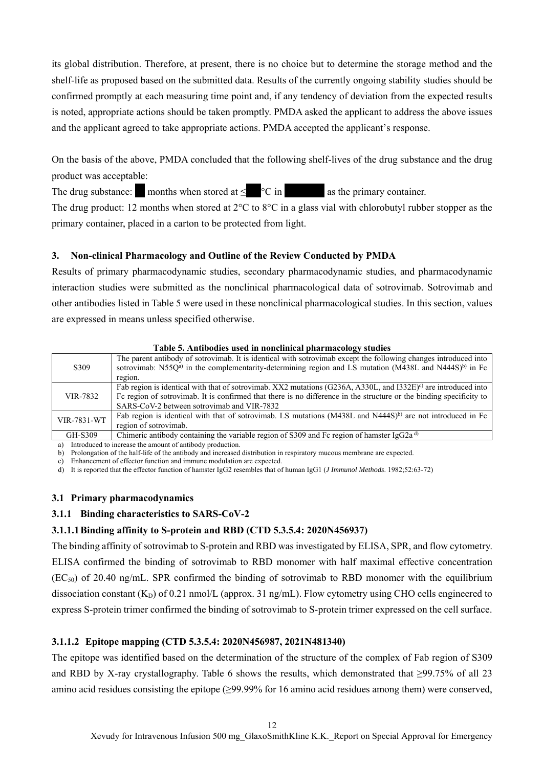its global distribution. Therefore, at present, there is no choice but to determine the storage method and the shelf-life as proposed based on the submitted data. Results of the currently ongoing stability studies should be confirmed promptly at each measuring time point and, if any tendency of deviation from the expected results is noted, appropriate actions should be taken promptly. PMDA asked the applicant to address the above issues and the applicant agreed to take appropriate actions. PMDA accepted the applicant's response.

On the basis of the above, PMDA concluded that the following shelf-lives of the drug substance and the drug product was acceptable:

The drug substance:  $\blacksquare$  months when stored at  $\leq \blacksquare$   $\circ$  C in  $\blacksquare$  as the primary container.

The drug product: 12 months when stored at 2°C to 8°C in a glass vial with chlorobutyl rubber stopper as the primary container, placed in a carton to be protected from light.

## **3. Non-clinical Pharmacology and Outline of the Review Conducted by PMDA**

Results of primary pharmacodynamic studies, secondary pharmacodynamic studies, and pharmacodynamic interaction studies were submitted as the nonclinical pharmacological data of sotrovimab. Sotrovimab and other antibodies listed in Table 5 were used in these nonclinical pharmacological studies. In this section, values are expressed in means unless specified otherwise.

|             | Table 5. Antibodies used in noncumical pharmacology studies                                                                    |
|-------------|--------------------------------------------------------------------------------------------------------------------------------|
|             | The parent antibody of sotrovimab. It is identical with sotrovimab except the following changes introduced into                |
| S309        | sotrovimab: N55Q <sup>a)</sup> in the complementarity-determining region and LS mutation (M438L and N444S) <sup>b)</sup> in Fc |
|             | region.                                                                                                                        |
|             | Fab region is identical with that of sotrovimab. XX2 mutations (G236A, A330L, and I332E) <sup>c)</sup> are introduced into     |
| VIR-7832    | For region of sotrovimab. It is confirmed that there is no difference in the structure or the binding specificity to           |
|             | SARS-CoV-2 between sotrovimab and VIR-7832                                                                                     |
| VIR-7831-WT | Fab region is identical with that of sotrovimab. LS mutations $(M438L$ and $N444S)^{b}$ are not introduced in Fc               |
|             | region of sotrovimab.                                                                                                          |
| GH-S309     | Chimeric antibody containing the variable region of S309 and Fc region of hamster IgG2a <sup>d)</sup>                          |

**Table 5. Antibodies used in nonclinical pharmacology studies** 

a) Introduced to increase the amount of antibody production.

b) Prolongation of the half-life of the antibody and increased distribution in respiratory mucous membrane are expected.

c) Enhancement of effector function and immune modulation are expected.

d) It is reported that the effector function of hamster IgG2 resembles that of human IgG1 (*J Immunol Methods*. 1982;52:63-72)

### **3.1 Primary pharmacodynamics**

## **3.1.1 Binding characteristics to SARS-CoV-2**

## **3.1.1.1 Binding affinity to S-protein and RBD (CTD 5.3.5.4: 2020N456937)**

The binding affinity of sotrovimab to S-protein and RBD was investigated by ELISA, SPR, and flow cytometry. ELISA confirmed the binding of sotrovimab to RBD monomer with half maximal effective concentration  $(EC<sub>50</sub>)$  of 20.40 ng/mL. SPR confirmed the binding of sotrovimab to RBD monomer with the equilibrium dissociation constant (K<sub>D</sub>) of 0.21 nmol/L (approx. 31 ng/mL). Flow cytometry using CHO cells engineered to express S-protein trimer confirmed the binding of sotrovimab to S-protein trimer expressed on the cell surface.

## **3.1.1.2 Epitope mapping (CTD 5.3.5.4: 2020N456987, 2021N481340)**

The epitope was identified based on the determination of the structure of the complex of Fab region of S309 and RBD by X-ray crystallography. Table 6 shows the results, which demonstrated that ≥99.75% of all 23 amino acid residues consisting the epitope (≥99.99% for 16 amino acid residues among them) were conserved,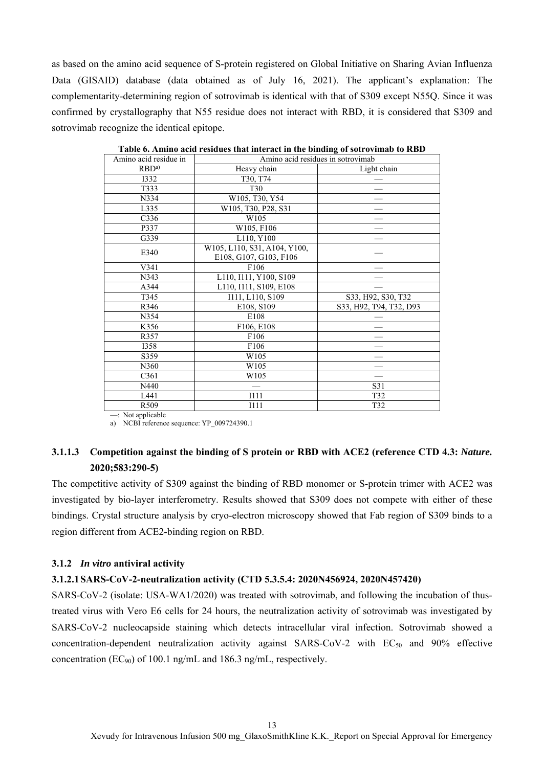as based on the amino acid sequence of S-protein registered on Global Initiative on Sharing Avian Influenza Data (GISAID) database (data obtained as of July 16, 2021). The applicant's explanation: The complementarity-determining region of sotrovimab is identical with that of S309 except N55Q. Since it was confirmed by crystallography that N55 residue does not interact with RBD, it is considered that S309 and sotrovimab recognize the identical epitope.

| Amino acid residue in |                              | Amino acid residues in sotrovimab |  |  |
|-----------------------|------------------------------|-----------------------------------|--|--|
| RBD <sup>a</sup>      | Heavy chain                  | Light chain                       |  |  |
| <b>I332</b>           | T30, T74                     |                                   |  |  |
| T333                  | T <sub>30</sub>              |                                   |  |  |
| N334                  | W105, T30, Y54               |                                   |  |  |
| L335                  | W105, T30, P28, S31          |                                   |  |  |
| C <sub>336</sub>      | W105                         |                                   |  |  |
| P337                  | W105, F106                   |                                   |  |  |
| G339                  | L110, Y100                   |                                   |  |  |
| E340                  | W105, L110, S31, A104, Y100, |                                   |  |  |
|                       | E108, G107, G103, F106       |                                   |  |  |
| V341                  | F106                         |                                   |  |  |
| N343                  | L110, I111, Y100, S109       |                                   |  |  |
| A344                  | L110, I111, S109, E108       |                                   |  |  |
| T345                  | I111, L110, S109             | S33, H92, S30, T32                |  |  |
| R346                  | E108, S109                   | S33, H92, T94, T32, D93           |  |  |
| N354                  | E108                         |                                   |  |  |
| K356                  | F106, E108                   |                                   |  |  |
| R357                  | F106                         |                                   |  |  |
| <b>I358</b>           | F106                         |                                   |  |  |
| S359                  | W105                         |                                   |  |  |
| N360                  | W105                         |                                   |  |  |
| C <sub>361</sub>      | W105                         |                                   |  |  |
| N440                  |                              | S31                               |  |  |
| L441                  | I111                         | T32                               |  |  |
| R509                  | I111                         | T32                               |  |  |
|                       |                              |                                   |  |  |

**Table 6. Amino acid residues that interact in the binding of sotrovimab to RBD**

—: Not applicable

a) NCBI reference sequence: YP\_009724390.1

# **3.1.1.3 Competition against the binding of S protein or RBD with ACE2 (reference CTD 4.3:** *Nature.* **2020;583:290-5)**

The competitive activity of S309 against the binding of RBD monomer or S-protein trimer with ACE2 was investigated by bio-layer interferometry. Results showed that S309 does not compete with either of these bindings. Crystal structure analysis by cryo-electron microscopy showed that Fab region of S309 binds to a region different from ACE2-binding region on RBD.

## **3.1.2** *In vitro* **antiviral activity**

### **3.1.2.1 SARS-CoV-2-neutralization activity (CTD 5.3.5.4: 2020N456924, 2020N457420)**

SARS-CoV-2 (isolate: USA-WA1/2020) was treated with sotrovimab, and following the incubation of thustreated virus with Vero E6 cells for 24 hours, the neutralization activity of sotrovimab was investigated by SARS-CoV-2 nucleocapside staining which detects intracellular viral infection. Sotrovimab showed a concentration-dependent neutralization activity against SARS-CoV-2 with  $EC_{50}$  and 90% effective concentration (EC90) of 100.1 ng/mL and 186.3 ng/mL, respectively.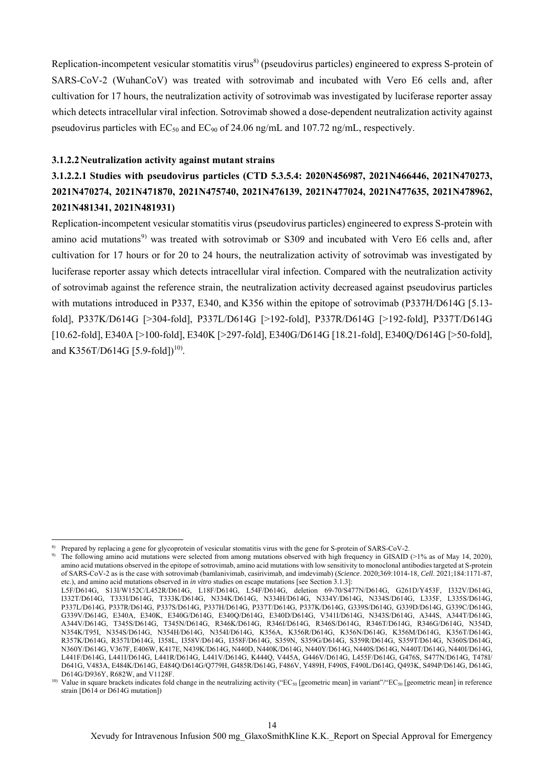Replication-incompetent vesicular stomatitis virus<sup>8)</sup> (pseudovirus particles) engineered to express S-protein of SARS-CoV-2 (WuhanCoV) was treated with sotrovimab and incubated with Vero E6 cells and, after cultivation for 17 hours, the neutralization activity of sotrovimab was investigated by luciferase reporter assay which detects intracellular viral infection. Sotrovimab showed a dose-dependent neutralization activity against pseudovirus particles with  $EC_{50}$  and  $EC_{90}$  of 24.06 ng/mL and 107.72 ng/mL, respectively.

### **3.1.2.2 Neutralization activity against mutant strains**

# **3.1.2.2.1 Studies with pseudovirus particles (CTD 5.3.5.4: 2020N456987, 2021N466446, 2021N470273, 2021N470274, 2021N471870, 2021N475740, 2021N476139, 2021N477024, 2021N477635, 2021N478962, 2021N481341, 2021N481931)**

Replication-incompetent vesicular stomatitis virus (pseudovirus particles) engineered to express S-protein with amino acid mutations<sup>9)</sup> was treated with sotrovimab or S309 and incubated with Vero E6 cells and, after cultivation for 17 hours or for 20 to 24 hours, the neutralization activity of sotrovimab was investigated by luciferase reporter assay which detects intracellular viral infection. Compared with the neutralization activity of sotrovimab against the reference strain, the neutralization activity decreased against pseudovirus particles with mutations introduced in P337, E340, and K356 within the epitope of sotrovimab (P337H/D614G [5.13 fold], P337K/D614G [>304-fold], P337L/D614G [>192-fold], P337R/D614G [>192-fold], P337T/D614G [10.62-fold], E340A [>100-fold], E340K [>297-fold], E340G/D614G [18.21-fold], E340Q/D614G [>50-fold], and K356T/D614G [5.9-fold])<sup>10)</sup>.

 $\overline{a}$ 

<sup>8)</sup> Prepared by replacing a gene for glycoprotein of vesicular stomatitis virus with the gene for S-protein of SARS-CoV-2.

<sup>&</sup>lt;sup>9)</sup> The following amino acid mutations were selected from among mutations observed with high frequency in GISAID ( $>1\%$  as of May 14, 2020), amino acid mutations observed in the epitope of sotrovimab, amino acid mutations with low sensitivity to monoclonal antibodies targeted at S-protein of SARS-CoV-2 as is the case with sotrovimab (bamlanivimab, casirivimab, and imdevimab) (*Science*. 2020;369:1014-18, *Cell*. 2021;184:1171-87, etc.), and amino acid mutations observed in *in vitro* studies on escape mutations [see Section 3.1.3]:

L5F/D614G, S13I/W152C/L452R/D614G, L18F/D614G, L54F/D614G, deletion 69-70/S477N/D614G, G261D/Y453F, I332V/D614G, I332T/D614G, T333I/D614G, T333K/D614G, N334K/D614G, N334H/D614G, N334Y/D614G, N334S/D614G, L335F, L335S/D614G, P337L/D614G, P337R/D614G, P337S/D614G, P337H/D614G, P337T/D614G, P337K/D614G, G339S/D614G, G339D/D614G, G339C/D614G, G339V/D614G, E340A, E340K, E340G/D614G, E340Q/D614G, E340D/D614G, V341I/D614G, N343S/D614G, A344S, A344T/D614G, A344V/D614G, T345S/D614G, T345N/D614G, R346K/D614G, R346I/D614G, R346S/D614G, R346T/D614G, R346G/D614G, N354D, N354K/T95I, N354S/D614G, N354H/D614G, N354I/D614G, K356A, K356R/D614G, K356N/D614G, K356M/D614G, K356T/D614G, R357K/D614G, R357I/D614G, I358L, I358V/D614G, I358F/D614G, S359N, S359G/D614G, S359R/D614G, S359T/D614G, N360S/D614G, N360Y/D614G, V367F, E406W, K417E, N439K/D614G, N440D, N440K/D614G, N440Y/D614G, N440S/D614G, N440T/D614G, N440I/D614G, L441F/D614G, L441I/D614G, L441R/D614G, L441V/D614G, K444Q, V445A, G446V/D614G, L455F/D614G, G476S, S477N/D614G, T478I/ D641G, V483A, E484K/D614G, E484Q/D614G/Q779H, G485R/D614G, F486V, Y489H, F490S, F490L/D614G, Q493K, S494P/D614G, D614G, D614G/D936Y, R682W, and V1128F.

<sup>&</sup>lt;sup>10)</sup> Value in square brackets indicates fold change in the neutralizing activity ("EC<sub>50</sub> [geometric mean] in variant"/"EC<sub>50</sub> [geometric mean] in reference strain [D614 or D614G mutation])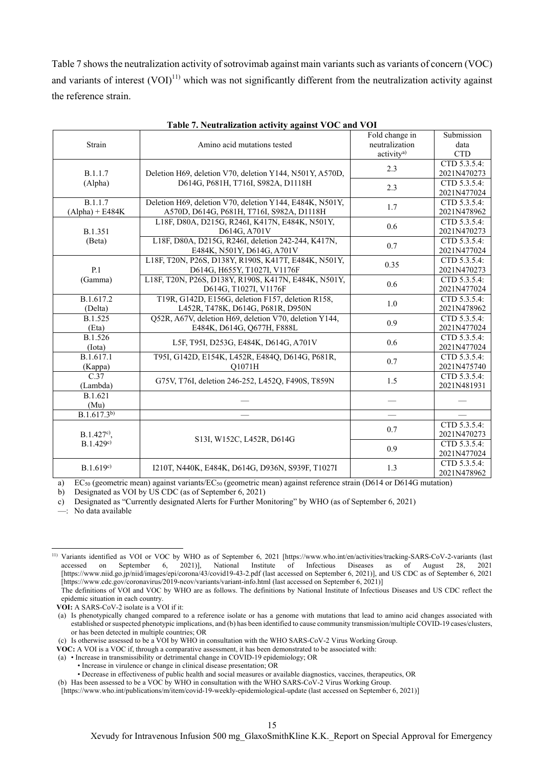Table 7 shows the neutralization activity of sotrovimab against main variants such as variants of concern (VOC) and variants of interest  $(VOI)^{11}$  which was not significantly different from the neutralization activity against the reference strain.

|                   |                                                          | Fold change in           | Submission   |
|-------------------|----------------------------------------------------------|--------------------------|--------------|
| Strain            | Amino acid mutations tested                              | neutralization           | data         |
|                   |                                                          | activity <sup>a)</sup>   | <b>CTD</b>   |
|                   |                                                          | 2.3                      | CTD 5.3.5.4: |
| B.1.1.7           | Deletion H69, deletion V70, deletion Y144, N501Y, A570D, |                          | 2021N470273  |
| (Alpha)           | D614G, P681H, T716I, S982A, D1118H                       | 2.3                      | CTD 5.3.5.4: |
|                   |                                                          |                          | 2021N477024  |
| B.1.1.7           | Deletion H69, deletion V70, deletion Y144, E484K, N501Y, | 1.7                      | CTD 5.3.5.4: |
| $(Alpha) + E484K$ | A570D, D614G, P681H, T716I, S982A, D1118H                |                          | 2021N478962  |
|                   | L18F, D80A, D215G, R246I, K417N, E484K, N501Y,           | 0.6                      | CTD 5.3.5.4: |
| <b>B.1.351</b>    | D614G, A701V                                             |                          | 2021N470273  |
| (Beta)            | L18F, D80A, D215G, R246I, deletion 242-244, K417N,       | 0.7                      | CTD 5.3.5.4: |
|                   | E484K, N501Y, D614G, A701V                               |                          | 2021N477024  |
|                   | L18F, T20N, P26S, D138Y, R190S, K417T, E484K, N501Y,     | 0.35                     | CTD 5.3.5.4: |
| P.1               | D614G, H655Y, T1027I, V1176F                             |                          | 2021N470273  |
| (Gamma)           | L18F, T20N, P26S, D138Y, R190S, K417N, E484K, N501Y,     | 0.6                      | CTD 5.3.5.4: |
|                   | D614G, T1027I, V1176F                                    |                          | 2021N477024  |
| B.1.617.2         | T19R, G142D, E156G, deletion F157, deletion R158,        |                          | CTD 5.3.5.4: |
| (Delta)           | L452R, T478K, D614G, P681R, D950N                        | 1.0                      | 2021N478962  |
| B.1.525           | Q52R, A67V, deletion H69, deletion V70, deletion Y144,   | 0.9                      | CTD 5.3.5.4: |
| (Eta)             | E484K, D614G, Q677H, F888L                               |                          | 2021N477024  |
| B.1.526           |                                                          | 0.6                      | CTD 5.3.5.4: |
| $($ Iota $)$      | L5F, T95I, D253G, E484K, D614G, A701V                    |                          | 2021N477024  |
| B.1.617.1         | T95I, G142D, E154K, L452R, E484Q, D614G, P681R,          | 0.7                      | CTD 5.3.5.4: |
| (Kappa)           | O1071H                                                   |                          | 2021N475740  |
| C.37              | G75V, T76I, deletion 246-252, L452Q, F490S, T859N        | 1.5                      | CTD 5.3.5.4: |
| (Lambda)          |                                                          |                          | 2021N481931  |
| B.1.621           |                                                          |                          |              |
| (Mu)              |                                                          |                          |              |
| $B.1.617.3^{b}$   |                                                          | $\overline{\phantom{m}}$ |              |
|                   |                                                          | 0.7                      | CTD 5.3.5.4: |
| $B.1.427c$ ,      | S13I, W152C, L452R, D614G                                |                          | 2021N470273  |
| B.1.429c)         |                                                          | 0.9                      | CTD 5.3.5.4: |
|                   |                                                          |                          | 2021N477024  |
| B.1.619c)         | I210T, N440K, E484K, D614G, D936N, S939F, T1027I         | 1.3                      | CTD 5.3.5.4: |
|                   |                                                          |                          | 2021N478962  |

a) EC<sub>50</sub> (geometric mean) against variants/EC<sub>50</sub> (geometric mean) against reference strain (D614 or D614G mutation)

b) Designated as VOI by US CDC (as of September 6, 2021)

c) Designated as "Currently designated Alerts for Further Monitoring" by WHO (as of September 6, 2021)

—: No data available

 $\overline{a}$ 

**VOC:** A VOI is a VOC if, through a comparative assessment, it has been demonstrated to be associated with:

<sup>11)</sup> Variants identified as VOI or VOC by WHO as of September 6, 2021 [https://www.who.int/en/activities/tracking-SARS-CoV-2-variants (last accessed on September 6, 2021)], National Institute of Infectious Diseases as of August 28, 2021 [https://www.niid.go.jp/niid/images/epi/corona/43/covid19-43-2.pdf (last accessed on September 6, 2021)], and US CDC as of September 6, 2021 [https://www.cdc.gov/coronavirus/2019-ncov/variants/variant-info.html (last accessed on September 6, 2021)]

The definitions of VOI and VOC by WHO are as follows. The definitions by National Institute of Infectious Diseases and US CDC reflect the epidemic situation in each country.

**VOI:** A SARS-CoV-2 isolate is a VOI if it:

<sup>(</sup>a) Is phenotypically changed compared to a reference isolate or has a genome with mutations that lead to amino acid changes associated with established or suspected phenotypic implications, and (b) has been identified to cause community transmission/multiple COVID-19 cases/clusters, or has been detected in multiple countries; OR

<sup>(</sup>c) Is otherwise assessed to be a VOI by WHO in consultation with the WHO SARS-CoV-2 Virus Working Group.

<sup>(</sup>a) • Increase in transmissibility or detrimental change in COVID-19 epidemiology; OR

<sup>•</sup> Increase in virulence or change in clinical disease presentation; OR

<sup>•</sup> Decrease in effectiveness of public health and social measures or available diagnostics, vaccines, therapeutics, OR

<sup>(</sup>b) Has been assessed to be a VOC by WHO in consultation with the WHO SARS-CoV-2 Virus Working Group.

<sup>[</sup>https://www.who.int/publications/m/item/covid-19-weekly-epidemiological-update (last accessed on September 6, 2021)]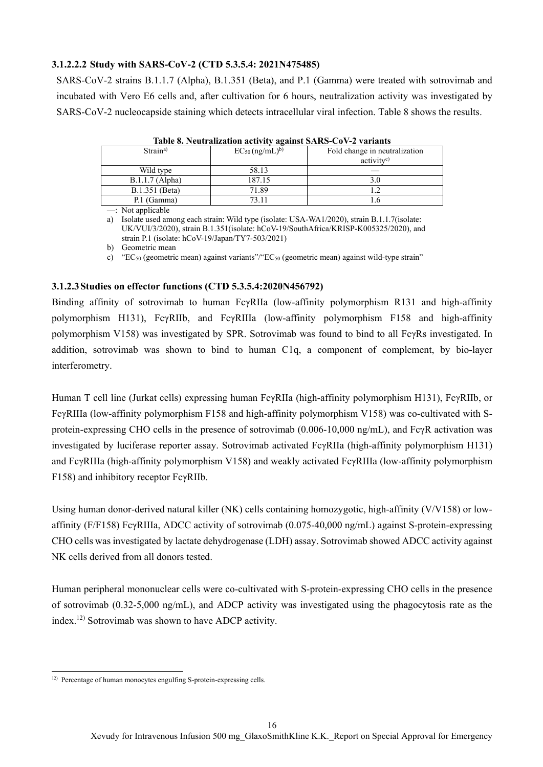### **3.1.2.2.2 Study with SARS-CoV-2 (CTD 5.3.5.4: 2021N475485)**

SARS-CoV-2 strains B.1.1.7 (Alpha), B.1.351 (Beta), and P.1 (Gamma) were treated with sotrovimab and incubated with Vero E6 cells and, after cultivation for 6 hours, neutralization activity was investigated by SARS-CoV-2 nucleocapside staining which detects intracellular viral infection. Table 8 shows the results.

| Table 8. Neutralization activity against SARS-CoV-2 variants |                                 |                                                         |  |  |  |  |  |
|--------------------------------------------------------------|---------------------------------|---------------------------------------------------------|--|--|--|--|--|
| Strain <sup>a)</sup>                                         | $EC_{50}$ (ng/mL) <sup>b)</sup> | Fold change in neutralization<br>activity <sup>c)</sup> |  |  |  |  |  |
| Wild type                                                    | 58.13                           |                                                         |  |  |  |  |  |
| $B.1.1.7$ (Alpha)                                            | 187.15                          | 3.0                                                     |  |  |  |  |  |
| B.1.351 (Beta)                                               | 71.89                           |                                                         |  |  |  |  |  |
| P.1 (Gamma)                                                  | 73.11                           |                                                         |  |  |  |  |  |

**Table 8. Neutralization activity against SARS-CoV-2 variants**

—: Not applicable

a) Isolate used among each strain: Wild type (isolate: USA-WA1/2020), strain B.1.1.7(isolate: UK/VUI/3/2020), strain B.1.351(isolate: hCoV-19/SouthAfrica/KRISP-K005325/2020), and strain P.1 (isolate: hCoV-19/Japan/TY7-503/2021)

b) Geometric mean

c) "EC50 (geometric mean) against variants"/"EC50 (geometric mean) against wild-type strain"

### **3.1.2.3 Studies on effector functions (CTD 5.3.5.4:2020N456792)**

Binding affinity of sotrovimab to human FcγRIIa (low-affinity polymorphism R131 and high-affinity polymorphism H131), FcγRIIb, and FcγRIIIa (low-affinity polymorphism F158 and high-affinity polymorphism V158) was investigated by SPR. Sotrovimab was found to bind to all FcγRs investigated. In addition, sotrovimab was shown to bind to human C1q, a component of complement, by bio-layer interferometry.

Human T cell line (Jurkat cells) expressing human FcγRIIa (high-affinity polymorphism H131), FcγRIIb, or FcγRIIIa (low-affinity polymorphism F158 and high-affinity polymorphism V158) was co-cultivated with Sprotein-expressing CHO cells in the presence of sotrovimab (0.006-10,000 ng/mL), and FcγR activation was investigated by luciferase reporter assay. Sotrovimab activated FcγRIIa (high-affinity polymorphism H131) and FcγRIIIa (high-affinity polymorphism V158) and weakly activated FcγRIIIa (low-affinity polymorphism F158) and inhibitory receptor FcγRIIb.

Using human donor-derived natural killer (NK) cells containing homozygotic, high-affinity (V/V158) or lowaffinity (F/F158) FcγRIIIa, ADCC activity of sotrovimab (0.075-40,000 ng/mL) against S-protein-expressing CHO cells was investigated by lactate dehydrogenase (LDH) assay. Sotrovimab showed ADCC activity against NK cells derived from all donors tested.

Human peripheral mononuclear cells were co-cultivated with S-protein-expressing CHO cells in the presence of sotrovimab (0.32-5,000 ng/mL), and ADCP activity was investigated using the phagocytosis rate as the index.12) Sotrovimab was shown to have ADCP activity.

 $\overline{a}$ <sup>12)</sup> Percentage of human monocytes engulfing S-protein-expressing cells.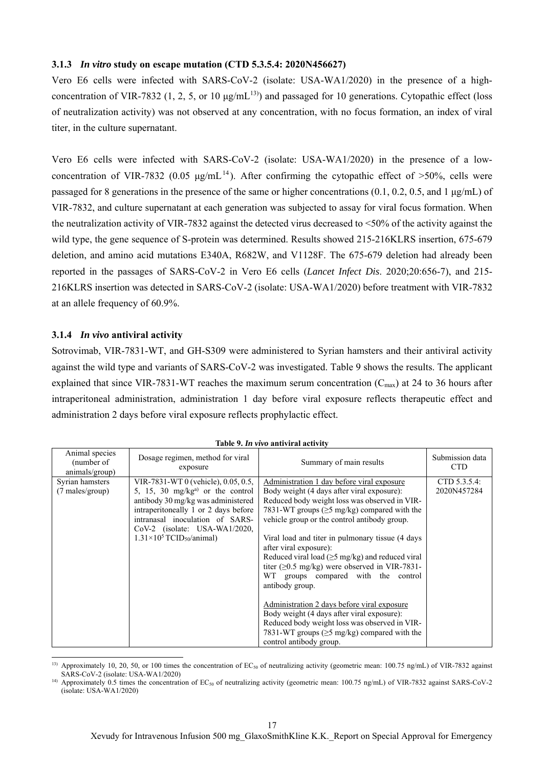### **3.1.3** *In vitro* **study on escape mutation (CTD 5.3.5.4: 2020N456627)**

Vero E6 cells were infected with SARS-CoV-2 (isolate: USA-WA1/2020) in the presence of a highconcentration of VIR-7832 (1, 2, 5, or 10  $\mu$ g/mL<sup>13)</sup>) and passaged for 10 generations. Cytopathic effect (loss of neutralization activity) was not observed at any concentration, with no focus formation, an index of viral titer, in the culture supernatant.

Vero E6 cells were infected with SARS-CoV-2 (isolate: USA-WA1/2020) in the presence of a lowconcentration of VIR-7832 (0.05  $\mu$ g/mL<sup>14</sup>). After confirming the cytopathic effect of >50%, cells were passaged for 8 generations in the presence of the same or higher concentrations (0.1, 0.2, 0.5, and 1 μg/mL) of VIR-7832, and culture supernatant at each generation was subjected to assay for viral focus formation. When the neutralization activity of VIR-7832 against the detected virus decreased to <50% of the activity against the wild type, the gene sequence of S-protein was determined. Results showed 215-216KLRS insertion, 675-679 deletion, and amino acid mutations E340A, R682W, and V1128F. The 675-679 deletion had already been reported in the passages of SARS-CoV-2 in Vero E6 cells (*Lancet Infect Dis*. 2020;20:656-7), and 215- 216KLRS insertion was detected in SARS-CoV-2 (isolate: USA-WA1/2020) before treatment with VIR-7832 at an allele frequency of 60.9%.

### **3.1.4** *In vivo* **antiviral activity**

 $\overline{a}$ 

Sotrovimab, VIR-7831-WT, and GH-S309 were administered to Syrian hamsters and their antiviral activity against the wild type and variants of SARS-CoV-2 was investigated. Table 9 shows the results. The applicant explained that since VIR-7831-WT reaches the maximum serum concentration  $(C_{\text{max}})$  at 24 to 36 hours after intraperitoneal administration, administration 1 day before viral exposure reflects therapeutic effect and administration 2 days before viral exposure reflects prophylactic effect.

| Animal species<br>(number of<br>animals/group) | Dosage regimen, method for viral<br>exposure                                                                                                                                                                                                                                            | Summary of main results                                                                                                                                                                                                                                                                                                                                                                                                                                                                                                                                                                                                                                                                                                                   | Submission data<br><b>CTD</b> |
|------------------------------------------------|-----------------------------------------------------------------------------------------------------------------------------------------------------------------------------------------------------------------------------------------------------------------------------------------|-------------------------------------------------------------------------------------------------------------------------------------------------------------------------------------------------------------------------------------------------------------------------------------------------------------------------------------------------------------------------------------------------------------------------------------------------------------------------------------------------------------------------------------------------------------------------------------------------------------------------------------------------------------------------------------------------------------------------------------------|-------------------------------|
| Syrian hamsters<br>(7 males/group)             | VIR-7831-WT 0 (vehicle), 0.05, 0.5,<br>5, 15, 30 mg/kg <sup>a)</sup> or the control<br>antibody 30 mg/kg was administered<br>intraperitoneally 1 or 2 days before<br>intranasal inoculation of SARS-<br>$CoV-2$ (isolate: USA-WA1/2020,<br>$1.31\times10^5$ TCID <sub>50</sub> /animal) | Administration 1 day before viral exposure<br>Body weight (4 days after viral exposure):<br>Reduced body weight loss was observed in VIR-<br>7831-WT groups ( $\geq$ 5 mg/kg) compared with the<br>vehicle group or the control antibody group.<br>Viral load and titer in pulmonary tissue (4 days)<br>after viral exposure):<br>Reduced viral load ( $\geq$ 5 mg/kg) and reduced viral<br>titer ( $\geq$ 0.5 mg/kg) were observed in VIR-7831-<br>WT groups compared with the control<br>antibody group.<br>Administration 2 days before viral exposure<br>Body weight (4 days after viral exposure):<br>Reduced body weight loss was observed in VIR-<br>7831-WT groups ( $\geq$ 5 mg/kg) compared with the<br>control antibody group. | CTD 5.3.5.4:<br>2020N457284   |

| Table 9. In vivo antiviral activity |  |  |  |  |  |
|-------------------------------------|--|--|--|--|--|
|-------------------------------------|--|--|--|--|--|

<sup>&</sup>lt;sup>13)</sup> Approximately 10, 20, 50, or 100 times the concentration of  $EC_{50}$  of neutralizing activity (geometric mean: 100.75 ng/mL) of VIR-7832 against SARS-CoV-2 (isolate: USA-WA1/2020)

<sup>&</sup>lt;sup>14)</sup> Approximately 0.5 times the concentration of  $EC_{50}$  of neutralizing activity (geometric mean: 100.75 ng/mL) of VIR-7832 against SARS-CoV-2 (isolate: USA-WA1/2020)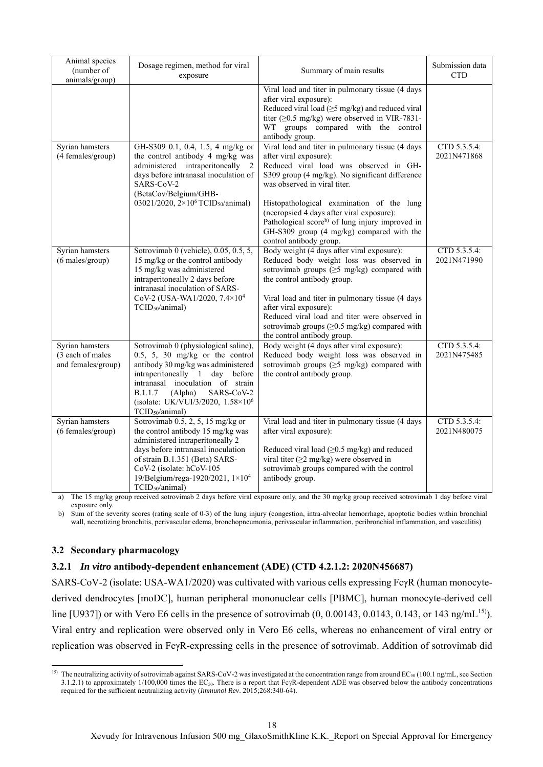| Animal species<br>(number of<br>animals/group)            | Dosage regimen, method for viral<br>exposure                                                                                                                                                                                                                                                                     | Summary of main results                                                                                                                                                                                                                                                                                                                                                                                                                   | Submission data<br><b>CTD</b> |
|-----------------------------------------------------------|------------------------------------------------------------------------------------------------------------------------------------------------------------------------------------------------------------------------------------------------------------------------------------------------------------------|-------------------------------------------------------------------------------------------------------------------------------------------------------------------------------------------------------------------------------------------------------------------------------------------------------------------------------------------------------------------------------------------------------------------------------------------|-------------------------------|
|                                                           |                                                                                                                                                                                                                                                                                                                  | Viral load and titer in pulmonary tissue (4 days<br>after viral exposure):<br>Reduced viral load $(\geq 5 \text{ mg/kg})$ and reduced viral<br>titer ( $\geq$ 0.5 mg/kg) were observed in VIR-7831-<br>WT groups compared with the control<br>antibody group.                                                                                                                                                                             |                               |
| Syrian hamsters<br>(4 females/group)                      | GH-S309 0.1, 0.4, 1.5, 4 mg/kg or<br>the control antibody 4 mg/kg was<br>administered intraperitoneally 2<br>days before intranasal inoculation of<br>SARS-CoV-2<br>(BetaCov/Belgium/GHB-<br>03021/2020, 2×10 <sup>6</sup> TCID <sub>50</sub> /animal)                                                           | Viral load and titer in pulmonary tissue (4 days<br>after viral exposure):<br>Reduced viral load was observed in GH-<br>S309 group (4 mg/kg). No significant difference<br>was observed in viral titer.<br>Histopathological examination of the lung<br>(necropsied 4 days after viral exposure):<br>Pathological score <sup>b</sup> ) of lung injury improved in<br>GH-S309 group (4 mg/kg) compared with the<br>control antibody group. | CTD 5.3.5.4:<br>2021N471868   |
| Syrian hamsters<br>(6 males/group)                        | Sotrovimab 0 (vehicle), $0.05, 0.5, 5$ ,<br>15 mg/kg or the control antibody<br>15 mg/kg was administered<br>intraperitoneally 2 days before<br>intranasal inoculation of SARS-<br>CoV-2 (USA-WA1/2020, 7.4×10 <sup>4</sup><br>TCID <sub>50</sub> /animal)                                                       | Body weight (4 days after viral exposure):<br>Reduced body weight loss was observed in<br>sotrovimab groups $(\geq 5 \text{ mg/kg})$ compared with<br>the control antibody group.<br>Viral load and titer in pulmonary tissue (4 days<br>after viral exposure):<br>Reduced viral load and titer were observed in<br>sotrovimab groups $(\geq 0.5 \text{ mg/kg})$ compared with<br>the control antibody group.                             | CTD 5.3.5.4:<br>2021N471990   |
| Syrian hamsters<br>(3 each of males<br>and females/group) | Sotrovimab 0 (physiological saline),<br>$0.5, 5, 30$ mg/kg or the control<br>antibody 30 mg/kg was administered<br>intraperitoneally 1 day before<br>intranasal inoculation of strain<br>SARS-CoV-2<br><b>B.1.1.7</b><br>(Alpha)<br>(isolate: UK/VUI/3/2020, 1.58×10 <sup>6</sup><br>TCID <sub>50</sub> /animal) | Body weight (4 days after viral exposure):<br>Reduced body weight loss was observed in<br>sotrovimab groups $(\geq 5 \text{ mg/kg})$ compared with<br>the control antibody group.                                                                                                                                                                                                                                                         | CTD 5.3.5.4:<br>2021N475485   |
| Syrian hamsters<br>(6 females/group)                      | Sotrovimab $0.5$ , $2$ , $5$ , $15$ mg/kg or<br>the control antibody 15 mg/kg was<br>administered intraperitoneally 2<br>days before intranasal inoculation<br>of strain B.1.351 (Beta) SARS-<br>CoV-2 (isolate: hCoV-105<br>19/Belgium/rega-1920/2021, 1×10 <sup>4</sup><br>TCID <sub>50</sub> /animal)         | Viral load and titer in pulmonary tissue (4 days<br>after viral exposure):<br>Reduced viral load $(≥0.5$ mg/kg) and reduced<br>viral titer ( $\geq$ 2 mg/kg) were observed in<br>sotrovimab groups compared with the control<br>antibody group.                                                                                                                                                                                           | CTD 5.3.5.4:<br>2021N480075   |

a) The 15 mg/kg group received sotrovimab 2 days before viral exposure only, and the 30 mg/kg group received sotrovimab 1 day before viral exposure only.

b) Sum of the severity scores (rating scale of 0-3) of the lung injury (congestion, intra-alveolar hemorrhage, apoptotic bodies within bronchial wall, necrotizing bronchitis, perivascular edema, bronchopneumonia, perivascular inflammation, peribronchial inflammation, and vasculitis)

## **3.2 Secondary pharmacology**

 $\overline{a}$ 

### **3.2.1** *In vitro* **antibody-dependent enhancement (ADE) (CTD 4.2.1.2: 2020N456687)**

SARS-CoV-2 (isolate: USA-WA1/2020) was cultivated with various cells expressing FcγR (human monocytederived dendrocytes [moDC], human peripheral mononuclear cells [PBMC], human monocyte-derived cell line [U937]) or with Vero E6 cells in the presence of sotrovimab  $(0, 0.00143, 0.0143, 0.143,$  or 143 ng/mL<sup>15</sup>). Viral entry and replication were observed only in Vero E6 cells, whereas no enhancement of viral entry or replication was observed in FcγR-expressing cells in the presence of sotrovimab. Addition of sotrovimab did

<sup>&</sup>lt;sup>15)</sup> The neutralizing activity of sotrovimab against SARS-CoV-2 was investigated at the concentration range from around  $EC_{50}$  (100.1 ng/mL, see Section 3.1.2.1) to approximately 1/100,000 times the EC50. There is a report that FcγR-dependent ADE was observed below the antibody concentrations required for the sufficient neutralizing activity (*Immunol Rev*. 2015;268:340-64).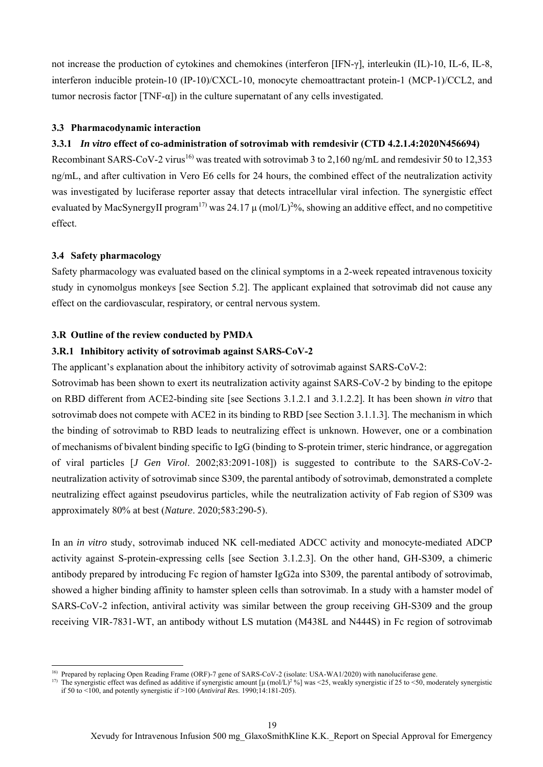not increase the production of cytokines and chemokines (interferon [IFN-γ], interleukin (IL)-10, IL-6, IL-8, interferon inducible protein-10 (IP-10)/CXCL-10, monocyte chemoattractant protein-1 (MCP-1)/CCL2, and tumor necrosis factor  $[TNF-\alpha]$  in the culture supernatant of any cells investigated.

#### **3.3 Pharmacodynamic interaction**

### **3.3.1** *In vitro* **effect of co-administration of sotrovimab with remdesivir (CTD 4.2.1.4:2020N456694)**

Recombinant SARS-CoV-2 virus<sup>16)</sup> was treated with sotrovimab 3 to 2,160 ng/mL and remdesivir 50 to 12,353 ng/mL, and after cultivation in Vero E6 cells for 24 hours, the combined effect of the neutralization activity was investigated by luciferase reporter assay that detects intracellular viral infection. The synergistic effect evaluated by MacSynergyII program<sup>17)</sup> was 24.17  $\mu$  (mol/L)<sup>2</sup>%, showing an additive effect, and no competitive effect.

#### **3.4 Safety pharmacology**

 $\overline{a}$ 

Safety pharmacology was evaluated based on the clinical symptoms in a 2-week repeated intravenous toxicity study in cynomolgus monkeys [see Section 5.2]. The applicant explained that sotrovimab did not cause any effect on the cardiovascular, respiratory, or central nervous system.

#### **3.R Outline of the review conducted by PMDA**

#### **3.R.1 Inhibitory activity of sotrovimab against SARS-CoV-2**

The applicant's explanation about the inhibitory activity of sotrovimab against SARS-CoV-2:

Sotrovimab has been shown to exert its neutralization activity against SARS-CoV-2 by binding to the epitope on RBD different from ACE2-binding site [see Sections 3.1.2.1 and 3.1.2.2]. It has been shown *in vitro* that sotrovimab does not compete with ACE2 in its binding to RBD [see Section 3.1.1.3]. The mechanism in which the binding of sotrovimab to RBD leads to neutralizing effect is unknown. However, one or a combination of mechanisms of bivalent binding specific to IgG (binding to S-protein trimer, steric hindrance, or aggregation of viral particles [*J Gen Virol*. 2002;83:2091-108]) is suggested to contribute to the SARS-CoV-2 neutralization activity of sotrovimab since S309, the parental antibody of sotrovimab, demonstrated a complete neutralizing effect against pseudovirus particles, while the neutralization activity of Fab region of S309 was approximately 80% at best (*Nature*. 2020;583:290-5).

In an *in vitro* study, sotrovimab induced NK cell-mediated ADCC activity and monocyte-mediated ADCP activity against S-protein-expressing cells [see Section 3.1.2.3]. On the other hand, GH-S309, a chimeric antibody prepared by introducing Fc region of hamster IgG2a into S309, the parental antibody of sotrovimab, showed a higher binding affinity to hamster spleen cells than sotrovimab. In a study with a hamster model of SARS-CoV-2 infection, antiviral activity was similar between the group receiving GH-S309 and the group receiving VIR-7831-WT, an antibody without LS mutation (M438L and N444S) in Fc region of sotrovimab

<sup>&</sup>lt;sup>16)</sup> Prepared by replacing Open Reading Frame (ORF)-7 gene of SARS-CoV-2 (isolate: USA-WA1/2020) with nanoluciferase gene.

<sup>&</sup>lt;sup>17)</sup> The synergistic effect was defined as additive if synergistic amount [ $\mu$  (mol/L)<sup>2</sup>%] was <25, weakly synergistic if 25 to <50, moderately synergistic if 50 to <100, and potently synergistic if >100 (*Antiviral Res*. 1990;14:181-205).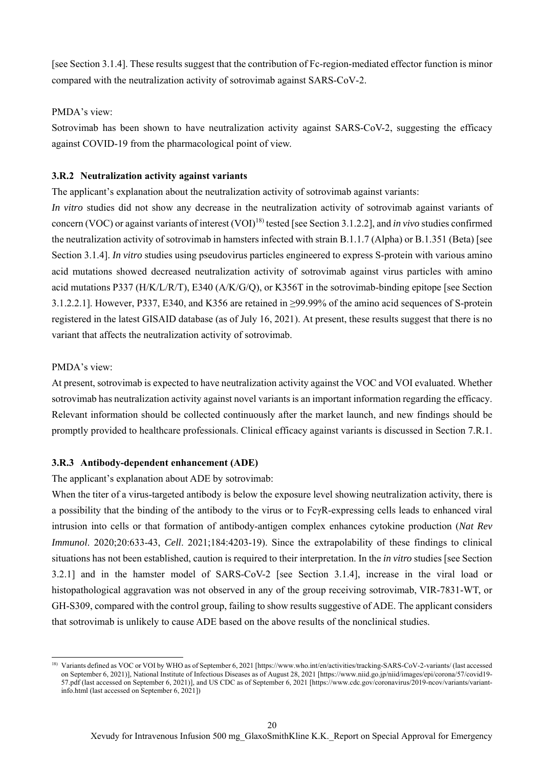[see Section 3.1.4]. These results suggest that the contribution of Fc-region-mediated effector function is minor compared with the neutralization activity of sotrovimab against SARS-CoV-2.

#### PMDA's view:

Sotrovimab has been shown to have neutralization activity against SARS-CoV-2, suggesting the efficacy against COVID-19 from the pharmacological point of view.

#### **3.R.2 Neutralization activity against variants**

The applicant's explanation about the neutralization activity of sotrovimab against variants:

*In vitro* studies did not show any decrease in the neutralization activity of sotrovimab against variants of concern (VOC) or against variants of interest (VOI)<sup>18)</sup> tested [see Section 3.1.2.2], and *in vivo* studies confirmed the neutralization activity of sotrovimab in hamsters infected with strain B.1.1.7 (Alpha) or B.1.351 (Beta) [see Section 3.1.4]. *In vitro* studies using pseudovirus particles engineered to express S-protein with various amino acid mutations showed decreased neutralization activity of sotrovimab against virus particles with amino acid mutations P337 (H/K/L/R/T), E340 (A/K/G/Q), or K356T in the sotrovimab-binding epitope [see Section 3.1.2.2.1]. However, P337, E340, and K356 are retained in ≥99.99% of the amino acid sequences of S-protein registered in the latest GISAID database (as of July 16, 2021). At present, these results suggest that there is no variant that affects the neutralization activity of sotrovimab.

#### PMDA's view:

 $\overline{a}$ 

At present, sotrovimab is expected to have neutralization activity against the VOC and VOI evaluated. Whether sotrovimab has neutralization activity against novel variants is an important information regarding the efficacy. Relevant information should be collected continuously after the market launch, and new findings should be promptly provided to healthcare professionals. Clinical efficacy against variants is discussed in Section 7.R.1.

### **3.R.3 Antibody-dependent enhancement (ADE)**

The applicant's explanation about ADE by sotrovimab:

When the titer of a virus-targeted antibody is below the exposure level showing neutralization activity, there is a possibility that the binding of the antibody to the virus or to FcγR-expressing cells leads to enhanced viral intrusion into cells or that formation of antibody-antigen complex enhances cytokine production (*Nat Rev Immunol*. 2020;20:633-43, *Cell*. 2021;184:4203-19). Since the extrapolability of these findings to clinical situations has not been established, caution is required to their interpretation. In the *in vitro* studies [see Section 3.2.1] and in the hamster model of SARS-CoV-2 [see Section 3.1.4], increase in the viral load or histopathological aggravation was not observed in any of the group receiving sotrovimab, VIR-7831-WT, or GH-S309, compared with the control group, failing to show results suggestive of ADE. The applicant considers that sotrovimab is unlikely to cause ADE based on the above results of the nonclinical studies.

<sup>18)</sup> Variants defined as VOC or VOI by WHO as of September 6, 2021 [https://www.who.int/en/activities/tracking-SARS-CoV-2-variants/ (last accessed on September 6, 2021)], National Institute of Infectious Diseases as of August 28, 2021 [https://www.niid.go.jp/niid/images/epi/corona/57/covid19- 57.pdf (last accessed on September 6, 2021)], and US CDC as of September 6, 2021 [https://www.cdc.gov/coronavirus/2019-ncov/variants/variantinfo.html (last accessed on September 6, 2021])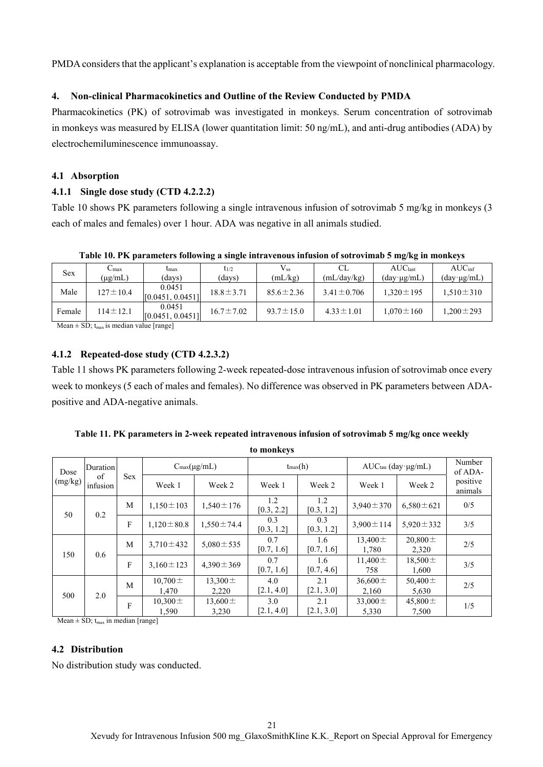PMDA considers that the applicant's explanation is acceptable from the viewpoint of nonclinical pharmacology.

### **4. Non-clinical Pharmacokinetics and Outline of the Review Conducted by PMDA**

Pharmacokinetics (PK) of sotrovimab was investigated in monkeys. Serum concentration of sotrovimab in monkeys was measured by ELISA (lower quantitation limit: 50 ng/mL), and anti-drug antibodies (ADA) by electrochemiluminescence immunoassay.

### **4.1 Absorption**

### **4.1.1 Single dose study (CTD 4.2.2.2)**

Table 10 shows PK parameters following a single intravenous infusion of sotrovimab 5 mg/kg in monkeys (3 each of males and females) over 1 hour. ADA was negative in all animals studied.

| Table 10. PK parameters following a single intravenous infusion of sotrovimab 5 mg/kg in monkeys |  |  |  |  |  |  |  |  |
|--------------------------------------------------------------------------------------------------|--|--|--|--|--|--|--|--|
|                                                                                                  |  |  |  |  |  |  |  |  |

| <b>Sex</b> | $C_{\rm max}$                                        | $_{\rm max}$               | $t_{1/2}$       | $V_{ss}$        | CL               | AUC <sub>last</sub>    | $AUC_{\text{inf}}$                   |
|------------|------------------------------------------------------|----------------------------|-----------------|-----------------|------------------|------------------------|--------------------------------------|
|            | $(\mu$ g/mL)                                         | (davs)                     | (days)          | (mL/kg)         | (mL/day/kg)      | $(day \cdot \mu g/mL)$ | $(\text{day} \cdot \mu \text{g/mL})$ |
| Male       | $127 \pm 10.4$                                       | 0.0451<br>[0.0451, 0.0451] | $18.8 \pm 3.71$ | $85.6 \pm 2.36$ | $3.41 \pm 0.706$ | $1.320 \pm 195$        | $1.510 \pm 310$                      |
| Female     | $114 \pm 12.1$                                       | 0.0451<br>[0.0451, 0.0451] | $16.7 \pm 7.02$ | $93.7 \pm 15.0$ | $4.33 \pm 1.01$  | $1.070 \pm 160$        | $1,200 \pm 293$                      |
|            | $M_{\rm con}$ + $SD_{\rm t}$ is modian value [range] |                            |                 |                 |                  |                        |                                      |

Mean  $\pm$  SD; t<sub>max</sub> is median value [range]

### **4.1.2 Repeated-dose study (CTD 4.2.3.2)**

Table 11 shows PK parameters following 2-week repeated-dose intravenous infusion of sotrovimab once every week to monkeys (5 each of males and females). No difference was observed in PK parameters between ADApositive and ADA-negative animals.

| to monkeys |                |                 |                            |                       |                       |                       |                       |                       |                     |  |
|------------|----------------|-----------------|----------------------------|-----------------------|-----------------------|-----------------------|-----------------------|-----------------------|---------------------|--|
| Dose       | Duration       |                 | $C_{\text{max}}(\mu g/mL)$ |                       | $t_{\text{max}}(h)$   |                       | AUCtau (day·µg/mL)    |                       | Number<br>of ADA-   |  |
| (mg/kg)    | of<br>infusion | <b>Sex</b>      | Week 1                     | Week 2                | Week 1                | Week 2                | Week 1                | Week 2                | positive<br>animals |  |
| 50         | 0.2            | M               | $1,150 \pm 103$            | $1,540 \pm 176$       | 1.2<br>[0.3, 2.2]     | 1.2<br>[0.3, 1.2]     | $3,940 \pm 370$       | $6,580 \pm 621$       | 0/5                 |  |
|            |                | F               | $1.120 \pm 80.8$           | $1.550 \pm 74.4$      | 0.3<br>[0.3, 1.2]     | 0.3<br>[0.3, 1.2]     | $3.900 \pm 114$       | 5,920 $\pm$ 332       | 3/5                 |  |
| 150<br>0.6 | M              | $3,710 \pm 432$ | $5,080 \pm 535$            | 0.7<br>[0.7, 1.6]     | $1.6\,$<br>[0.7, 1.6] | 13,400 $\pm$<br>1.780 | $20,800 \pm$<br>2,320 | 2/5                   |                     |  |
|            |                | F               | $3,160 \pm 123$            | $4,390 \pm 369$       | 0.7<br>[0.7, 1.6]     | 1.6<br>[0.7, 4.6]     | $11,400 \pm$<br>758   | $18,500 \pm$<br>1,600 | 3/5                 |  |
| 500        |                | M               | $10,700 \pm$<br>1,470      | 13,300 $\pm$<br>2,220 | 4.0<br>[2.1, 4.0]     | 2.1<br>[2.1, 3.0]     | $36,600 \pm$<br>2,160 | 50,400 $\pm$<br>5,630 | 2/5                 |  |
|            | 2.0            | F               | $10,300 \pm$<br>1,590      | 13,600 $\pm$<br>3,230 | 3.0<br>[2.1, 4.0]     | 2.1<br>[2.1, 3.0]     | 33,000 $\pm$<br>5,330 | 45,800 $\pm$<br>7,500 | 1/5                 |  |

**Table 11. PK parameters in 2-week repeated intravenous infusion of sotrovimab 5 mg/kg once weekly to monkeys** 

Mean  $\pm$  SD;  $t_{\text{max}}$  in median [range]

### **4.2 Distribution**

No distribution study was conducted.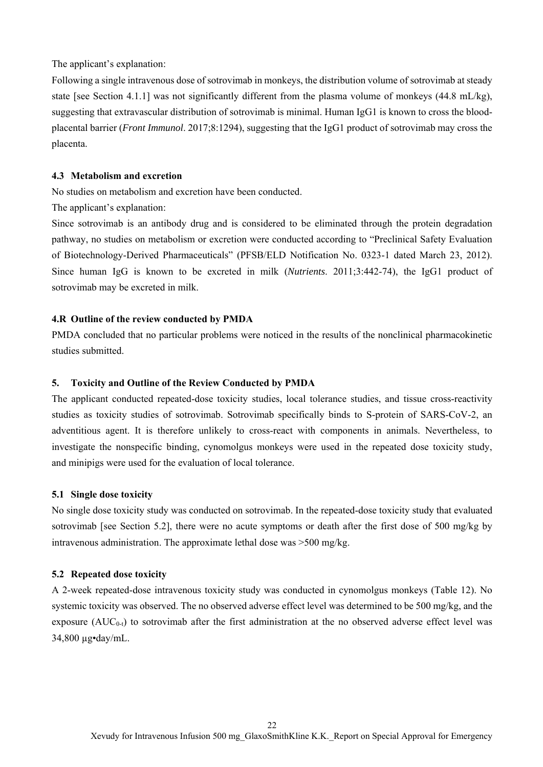The applicant's explanation:

Following a single intravenous dose of sotrovimab in monkeys, the distribution volume of sotrovimab at steady state [see Section 4.1.1] was not significantly different from the plasma volume of monkeys  $(44.8 \text{ mL/kg})$ , suggesting that extravascular distribution of sotrovimab is minimal. Human IgG1 is known to cross the bloodplacental barrier (*Front Immunol*. 2017;8:1294), suggesting that the IgG1 product of sotrovimab may cross the placenta.

#### **4.3 Metabolism and excretion**

No studies on metabolism and excretion have been conducted.

The applicant's explanation:

Since sotrovimab is an antibody drug and is considered to be eliminated through the protein degradation pathway, no studies on metabolism or excretion were conducted according to "Preclinical Safety Evaluation of Biotechnology-Derived Pharmaceuticals" (PFSB/ELD Notification No. 0323-1 dated March 23, 2012). Since human IgG is known to be excreted in milk (*Nutrients*. 2011;3:442-74), the IgG1 product of sotrovimab may be excreted in milk.

#### **4.R Outline of the review conducted by PMDA**

PMDA concluded that no particular problems were noticed in the results of the nonclinical pharmacokinetic studies submitted.

#### **5. Toxicity and Outline of the Review Conducted by PMDA**

The applicant conducted repeated-dose toxicity studies, local tolerance studies, and tissue cross-reactivity studies as toxicity studies of sotrovimab. Sotrovimab specifically binds to S-protein of SARS-CoV-2, an adventitious agent. It is therefore unlikely to cross-react with components in animals. Nevertheless, to investigate the nonspecific binding, cynomolgus monkeys were used in the repeated dose toxicity study, and minipigs were used for the evaluation of local tolerance.

#### **5.1 Single dose toxicity**

No single dose toxicity study was conducted on sotrovimab. In the repeated-dose toxicity study that evaluated sotrovimab [see Section 5.2], there were no acute symptoms or death after the first dose of 500 mg/kg by intravenous administration. The approximate lethal dose was >500 mg/kg.

#### **5.2 Repeated dose toxicity**

A 2-week repeated-dose intravenous toxicity study was conducted in cynomolgus monkeys (Table 12). No systemic toxicity was observed. The no observed adverse effect level was determined to be 500 mg/kg, and the exposure  $(AUC_{0-t})$  to sotrovimab after the first administration at the no observed adverse effect level was 34,800 µg•day/mL.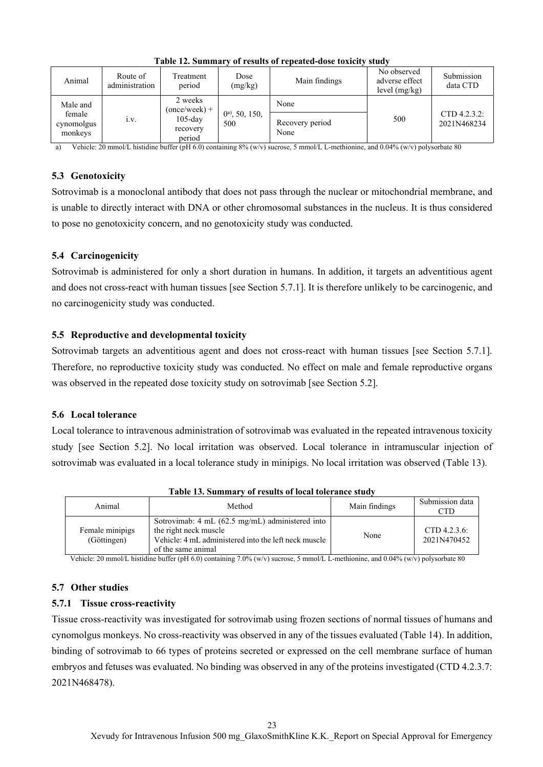| Animal                          | Route of<br>administration | Treatment<br>period              | Dose<br>(mg/kg)           | Main findings           | No observed<br>adverse effect<br>level $(mg/kg)$ | Submission<br>data CTD        |
|---------------------------------|----------------------------|----------------------------------|---------------------------|-------------------------|--------------------------------------------------|-------------------------------|
| Male and                        |                            | 2 weeks<br>$(once/week) +$       |                           | None                    |                                                  |                               |
| female<br>cynomolgus<br>monkeys | 1.V.                       | $105$ -day<br>recovery<br>period | $0^{a}$ , 50, 150,<br>500 | Recovery period<br>None | 500                                              | $CTD$ 4.2.3.2:<br>2021N468234 |

**Table 12. Summary of results of repeated-dose toxicity study** 

a) Vehicle: 20 mmol/L histidine buffer (pH 6.0) containing  $8\%$  (w/v) sucrose, 5 mmol/L L-methionine, and 0.04% (w/v) polysorbate 80

### **5.3 Genotoxicity**

Sotrovimab is a monoclonal antibody that does not pass through the nuclear or mitochondrial membrane, and is unable to directly interact with DNA or other chromosomal substances in the nucleus. It is thus considered to pose no genotoxicity concern, and no genotoxicity study was conducted.

## **5.4 Carcinogenicity**

Sotrovimab is administered for only a short duration in humans. In addition, it targets an adventitious agent and does not cross-react with human tissues [see Section 5.7.1]. It is therefore unlikely to be carcinogenic, and no carcinogenicity study was conducted.

## **5.5 Reproductive and developmental toxicity**

Sotrovimab targets an adventitious agent and does not cross-react with human tissues [see Section 5.7.1]. Therefore, no reproductive toxicity study was conducted. No effect on male and female reproductive organs was observed in the repeated dose toxicity study on sotrovimab [see Section 5.2].

## **5.6 Local tolerance**

Local tolerance to intravenous administration of sotrovimab was evaluated in the repeated intravenous toxicity study [see Section 5.2]. No local irritation was observed. Local tolerance in intramuscular injection of sotrovimab was evaluated in a local tolerance study in minipigs. No local irritation was observed (Table 13).

| Animal                         | Method                                                                                                                                                 | Main findings | Submission data<br>CTD         |
|--------------------------------|--------------------------------------------------------------------------------------------------------------------------------------------------------|---------------|--------------------------------|
| Female minipigs<br>(Göttingen) | Sotrovimab: 4 mL (62.5 mg/mL) administered into<br>the right neck muscle<br>Vehicle: 4 mL administered into the left neck muscle<br>of the same animal | None          | CTD $4.2.3.6$ :<br>2021N470452 |

**Table 13. Summary of results of local tolerance study** 

Vehicle: 20 mmol/L histidine buffer (pH 6.0) containing 7.0% (w/v) sucrose, 5 mmol/L L-methionine, and 0.04% (w/v) polysorbate 80

## **5.7 Other studies**

## **5.7.1 Tissue cross-reactivity**

Tissue cross-reactivity was investigated for sotrovimab using frozen sections of normal tissues of humans and cynomolgus monkeys. No cross-reactivity was observed in any of the tissues evaluated (Table 14). In addition, binding of sotrovimab to 66 types of proteins secreted or expressed on the cell membrane surface of human embryos and fetuses was evaluated. No binding was observed in any of the proteins investigated (CTD 4.2.3.7: 2021N468478).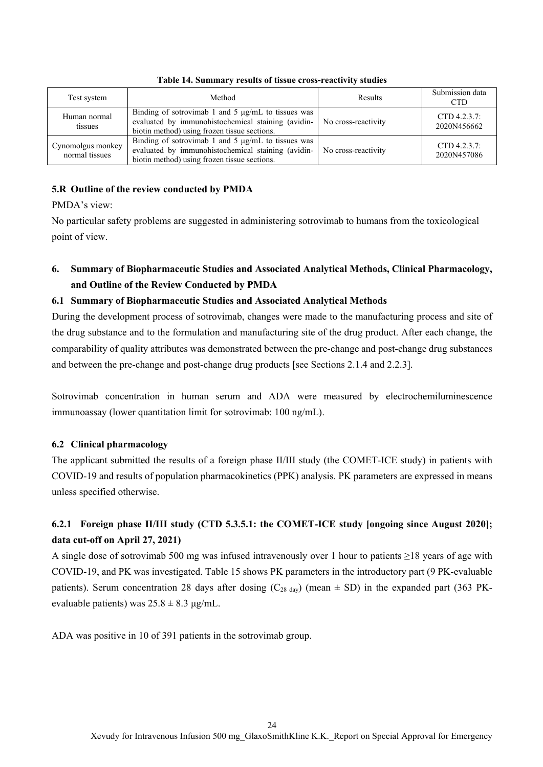| Test system                         | Method                                                                                                                                                        | Results             | Submission data<br><b>CTD</b>  |
|-------------------------------------|---------------------------------------------------------------------------------------------------------------------------------------------------------------|---------------------|--------------------------------|
| Human normal<br>tissues             | Binding of sotrovimab 1 and 5 $\mu$ g/mL to tissues was<br>evaluated by immunohistochemical staining (avidin-<br>biotin method) using frozen tissue sections. | No cross-reactivity | CTD $4.2.3.7$ :<br>2020N456662 |
| Cynomolgus monkey<br>normal tissues | Binding of sotrovimab 1 and 5 $\mu$ g/mL to tissues was<br>evaluated by immunohistochemical staining (avidin-<br>biotin method) using frozen tissue sections. | No cross-reactivity | CTD $4.2.3.7$ :<br>2020N457086 |

**Table 14. Summary results of tissue cross-reactivity studies** 

## **5.R Outline of the review conducted by PMDA**

PMDA's view:

No particular safety problems are suggested in administering sotrovimab to humans from the toxicological point of view.

# **6. Summary of Biopharmaceutic Studies and Associated Analytical Methods, Clinical Pharmacology, and Outline of the Review Conducted by PMDA**

## **6.1 Summary of Biopharmaceutic Studies and Associated Analytical Methods**

During the development process of sotrovimab, changes were made to the manufacturing process and site of the drug substance and to the formulation and manufacturing site of the drug product. After each change, the comparability of quality attributes was demonstrated between the pre-change and post-change drug substances and between the pre-change and post-change drug products [see Sections 2.1.4 and 2.2.3].

Sotrovimab concentration in human serum and ADA were measured by electrochemiluminescence immunoassay (lower quantitation limit for sotrovimab: 100 ng/mL).

## **6.2 Clinical pharmacology**

The applicant submitted the results of a foreign phase II/III study (the COMET-ICE study) in patients with COVID-19 and results of population pharmacokinetics (PPK) analysis. PK parameters are expressed in means unless specified otherwise.

# **6.2.1 Foreign phase II/III study (CTD 5.3.5.1: the COMET-ICE study [ongoing since August 2020]; data cut-off on April 27, 2021)**

A single dose of sotrovimab 500 mg was infused intravenously over 1 hour to patients  $\geq$ 18 years of age with COVID-19, and PK was investigated. Table 15 shows PK parameters in the introductory part (9 PK-evaluable patients). Serum concentration 28 days after dosing ( $C_{28 \text{ day}}$ ) (mean  $\pm$  SD) in the expanded part (363 PKevaluable patients) was  $25.8 \pm 8.3$  μg/mL.

ADA was positive in 10 of 391 patients in the sotrovimab group.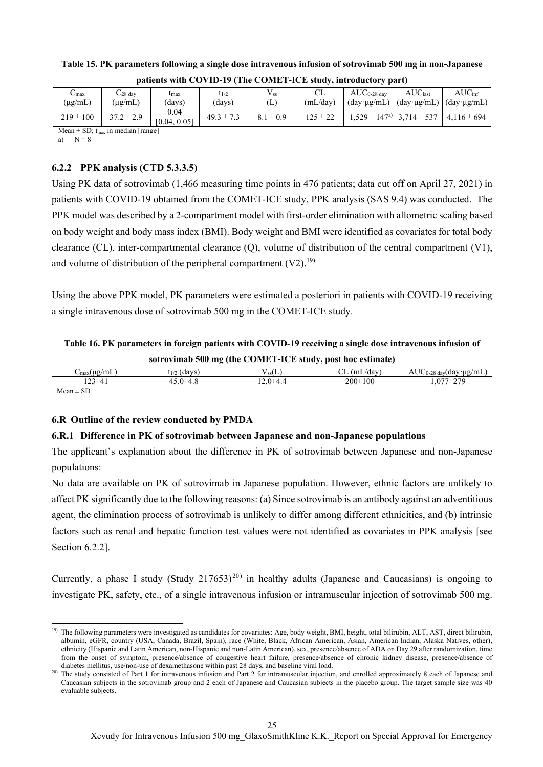| $-$ max                              | $C_{28}$ day       | lmax                 | $t_{1/2}$      | $\rm V_{ss}$  | CL           | $AUC_{0-28 \text{ day}}$             | AUC <sub>last</sub>                                                       | $AUC_{\text{inf}}$ |
|--------------------------------------|--------------------|----------------------|----------------|---------------|--------------|--------------------------------------|---------------------------------------------------------------------------|--------------------|
| $(\mu g/mL)$                         | $(\mu\text{g/mL})$ | davs)                | (davs)         | L)            | (mL/day)     | $(\text{day} \cdot \mu \text{g/mL})$ | $(\text{day} \cdot \mu \text{g/mL})$ $(\text{day} \cdot \mu \text{g/mL})$ |                    |
| $219 \pm 100$                        | $37.2 \pm 2.9$     | 0.04<br>[0.04, 0.05] | $49.3 \pm 7.2$ | $8.1 \pm 0.9$ | $125 \pm 22$ |                                      | $1.529 \pm 147$ <sup>a</sup> 3.714 $\pm$ 537   4.116 $\pm$ 694            |                    |
| $\mathbf{r}$<br>$\sim$ $\sim$ $\sim$ |                    |                      |                |               |              |                                      |                                                                           |                    |

**Table 15. PK parameters following a single dose intravenous infusion of sotrovimab 500 mg in non-Japanese patients with COVID-19 (The COMET-ICE study, introductory part)**

Mean  $\pm$  SD;  $t_{max}$  in median [range]

a)  $N = 8$ 

## **6.2.2 PPK analysis (CTD 5.3.3.5)**

Using PK data of sotrovimab (1,466 measuring time points in 476 patients; data cut off on April 27, 2021) in patients with COVID-19 obtained from the COMET-ICE study, PPK analysis (SAS 9.4) was conducted. The PPK model was described by a 2-compartment model with first-order elimination with allometric scaling based on body weight and body mass index (BMI). Body weight and BMI were identified as covariates for total body clearance (CL), inter-compartmental clearance (Q), volume of distribution of the central compartment (V1), and volume of distribution of the peripheral compartment  $(V2)$ .<sup>19)</sup>

Using the above PPK model, PK parameters were estimated a posteriori in patients with COVID-19 receiving a single intravenous dose of sotrovimab 500 mg in the COMET-ICE study.

# **Table 16. PK parameters in foreign patients with COVID-19 receiving a single dose intravenous infusion of sotrovimab 500 mg (the COMET-ICE study, post hoc estimate)**

|                                                | $\bullet$               |                         | $\cdots$                  |                                                 |
|------------------------------------------------|-------------------------|-------------------------|---------------------------|-------------------------------------------------|
| $^{\prime}$ ' $\lg$ mL ,<br>. ц.<br>$\cup$ max | 1.0037c<br>, ua<br>LI/2 | SSL L                   | $\sim$<br>/dav<br>ı٣<br>. | <b>TIC</b><br>(day·µg/mL]<br>$\cap$<br>. ∠8 dav |
| $\sim$ .                                       | т. с                    | - - - - - - - - - - - - | $200 \pm 100$             | 270<br>$\sqrt{2}$<br>---                        |
| $\mathbf{M}$ $\mathbf{m}$                      |                         |                         |                           |                                                 |

 $Mean \pm SD$ 

# **6.R Outline of the review conducted by PMDA**

## **6.R.1 Difference in PK of sotrovimab between Japanese and non-Japanese populations**

The applicant's explanation about the difference in PK of sotrovimab between Japanese and non-Japanese populations:

No data are available on PK of sotrovimab in Japanese population. However, ethnic factors are unlikely to affect PK significantly due to the following reasons: (a) Since sotrovimab is an antibody against an adventitious agent, the elimination process of sotrovimab is unlikely to differ among different ethnicities, and (b) intrinsic factors such as renal and hepatic function test values were not identified as covariates in PPK analysis [see Section 6.2.2].

Currently, a phase I study (Study 217653)<sup>20)</sup> in healthy adults (Japanese and Caucasians) is ongoing to investigate PK, safety, etc., of a single intravenous infusion or intramuscular injection of sotrovimab 500 mg.

 $\overline{a}$ <sup>19)</sup> The following parameters were investigated as candidates for covariates: Age, body weight, BMI, height, total bilirubin, ALT, AST, direct bilirubin, albumin, eGFR, country (USA, Canada, Brazil, Spain), race (White, Black, African American, Asian, American Indian, Alaska Natives, other), ethnicity (Hispanic and Latin American, non-Hispanic and non-Latin American), sex, presence/absence of ADA on Day 29 after randomization, time from the onset of symptom, presence/absence of congestive heart failure, presence/absence of chronic kidney disease, presence/absence of diabetes mellitus, use/non-use of dexamethasone within past 28 days, and baseline viral load.

<sup>&</sup>lt;sup>20)</sup> The study consisted of Part 1 for intravenous infusion and Part 2 for intramuscular injection, and enrolled approximately 8 each of Japanese and Caucasian subjects in the sotrovimab group and 2 each of Japanese and Caucasian subjects in the placebo group. The target sample size was 40 evaluable subjects.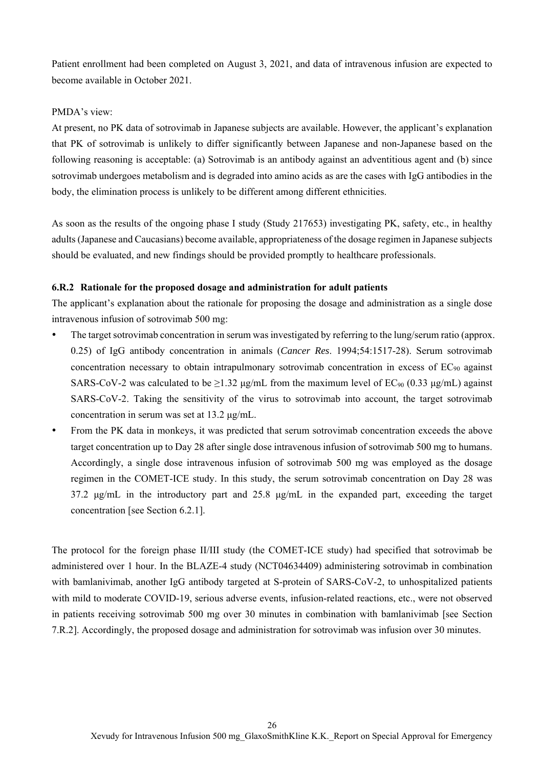Patient enrollment had been completed on August 3, 2021, and data of intravenous infusion are expected to become available in October 2021.

#### PMDA's view:

At present, no PK data of sotrovimab in Japanese subjects are available. However, the applicant's explanation that PK of sotrovimab is unlikely to differ significantly between Japanese and non-Japanese based on the following reasoning is acceptable: (a) Sotrovimab is an antibody against an adventitious agent and (b) since sotrovimab undergoes metabolism and is degraded into amino acids as are the cases with IgG antibodies in the body, the elimination process is unlikely to be different among different ethnicities.

As soon as the results of the ongoing phase I study (Study 217653) investigating PK, safety, etc., in healthy adults (Japanese and Caucasians) become available, appropriateness of the dosage regimen in Japanese subjects should be evaluated, and new findings should be provided promptly to healthcare professionals.

#### **6.R.2 Rationale for the proposed dosage and administration for adult patients**

The applicant's explanation about the rationale for proposing the dosage and administration as a single dose intravenous infusion of sotrovimab 500 mg:

- The target sotrovimab concentration in serum was investigated by referring to the lung/serum ratio (approx. 0.25) of IgG antibody concentration in animals (*Cancer Res*. 1994;54:1517-28). Serum sotrovimab concentration necessary to obtain intrapulmonary sotrovimab concentration in excess of  $EC_{90}$  against SARS-CoV-2 was calculated to be  $\geq$ 1.32 μg/mL from the maximum level of EC<sub>90</sub> (0.33 μg/mL) against SARS-CoV-2. Taking the sensitivity of the virus to sotrovimab into account, the target sotrovimab concentration in serum was set at 13.2 μg/mL.
- From the PK data in monkeys, it was predicted that serum sotrovimab concentration exceeds the above target concentration up to Day 28 after single dose intravenous infusion of sotrovimab 500 mg to humans. Accordingly, a single dose intravenous infusion of sotrovimab 500 mg was employed as the dosage regimen in the COMET-ICE study. In this study, the serum sotrovimab concentration on Day 28 was 37.2 μg/mL in the introductory part and 25.8 μg/mL in the expanded part, exceeding the target concentration [see Section 6.2.1].

The protocol for the foreign phase II/III study (the COMET-ICE study) had specified that sotrovimab be administered over 1 hour. In the BLAZE-4 study (NCT04634409) administering sotrovimab in combination with bamlanivimab, another IgG antibody targeted at S-protein of SARS-CoV-2, to unhospitalized patients with mild to moderate COVID-19, serious adverse events, infusion-related reactions, etc., were not observed in patients receiving sotrovimab 500 mg over 30 minutes in combination with bamlanivimab [see Section 7.R.2]. Accordingly, the proposed dosage and administration for sotrovimab was infusion over 30 minutes.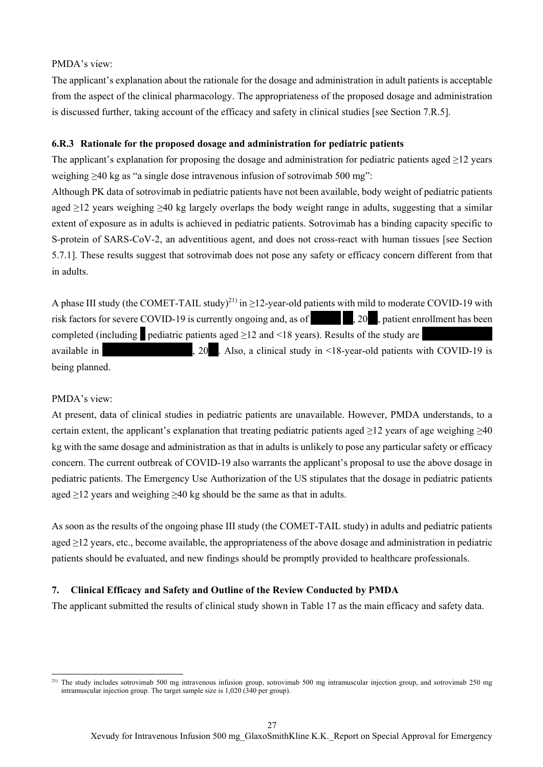### PMDA's view:

The applicant's explanation about the rationale for the dosage and administration in adult patients is acceptable from the aspect of the clinical pharmacology. The appropriateness of the proposed dosage and administration is discussed further, taking account of the efficacy and safety in clinical studies [see Section 7.R.5].

### **6.R.3 Rationale for the proposed dosage and administration for pediatric patients**

The applicant's explanation for proposing the dosage and administration for pediatric patients aged ≥12 years weighing ≥40 kg as "a single dose intravenous infusion of sotrovimab 500 mg":

Although PK data of sotrovimab in pediatric patients have not been available, body weight of pediatric patients aged ≥12 years weighing ≥40 kg largely overlaps the body weight range in adults, suggesting that a similar extent of exposure as in adults is achieved in pediatric patients. Sotrovimab has a binding capacity specific to S-protein of SARS-CoV-2, an adventitious agent, and does not cross-react with human tissues [see Section 5.7.1]. These results suggest that sotrovimab does not pose any safety or efficacy concern different from that in adults.

A phase III study (the COMET-TAIL study)<sup>21)</sup> in  $\geq$ 12-year-old patients with mild to moderate COVID-19 with risk factors for severe COVID-19 is currently ongoing and, as of  $\sim$  . 20<sup>\*\*</sup>, 20\*, patient enrollment has been completed (including \* pediatric patients aged ≥12 and <18 years). Results of the study are \*\*\*\*\*\*\*\*\*\*\*\*\*\* available in  $\sim$   $\frac{1}{20}$ . Also, a clinical study in <18-year-old patients with COVID-19 is being planned.

### PMDA's view:

 $\overline{a}$ 

At present, data of clinical studies in pediatric patients are unavailable. However, PMDA understands, to a certain extent, the applicant's explanation that treating pediatric patients aged  $\geq$ 12 years of age weighing  $\geq$ 40 kg with the same dosage and administration as that in adults is unlikely to pose any particular safety or efficacy concern. The current outbreak of COVID-19 also warrants the applicant's proposal to use the above dosage in pediatric patients. The Emergency Use Authorization of the US stipulates that the dosage in pediatric patients aged  $\geq$ 12 years and weighing  $\geq$ 40 kg should be the same as that in adults.

As soon as the results of the ongoing phase III study (the COMET-TAIL study) in adults and pediatric patients aged ≥12 years, etc., become available, the appropriateness of the above dosage and administration in pediatric patients should be evaluated, and new findings should be promptly provided to healthcare professionals.

### **7. Clinical Efficacy and Safety and Outline of the Review Conducted by PMDA**

The applicant submitted the results of clinical study shown in Table 17 as the main efficacy and safety data.

<sup>&</sup>lt;sup>21)</sup> The study includes sotrovimab 500 mg intravenous infusion group, sotrovimab 500 mg intramuscular injection group, and sotrovimab 250 mg intramuscular injection group. The target sample size is 1,020 (340 per group).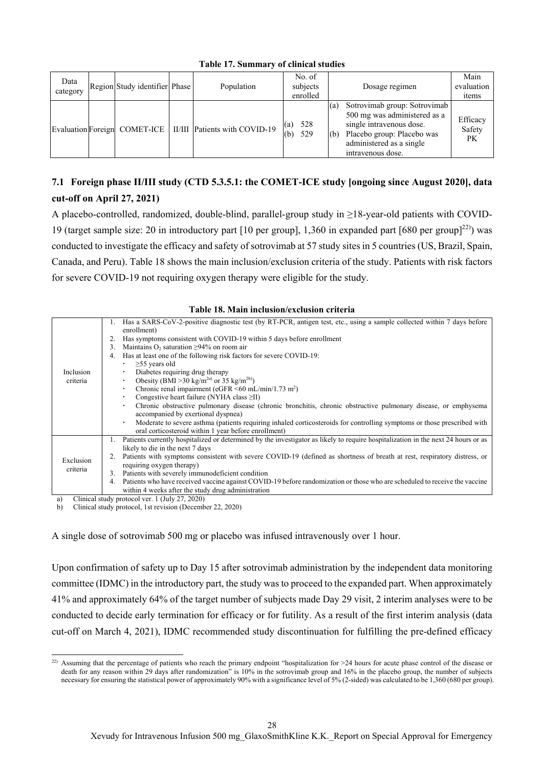| Data<br>category | Region Study identifier Phase | Population                    | No. of<br>subjects<br>enrolled | Main<br>evaluation<br>Dosage regimen<br>items                                                                                                                                                                     |
|------------------|-------------------------------|-------------------------------|--------------------------------|-------------------------------------------------------------------------------------------------------------------------------------------------------------------------------------------------------------------|
|                  | Evaluation Foreign COMET-ICE  | II/III Patients with COVID-19 | 528<br>(a)<br>529<br>(b)       | Sotrovimab group: Sotrovimab<br>(a)<br>500 mg was administered as a<br>Efficacy<br>single intravenous dose.<br>Safety<br>Placebo group: Placebo was<br>(b)<br>PK<br>administered as a single<br>intravenous dose. |

**Table 17. Summary of clinical studies** 

# **7.1 Foreign phase II/III study (CTD 5.3.5.1: the COMET-ICE study [ongoing since August 2020], data cut-off on April 27, 2021)**

A placebo-controlled, randomized, double-blind, parallel-group study in ≥18-year-old patients with COVID-19 (target sample size: 20 in introductory part [10 per group], 1,360 in expanded part [680 per group]<sup>22)</sup>) was conducted to investigate the efficacy and safety of sotrovimab at 57 study sites in 5 countries (US, Brazil, Spain, Canada, and Peru). Table 18 shows the main inclusion/exclusion criteria of the study. Patients with risk factors for severe COVID-19 not requiring oxygen therapy were eligible for the study.

#### **Table 18. Main inclusion/exclusion criteria**

|           | Ι. | Has a SARS-CoV-2-positive diagnostic test (by RT-PCR, antigen test, etc., using a sample collected within 7 days before           |
|-----------|----|-----------------------------------------------------------------------------------------------------------------------------------|
|           |    | enrollment)                                                                                                                       |
|           | 2. | Has symptoms consistent with COVID-19 within 5 days before enrollment                                                             |
|           | 3. | Maintains $O_2$ saturation $\geq$ 94% on room air                                                                                 |
|           | 4. | Has at least one of the following risk factors for severe COVID-19:                                                               |
|           |    | $\geq$ 55 years old                                                                                                               |
| Inclusion |    | Diabetes requiring drug therapy                                                                                                   |
| criteria  |    | Obesity (BMI > 30 kg/m <sup>2a)</sup> or 35 kg/m <sup>2b)</sup> )                                                                 |
|           |    | Chronic renal impairment (eGFR $\leq 60$ mL/min/1.73 m <sup>2</sup> )                                                             |
|           |    | Congestive heart failure (NYHA class $\geq$ II)                                                                                   |
|           |    | Chronic obstructive pulmonary disease (chronic bronchitis, chronic obstructive pulmonary disease, or emphysema                    |
|           |    | accompanied by exertional dyspnea)                                                                                                |
|           |    | Moderate to severe asthma (patients requiring inhaled corticosteroids for controlling symptoms or those prescribed with<br>٠      |
|           |    | oral corticosteroid within 1 year before enrollment)                                                                              |
|           |    | Patients currently hospitalized or determined by the investigator as likely to require hospitalization in the next 24 hours or as |
|           |    | likely to die in the next 7 days                                                                                                  |
| Exclusion |    | Patients with symptoms consistent with severe COVID-19 (defined as shortness of breath at rest, respiratory distress, or          |
| criteria  |    | requiring oxygen therapy)                                                                                                         |
|           | 3. | Patients with severely immunodeficient condition                                                                                  |
|           | 4. | Patients who have received vaccine against COVID-19 before randomization or those who are scheduled to receive the vaccine        |
|           |    | within 4 weeks after the study drug administration                                                                                |
| a)        |    | Clinical study protocol ver. 1 (July 27, 2020)                                                                                    |

b) Clinical study protocol, 1st revision (December 22, 2020)

 $\overline{a}$ 

A single dose of sotrovimab 500 mg or placebo was infused intravenously over 1 hour.

Upon confirmation of safety up to Day 15 after sotrovimab administration by the independent data monitoring committee (IDMC) in the introductory part, the study was to proceed to the expanded part. When approximately 41% and approximately 64% of the target number of subjects made Day 29 visit, 2 interim analyses were to be conducted to decide early termination for efficacy or for futility. As a result of the first interim analysis (data cut-off on March 4, 2021), IDMC recommended study discontinuation for fulfilling the pre-defined efficacy

<sup>22)</sup> Assuming that the percentage of patients who reach the primary endpoint "hospitalization for  $>24$  hours for acute phase control of the disease or death for any reason within 29 days after randomization" is 10% in the sotrovimab group and 16% in the placebo group, the number of subjects necessary for ensuring the statistical power of approximately 90% with a significance level of 5% (2-sided) was calculated to be 1,360 (680 per group).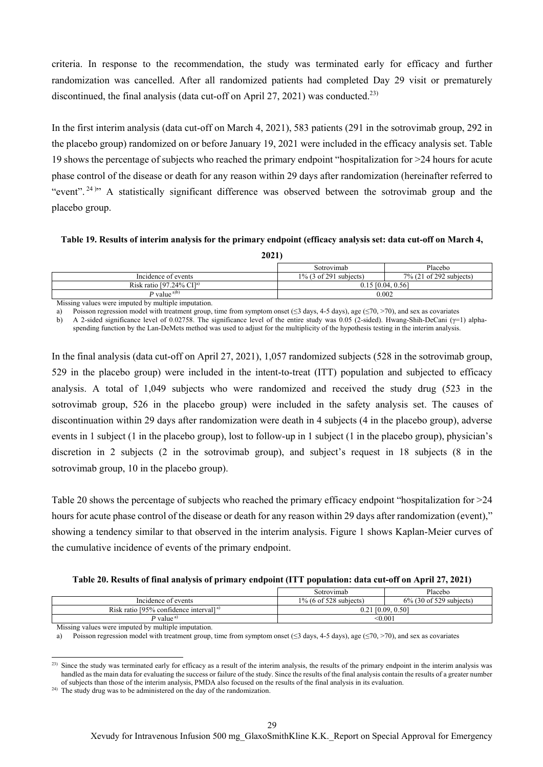criteria. In response to the recommendation, the study was terminated early for efficacy and further randomization was cancelled. After all randomized patients had completed Day 29 visit or prematurely discontinued, the final analysis (data cut-off on April 27, 2021) was conducted.<sup>23)</sup>

In the first interim analysis (data cut-off on March 4, 2021), 583 patients (291 in the sotrovimab group, 292 in the placebo group) randomized on or before January 19, 2021 were included in the efficacy analysis set. Table 19 shows the percentage of subjects who reached the primary endpoint "hospitalization for >24 hours for acute phase control of the disease or death for any reason within 29 days after randomization (hereinafter referred to "event".<sup>24)</sup>" A statistically significant difference was observed between the sotrovimab group and the placebo group.

**Table 19. Results of interim analysis for the primary endpoint (efficacy analysis set: data cut-off on March 4,** 

| ı<br>c. |  |
|---------|--|
|         |  |

|                                              | Sotrovimab                | Placebo                 |
|----------------------------------------------|---------------------------|-------------------------|
| Incidence of events                          | $1\%$ (3 of 291 subjects) | 7% (21 of 292 subjects) |
| Risk ratio $[97.24\% \text{ CI}]^{\text{a}}$ | $0.15$ [0.04, 0.56]       |                         |
| P value $a/b$                                | 0.002                     |                         |
|                                              |                           |                         |

Missing values were imputed by multiple imputation.

a) Poisson regression model with treatment group, time from symptom onset ( $\leq$ 3 days, 4-5 days), age ( $\leq$ 70, >70), and sex as covariates

b) A 2-sided significance level of 0.02758. The significance level of the entire study was 0.05 (2-sided). Hwang-Shih-DeCani (γ=1) alphaspending function by the Lan-DeMets method was used to adjust for the multiplicity of the hypothesis testing in the interim analysis.

In the final analysis (data cut-off on April 27, 2021), 1,057 randomized subjects (528 in the sotrovimab group, 529 in the placebo group) were included in the intent-to-treat (ITT) population and subjected to efficacy analysis. A total of 1,049 subjects who were randomized and received the study drug (523 in the sotrovimab group, 526 in the placebo group) were included in the safety analysis set. The causes of discontinuation within 29 days after randomization were death in 4 subjects (4 in the placebo group), adverse events in 1 subject (1 in the placebo group), lost to follow-up in 1 subject (1 in the placebo group), physician's discretion in 2 subjects (2 in the sotrovimab group), and subject's request in 18 subjects (8 in the sotrovimab group, 10 in the placebo group).

Table 20 shows the percentage of subjects who reached the primary efficacy endpoint "hospitalization for >24 hours for acute phase control of the disease or death for any reason within 29 days after randomization (event)," showing a tendency similar to that observed in the interim analysis. Figure 1 shows Kaplan-Meier curves of the cumulative incidence of events of the primary endpoint.

**Table 20. Results of final analysis of primary endpoint (ITT population: data cut-off on April 27, 2021)** 

|                                            | Sotrovimab                | Placebo                    |
|--------------------------------------------|---------------------------|----------------------------|
| Incidence of events                        | $1\%$ (6 of 528 subjects) | $6\%$ (30 of 529 subjects) |
| Risk ratio [95% confidence interval] $a$ ] | 0.21 [0.09, 0.50]         |                            |
| P value <sup>a)</sup>                      |                           | <0.001                     |

Missing values were imputed by multiple imputation.

Poisson regression model with treatment group, time from symptom onset ( $\leq$ 3 days, 4-5 days), age ( $\leq$ 70, >70), and sex as covariates

 $\overline{a}$  $^{23)}$  Since the study was terminated early for efficacy as a result of the interim analysis, the results of the primary endpoint in the interim analysis was handled as the main data for evaluating the success or failure of the study. Since the results of the final analysis contain the results of a greater number of subjects than those of the interim analysis, PMDA also focused on the results of the final analysis in its evaluation.

<sup>&</sup>lt;sup>24)</sup> The study drug was to be administered on the day of the randomization.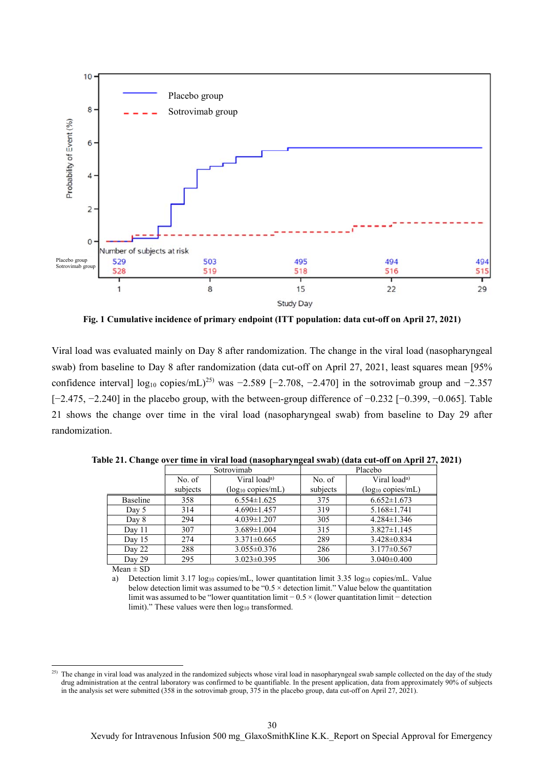

**Fig. 1 Cumulative incidence of primary endpoint (ITT population: data cut-off on April 27, 2021)** 

Viral load was evaluated mainly on Day 8 after randomization. The change in the viral load (nasopharyngeal swab) from baseline to Day 8 after randomization (data cut-off on April 27, 2021, least squares mean [95% confidence interval] log<sub>10</sub> copies/mL)<sup>25)</sup> was −2.589 [−2.708, −2.470] in the sotrovimab group and −2.357 [−2.475, −2.240] in the placebo group, with the between-group difference of −0.232 [−0.399, −0.065]. Table 21 shows the change over time in the viral load (nasopharyngeal swab) from baseline to Day 29 after randomization.

|          | Sotrovimab |                          |          | Placebo                  |
|----------|------------|--------------------------|----------|--------------------------|
|          | No. of     | Viral load <sup>a)</sup> | No. of   | Viral load <sup>a)</sup> |
|          | subjects   | $(log_{10} copies/mL)$   | subjects | $(log_{10} copies/mL)$   |
| Baseline | 358        | $6.554 \pm 1.625$        | 375      | $6.652 \pm 1.673$        |
| Day 5    | 314        | $4.690 \pm 1.457$        | 319      | $5.168 \pm 1.741$        |
| Day 8    | 294        | $4.039 \pm 1.207$        | 305      | $4.284 \pm 1.346$        |
| Day 11   | 307        | $3.689 \pm 1.004$        | 315      | $3.827 \pm 1.145$        |
| Day $15$ | 274        | $3.371 \pm 0.665$        | 289      | $3.428 \pm 0.834$        |
| Day 22   | 288        | $3.055 \pm 0.376$        | 286      | $3.177 \pm 0.567$        |
| Day 29   | 295        | $3.023 \pm 0.395$        | 306      | $3.040\pm0.400$          |

**Table 21. Change over time in viral load (nasopharyngeal swab) (data cut-off on April 27, 2021)**

 $Mean \pm SD$ 

 $\overline{a}$ 

a) Detection limit 3.17 log<sub>10</sub> copies/mL, lower quantitation limit 3.35 log<sub>10</sub> copies/mL. Value below detection limit was assumed to be " $0.5 \times$  detection limit." Value below the quantitation limit was assumed to be "lower quantitation limit − 0.5 × (lower quantitation limit − detection limit)." These values were then log<sub>10</sub> transformed.

<sup>&</sup>lt;sup>25)</sup> The change in viral load was analyzed in the randomized subjects whose viral load in nasopharyngeal swab sample collected on the day of the study drug administration at the central laboratory was confirmed to be quantifiable. In the present application, data from approximately 90% of subjects in the analysis set were submitted (358 in the sotrovimab group, 375 in the placebo group, data cut-off on April 27, 2021).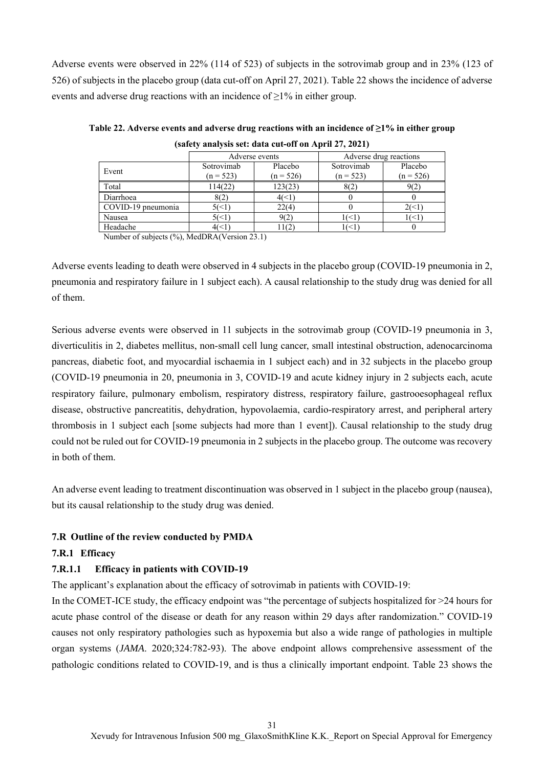Adverse events were observed in 22% (114 of 523) of subjects in the sotrovimab group and in 23% (123 of 526) of subjects in the placebo group (data cut-off on April 27, 2021). Table 22 shows the incidence of adverse events and adverse drug reactions with an incidence of  $>1\%$  in either group.

|                    |                           | Adverse events         | Adverse drug reactions    |                        |
|--------------------|---------------------------|------------------------|---------------------------|------------------------|
| Event              | Sotrovimab<br>$(n = 523)$ | Placebo<br>$(n = 526)$ | Sotrovimab<br>$(n = 523)$ | Placebo<br>$(n = 526)$ |
| Total              | 114(22)                   | 123(23)                | 8(2)                      | 9(2)                   |
| Diarrhoea          | 8(2)                      | 4(<1`                  |                           |                        |
| COVID-19 pneumonia | 5(<1`                     | 22(4)                  |                           | 26<1                   |
| Nausea             | 5(<1                      | 9(2)                   | $\vert$ (<1               | $($ $<$ $\overline{1}$ |
| Headache           | 46<1                      | 11(2                   | 16<1                      |                        |

**Table 22. Adverse events and adverse drug reactions with an incidence of ≥1% in either group (safety analysis set: data cut-off on April 27, 2021)** 

Number of subjects (%), MedDRA(Version 23.1)

Adverse events leading to death were observed in 4 subjects in the placebo group (COVID-19 pneumonia in 2, pneumonia and respiratory failure in 1 subject each). A causal relationship to the study drug was denied for all of them.

Serious adverse events were observed in 11 subjects in the sotrovimab group (COVID-19 pneumonia in 3, diverticulitis in 2, diabetes mellitus, non-small cell lung cancer, small intestinal obstruction, adenocarcinoma pancreas, diabetic foot, and myocardial ischaemia in 1 subject each) and in 32 subjects in the placebo group (COVID-19 pneumonia in 20, pneumonia in 3, COVID-19 and acute kidney injury in 2 subjects each, acute respiratory failure, pulmonary embolism, respiratory distress, respiratory failure, gastrooesophageal reflux disease, obstructive pancreatitis, dehydration, hypovolaemia, cardio-respiratory arrest, and peripheral artery thrombosis in 1 subject each [some subjects had more than 1 event]). Causal relationship to the study drug could not be ruled out for COVID-19 pneumonia in 2 subjects in the placebo group. The outcome was recovery in both of them.

An adverse event leading to treatment discontinuation was observed in 1 subject in the placebo group (nausea), but its causal relationship to the study drug was denied.

### **7.R Outline of the review conducted by PMDA**

### **7.R.1 Efficacy**

## **7.R.1.1 Efficacy in patients with COVID-19**

The applicant's explanation about the efficacy of sotrovimab in patients with COVID-19:

In the COMET-ICE study, the efficacy endpoint was "the percentage of subjects hospitalized for >24 hours for acute phase control of the disease or death for any reason within 29 days after randomization." COVID-19 causes not only respiratory pathologies such as hypoxemia but also a wide range of pathologies in multiple organ systems (*JAMA*. 2020;324:782-93). The above endpoint allows comprehensive assessment of the pathologic conditions related to COVID-19, and is thus a clinically important endpoint. Table 23 shows the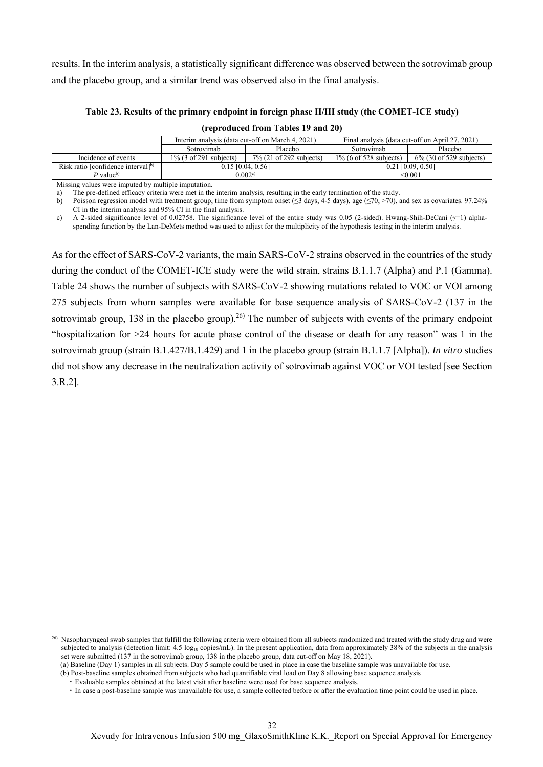results. In the interim analysis, a statistically significant difference was observed between the sotrovimab group and the placebo group, and a similar trend was observed also in the final analysis.

| Table 23. Results of the primary endpoint in foreign phase II/III study (the COMET-ICE study) |  |
|-----------------------------------------------------------------------------------------------|--|
| (reproduced from Tables 19 and 20)                                                            |  |

|                           |                            | Final analysis (data cut-off on April 27, 2021) |                            |
|---------------------------|----------------------------|-------------------------------------------------|----------------------------|
| Sotrovimab                | Placebo                    | Sotrovimab                                      | Placebo                    |
| $1\%$ (3 of 291 subjects) | $7\%$ (21 of 292 subjects) | $1\%$ (6 of 528 subjects)                       | $6\%$ (30 of 529 subjects) |
| $0.15$ [0.04, 0.56]       |                            |                                                 | $0.21$ $[0.09, 0.50]$      |
| 0.002c                    |                            |                                                 | < 0.001                    |
|                           | $\cdots$                   |                                                 |                            |

Missing values were imputed by multiple imputation.

a) The pre-defined efficacy criteria were met in the interim analysis, resulting in the early termination of the study.

b) Poisson regression model with treatment group, time from symptom onset (≤3 days, 4-5 days), age (≤70, >70), and sex as covariates. 97.24% CI in the interim analysis and 95% CI in the final analysis.

c) A 2-sided significance level of 0.02758. The significance level of the entire study was 0.05 (2-sided). Hwang-Shih-DeCani ( $\gamma$ =1) alphaspending function by the Lan-DeMets method was used to adjust for the multiplicity of the hypothesis testing in the interim analysis.

As for the effect of SARS-CoV-2 variants, the main SARS-CoV-2 strains observed in the countries of the study during the conduct of the COMET-ICE study were the wild strain, strains B.1.1.7 (Alpha) and P.1 (Gamma). Table 24 shows the number of subjects with SARS-CoV-2 showing mutations related to VOC or VOI among 275 subjects from whom samples were available for base sequence analysis of SARS-CoV-2 (137 in the sotrovimab group, 138 in the placebo group).<sup>26)</sup> The number of subjects with events of the primary endpoint "hospitalization for >24 hours for acute phase control of the disease or death for any reason" was 1 in the sotrovimab group (strain B.1.427/B.1.429) and 1 in the placebo group (strain B.1.1.7 [Alpha]). *In vitro* studies did not show any decrease in the neutralization activity of sotrovimab against VOC or VOI tested [see Section 3.R.2].

 $\overline{a}$ 

<sup>&</sup>lt;sup>26)</sup> Nasopharyngeal swab samples that fulfill the following criteria were obtained from all subjects randomized and treated with the study drug and were subjected to analysis (detection limit: 4.5 log<sub>10</sub> copies/mL). In the present application, data from approximately 38% of the subjects in the analysis set were submitted (137 in the sotrovimab group, 138 in the placebo group, data cut-off on May 18, 2021).

<sup>(</sup>a) Baseline (Day 1) samples in all subjects. Day 5 sample could be used in place in case the baseline sample was unavailable for use.

<sup>(</sup>b) Post-baseline samples obtained from subjects who had quantifiable viral load on Day 8 allowing base sequence analysis

<sup>・</sup> Evaluable samples obtained at the latest visit after baseline were used for base sequence analysis.

<sup>・</sup> In case a post-baseline sample was unavailable for use, a sample collected before or after the evaluation time point could be used in place.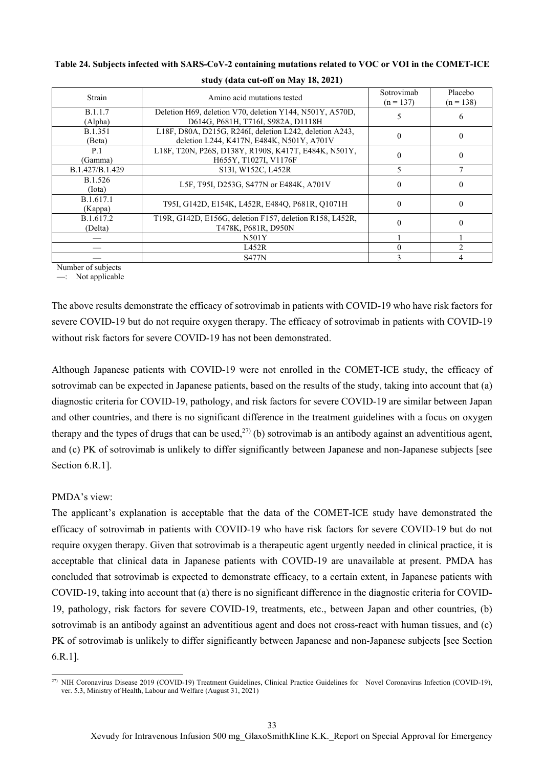| Strain                    | Amino acid mutations tested                                                                          | Sotrovimab<br>$(n = 137)$ | Placebo<br>$(n = 138)$ |
|---------------------------|------------------------------------------------------------------------------------------------------|---------------------------|------------------------|
| <b>B.1.1.7</b><br>(Alpha) | Deletion H69, deletion V70, deletion Y144, N501Y, A570D,<br>D614G, P681H, T716I, S982A, D1118H       |                           | 6                      |
| <b>B.1.351</b><br>(Beta)  | L18F, D80A, D215G, R246I, deletion L242, deletion A243,<br>deletion L244, K417N, E484K, N501Y, A701V |                           | $\Omega$               |
| P.1<br>(Gamma)            | L18F, T20N, P26S, D138Y, R190S, K417T, E484K, N501Y,<br>H655Y, T1027I, V1176F                        |                           | 0                      |
| B.1.427/B.1.429           | S <sub>13</sub> I, W <sub>152</sub> C, L <sub>452</sub> R                                            | 5                         |                        |
| B.1.526<br>(Iota)         | L5F, T95I, D253G, S477N or E484K, A701V                                                              |                           | $\Omega$               |
| B.1.617.1<br>(Kappa)      | T95I, G142D, E154K, L452R, E484Q, P681R, Q1071H                                                      |                           | 0                      |
| B.1.617.2<br>(Delta)      | T19R, G142D, E156G, deletion F157, deletion R158, L452R,<br>T478K, P681R, D950N                      |                           | 0                      |
|                           | N501Y                                                                                                |                           |                        |
|                           | L452R                                                                                                |                           |                        |
|                           | <b>S477N</b>                                                                                         |                           | 4                      |

**Table 24. Subjects infected with SARS-CoV-2 containing mutations related to VOC or VOI in the COMET-ICE** 

**study (data cut-off on May 18, 2021)** 

Number of subjects

 $-$ : Not applicable

The above results demonstrate the efficacy of sotrovimab in patients with COVID-19 who have risk factors for severe COVID-19 but do not require oxygen therapy. The efficacy of sotrovimab in patients with COVID-19 without risk factors for severe COVID-19 has not been demonstrated.

Although Japanese patients with COVID-19 were not enrolled in the COMET-ICE study, the efficacy of sotrovimab can be expected in Japanese patients, based on the results of the study, taking into account that (a) diagnostic criteria for COVID-19, pathology, and risk factors for severe COVID-19 are similar between Japan and other countries, and there is no significant difference in the treatment guidelines with a focus on oxygen therapy and the types of drugs that can be used,<sup>27)</sup> (b) sotrovimab is an antibody against an adventitious agent, and (c) PK of sotrovimab is unlikely to differ significantly between Japanese and non-Japanese subjects [see Section 6.R.1].

### PMDA's view:

The applicant's explanation is acceptable that the data of the COMET-ICE study have demonstrated the efficacy of sotrovimab in patients with COVID-19 who have risk factors for severe COVID-19 but do not require oxygen therapy. Given that sotrovimab is a therapeutic agent urgently needed in clinical practice, it is acceptable that clinical data in Japanese patients with COVID-19 are unavailable at present. PMDA has concluded that sotrovimab is expected to demonstrate efficacy, to a certain extent, in Japanese patients with COVID-19, taking into account that (a) there is no significant difference in the diagnostic criteria for COVID-19, pathology, risk factors for severe COVID-19, treatments, etc., between Japan and other countries, (b) sotrovimab is an antibody against an adventitious agent and does not cross-react with human tissues, and (c) PK of sotrovimab is unlikely to differ significantly between Japanese and non-Japanese subjects [see Section 6.R.1].

 $\overline{a}$ <sup>27)</sup> NIH Coronavirus Disease 2019 (COVID-19) Treatment Guidelines, Clinical Practice Guidelines for Novel Coronavirus Infection (COVID-19), ver. 5.3, Ministry of Health, Labour and Welfare (August 31, 2021)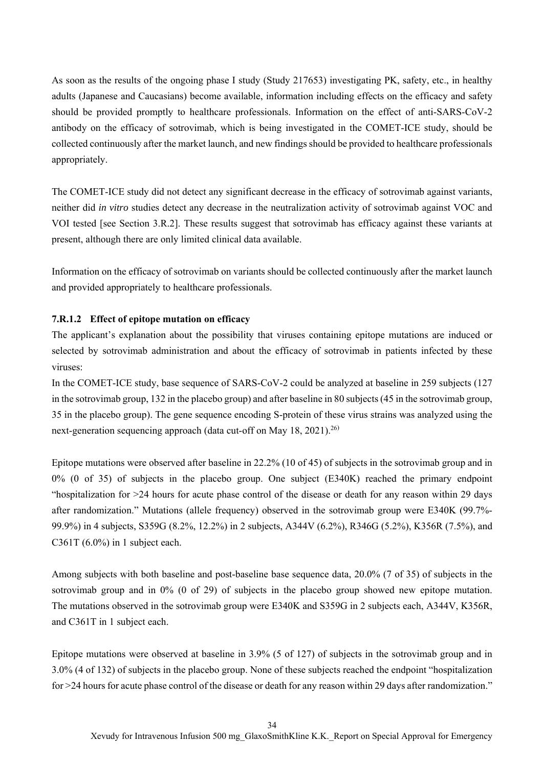As soon as the results of the ongoing phase I study (Study 217653) investigating PK, safety, etc., in healthy adults (Japanese and Caucasians) become available, information including effects on the efficacy and safety should be provided promptly to healthcare professionals. Information on the effect of anti-SARS-CoV-2 antibody on the efficacy of sotrovimab, which is being investigated in the COMET-ICE study, should be collected continuously after the market launch, and new findings should be provided to healthcare professionals appropriately.

The COMET-ICE study did not detect any significant decrease in the efficacy of sotrovimab against variants, neither did *in vitro* studies detect any decrease in the neutralization activity of sotrovimab against VOC and VOI tested [see Section 3.R.2]. These results suggest that sotrovimab has efficacy against these variants at present, although there are only limited clinical data available.

Information on the efficacy of sotrovimab on variants should be collected continuously after the market launch and provided appropriately to healthcare professionals.

#### **7.R.1.2 Effect of epitope mutation on efficacy**

The applicant's explanation about the possibility that viruses containing epitope mutations are induced or selected by sotrovimab administration and about the efficacy of sotrovimab in patients infected by these viruses:

In the COMET-ICE study, base sequence of SARS-CoV-2 could be analyzed at baseline in 259 subjects (127 in the sotrovimab group, 132 in the placebo group) and after baseline in 80 subjects (45 in the sotrovimab group, 35 in the placebo group). The gene sequence encoding S-protein of these virus strains was analyzed using the next-generation sequencing approach (data cut-off on May 18, 2021).<sup>26)</sup>

Epitope mutations were observed after baseline in 22.2% (10 of 45) of subjects in the sotrovimab group and in 0% (0 of 35) of subjects in the placebo group. One subject (E340K) reached the primary endpoint "hospitalization for >24 hours for acute phase control of the disease or death for any reason within 29 days after randomization." Mutations (allele frequency) observed in the sotrovimab group were E340K (99.7%- 99.9%) in 4 subjects, S359G (8.2%, 12.2%) in 2 subjects, A344V (6.2%), R346G (5.2%), K356R (7.5%), and C361T (6.0%) in 1 subject each.

Among subjects with both baseline and post-baseline base sequence data, 20.0% (7 of 35) of subjects in the sotrovimab group and in 0% (0 of 29) of subjects in the placebo group showed new epitope mutation. The mutations observed in the sotrovimab group were E340K and S359G in 2 subjects each, A344V, K356R, and C361T in 1 subject each.

Epitope mutations were observed at baseline in 3.9% (5 of 127) of subjects in the sotrovimab group and in 3.0% (4 of 132) of subjects in the placebo group. None of these subjects reached the endpoint "hospitalization for >24 hours for acute phase control of the disease or death for any reason within 29 days after randomization."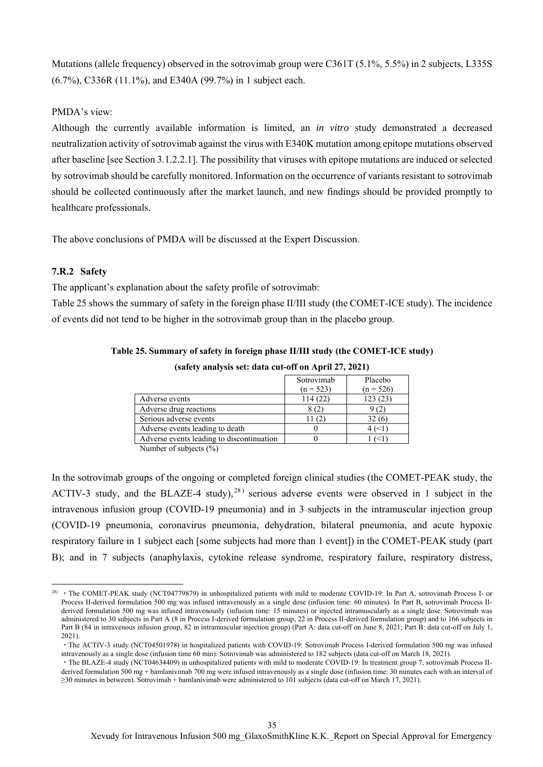Mutations (allele frequency) observed in the sotrovimab group were C361T (5.1%, 5.5%) in 2 subjects, L335S (6.7%), C336R (11.1%), and E340A (99.7%) in 1 subject each.

#### PMDA's view:

Although the currently available information is limited, an *in vitro* study demonstrated a decreased neutralization activity of sotrovimab against the virus with E340K mutation among epitope mutations observed after baseline [see Section 3.1.2.2.1]. The possibility that viruses with epitope mutations are induced or selected by sotrovimab should be carefully monitored. Information on the occurrence of variants resistant to sotrovimab should be collected continuously after the market launch, and new findings should be provided promptly to healthcare professionals.

The above conclusions of PMDA will be discussed at the Expert Discussion.

### **7.R.2 Safety**

 $\overline{a}$ 

The applicant's explanation about the safety profile of sotrovimab:

Table 25 shows the summary of safety in the foreign phase II/III study (the COMET-ICE study). The incidence of events did not tend to be higher in the sotrovimab group than in the placebo group.

|                                           | Sotrovimab       | Placebo     |
|-------------------------------------------|------------------|-------------|
|                                           | $(n = 523)$      | $(n = 526)$ |
| Adverse events                            | 114(22)          | 123(23)     |
| Adverse drug reactions                    |                  | (2)         |
| Serious adverse events                    | $\left(2\right)$ | 32(6)       |
| Adverse events leading to death           |                  |             |
| Adverse events leading to discontinuation |                  |             |
| $-1$ $-1$ $-1$ $-1$ $-1$ $-1$             |                  |             |

**Table 25. Summary of safety in foreign phase II/III study (the COMET-ICE study)** 

**(safety analysis set: data cut-off on April 27, 2021)** 

Number of subjects (%)

In the sotrovimab groups of the ongoing or completed foreign clinical studies (the COMET-PEAK study, the ACTIV-3 study, and the BLAZE-4 study),  $^{28}$  serious adverse events were observed in 1 subject in the intravenous infusion group (COVID-19 pneumonia) and in 3 subjects in the intramuscular injection group (COVID-19 pneumonia, coronavirus pneumonia, dehydration, bilateral pneumonia, and acute hypoxic respiratory failure in 1 subject each [some subjects had more than 1 event]) in the COMET-PEAK study (part B); and in 7 subjects (anaphylaxis, cytokine release syndrome, respiratory failure, respiratory distress,

<sup>&</sup>lt;sup>28)</sup> • The COMET-PEAK study (NCT04779879) in unhospitalized patients with mild to moderate COVID-19: In Part A, sotrovimab Process I- or Process II-derived formulation 500 mg was infused intravenously as a single dose (infusion time: 60 minutes). In Part B, sotrovimab Process IIderived formulation 500 mg was infused intravenously (infusion time: 15 minutes) or injected intramuscularly as a single dose. Sotrovimab was administered to 30 subjects in Part A (8 in Process I-derived formulation group, 22 in Process II-derived formulation group) and to 166 subjects in Part B (84 in intravenous infusion group, 82 in intramuscular injection group) (Part A: data cut-off on June 8, 2021; Part B: data cut-off on July 1, 2021).

<sup>・</sup>The ACTIV-3 study (NCT04501978) in hospitalized patients with COVID-19: Sotrovimab Process I-derived formulation 500 mg was infused intravenously as a single dose (infusion time 60 min). Sotrovimab was administered to 182 subjects (data cut-off on March 18, 2021).

<sup>・</sup>The BLAZE-4 study (NCT04634409) in unhospitalized patients with mild to moderate COVID-19: In treatment group 7, sotrovimab Process IIderived formulation 500 mg + bamlanivimab 700 mg were infused intravenously as a single dose (infusion time: 30 minutes each with an interval of ≥30 minutes in between). Sotrovimab + bamlanivimab were administered to 101 subjects (data cut-off on March 17, 2021).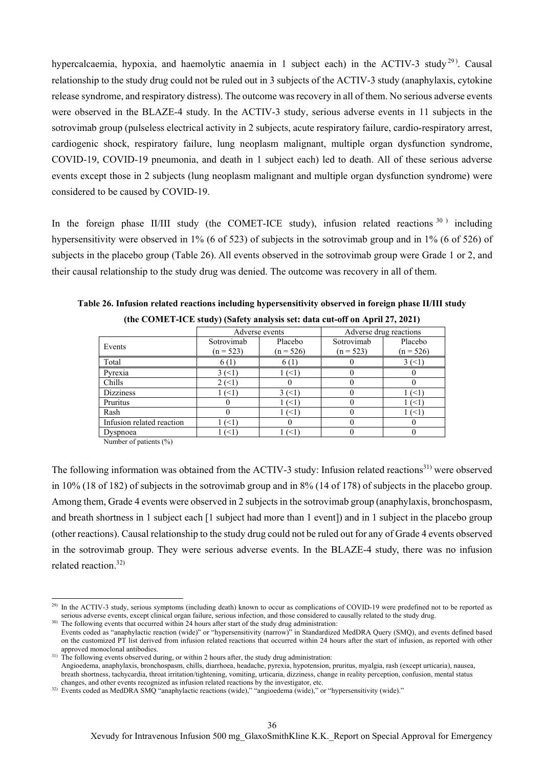hypercalcaemia, hypoxia, and haemolytic anaemia in 1 subject each) in the ACTIV-3 study<sup>29</sup>. Causal relationship to the study drug could not be ruled out in 3 subjects of the ACTIV-3 study (anaphylaxis, cytokine release syndrome, and respiratory distress). The outcome was recovery in all of them. No serious adverse events were observed in the BLAZE-4 study. In the ACTIV-3 study, serious adverse events in 11 subjects in the sotrovimab group (pulseless electrical activity in 2 subjects, acute respiratory failure, cardio-respiratory arrest, cardiogenic shock, respiratory failure, lung neoplasm malignant, multiple organ dysfunction syndrome, COVID-19, COVID-19 pneumonia, and death in 1 subject each) led to death. All of these serious adverse events except those in 2 subjects (lung neoplasm malignant and multiple organ dysfunction syndrome) were considered to be caused by COVID-19.

In the foreign phase II/III study (the COMET-ICE study), infusion related reactions  $30^{\circ}$  including hypersensitivity were observed in 1% (6 of 523) of subjects in the sotrovimab group and in 1% (6 of 526) of subjects in the placebo group (Table 26). All events observed in the sotrovimab group were Grade 1 or 2, and their causal relationship to the study drug was denied. The outcome was recovery in all of them.

|                           | Adverse events |             | Adverse drug reactions |             |
|---------------------------|----------------|-------------|------------------------|-------------|
| Events                    | Sotrovimab     | Placebo     | Sotrovimab             | Placebo     |
|                           | $(n = 523)$    | $(n = 526)$ | $(n = 523)$            | $(n = 526)$ |
| Total                     | 6(1)           | 6 (1)       |                        | $3 \le 1$   |
| Pyrexia                   | 3(1)           | $(\leq 1)$  |                        |             |
| Chills                    | 2(1)           |             |                        |             |
| <b>Dizziness</b>          | ′<1            | 3(1)        |                        | ′<1         |
| Pruritus                  |                | ′<1         |                        | $($ $<$ 1   |
| Rash                      |                | (<1`        |                        | $\leq$ 1    |
| Infusion related reaction | ′<1            |             |                        |             |
| Dyspnoea                  | ′<1            | ั<1`        |                        |             |

**Table 26. Infusion related reactions including hypersensitivity observed in foreign phase II/III study (the COMET-ICE study) (Safety analysis set: data cut-off on April 27, 2021)** 

Number of patients (%)

 $\overline{a}$ 

The following information was obtained from the ACTIV-3 study: Infusion related reactions<sup>31)</sup> were observed in 10% (18 of 182) of subjects in the sotrovimab group and in 8% (14 of 178) of subjects in the placebo group. Among them, Grade 4 events were observed in 2 subjects in the sotrovimab group (anaphylaxis, bronchospasm, and breath shortness in 1 subject each [1 subject had more than 1 event]) and in 1 subject in the placebo group (other reactions). Causal relationship to the study drug could not be ruled out for any of Grade 4 events observed in the sotrovimab group. They were serious adverse events. In the BLAZE-4 study, there was no infusion related reaction.32)

<sup>&</sup>lt;sup>29)</sup> In the ACTIV-3 study, serious symptoms (including death) known to occur as complications of COVID-19 were predefined not to be reported as serious adverse events, except clinical organ failure, serious infection, and those considered to causally related to the study drug.

<sup>&</sup>lt;sup>30)</sup> The following events that occurred within 24 hours after start of the study drug administration: Events coded as "anaphylactic reaction (wide)" or "hypersensitivity (narrow)" in Standardized MedDRA Query (SMQ), and events defined based on the customized PT list derived from infusion related reactions that occurred within 24 hours after the start of infusion, as reported with other approved monoclonal antibodies.

<sup>&</sup>lt;sup>31)</sup> The following events observed during, or within 2 hours after, the study drug administration: Angioedema, anaphylaxis, bronchospasm, chills, diarrhoea, headache, pyrexia, hypotension, pruritus, myalgia, rash (except urticaria), nausea, breath shortness, tachycardia, throat irritation/tightening, vomiting, urticaria, dizziness, change in reality perception, confusion, mental status changes, and other events recognized as infusion related reactions by the investigator, etc.

<sup>32)</sup> Events coded as MedDRA SMQ "anaphylactic reactions (wide)," "angioedema (wide)," or "hypersensitivity (wide)."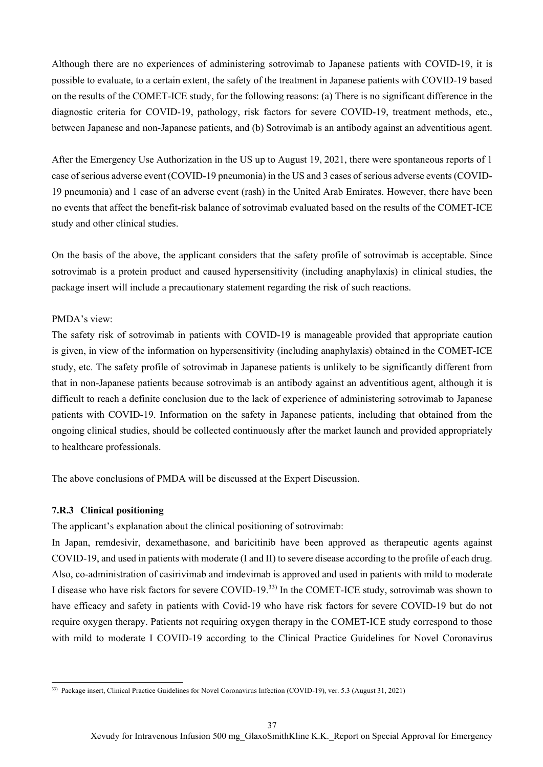Although there are no experiences of administering sotrovimab to Japanese patients with COVID-19, it is possible to evaluate, to a certain extent, the safety of the treatment in Japanese patients with COVID-19 based on the results of the COMET-ICE study, for the following reasons: (a) There is no significant difference in the diagnostic criteria for COVID-19, pathology, risk factors for severe COVID-19, treatment methods, etc., between Japanese and non-Japanese patients, and (b) Sotrovimab is an antibody against an adventitious agent.

After the Emergency Use Authorization in the US up to August 19, 2021, there were spontaneous reports of 1 case of serious adverse event (COVID-19 pneumonia) in the US and 3 cases of serious adverse events (COVID-19 pneumonia) and 1 case of an adverse event (rash) in the United Arab Emirates. However, there have been no events that affect the benefit-risk balance of sotrovimab evaluated based on the results of the COMET-ICE study and other clinical studies.

On the basis of the above, the applicant considers that the safety profile of sotrovimab is acceptable. Since sotrovimab is a protein product and caused hypersensitivity (including anaphylaxis) in clinical studies, the package insert will include a precautionary statement regarding the risk of such reactions.

### PMDA's view:

The safety risk of sotrovimab in patients with COVID-19 is manageable provided that appropriate caution is given, in view of the information on hypersensitivity (including anaphylaxis) obtained in the COMET-ICE study, etc. The safety profile of sotrovimab in Japanese patients is unlikely to be significantly different from that in non-Japanese patients because sotrovimab is an antibody against an adventitious agent, although it is difficult to reach a definite conclusion due to the lack of experience of administering sotrovimab to Japanese patients with COVID-19. Information on the safety in Japanese patients, including that obtained from the ongoing clinical studies, should be collected continuously after the market launch and provided appropriately to healthcare professionals.

The above conclusions of PMDA will be discussed at the Expert Discussion.

## **7.R.3 Clinical positioning**

The applicant's explanation about the clinical positioning of sotrovimab:

In Japan, remdesivir, dexamethasone, and baricitinib have been approved as therapeutic agents against COVID-19, and used in patients with moderate (I and II) to severe disease according to the profile of each drug. Also, co-administration of casirivimab and imdevimab is approved and used in patients with mild to moderate I disease who have risk factors for severe COVID-19.33) In the COMET-ICE study, sotrovimab was shown to have efficacy and safety in patients with Covid-19 who have risk factors for severe COVID-19 but do not require oxygen therapy. Patients not requiring oxygen therapy in the COMET-ICE study correspond to those with mild to moderate I COVID-19 according to the Clinical Practice Guidelines for Novel Coronavirus

 $\overline{a}$ 33) Package insert, Clinical Practice Guidelines for Novel Coronavirus Infection (COVID-19), ver. 5.3 (August 31, 2021)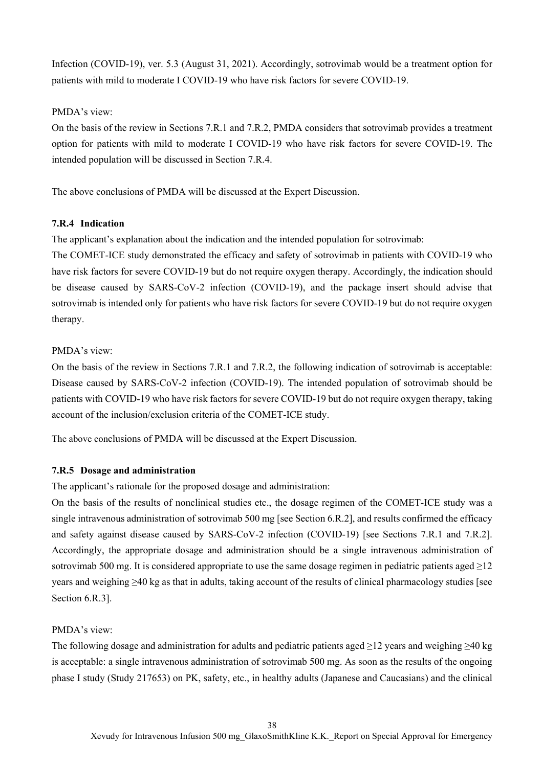Infection (COVID-19), ver. 5.3 (August 31, 2021). Accordingly, sotrovimab would be a treatment option for patients with mild to moderate I COVID-19 who have risk factors for severe COVID-19.

### PMDA's view:

On the basis of the review in Sections 7.R.1 and 7.R.2, PMDA considers that sotrovimab provides a treatment option for patients with mild to moderate I COVID-19 who have risk factors for severe COVID-19. The intended population will be discussed in Section 7.R.4.

The above conclusions of PMDA will be discussed at the Expert Discussion.

## **7.R.4 Indication**

The applicant's explanation about the indication and the intended population for sotrovimab:

The COMET-ICE study demonstrated the efficacy and safety of sotrovimab in patients with COVID-19 who have risk factors for severe COVID-19 but do not require oxygen therapy. Accordingly, the indication should be disease caused by SARS-CoV-2 infection (COVID-19), and the package insert should advise that sotrovimab is intended only for patients who have risk factors for severe COVID-19 but do not require oxygen therapy.

### PMDA's view:

On the basis of the review in Sections 7.R.1 and 7.R.2, the following indication of sotrovimab is acceptable: Disease caused by SARS-CoV-2 infection (COVID-19). The intended population of sotrovimab should be patients with COVID-19 who have risk factors for severe COVID-19 but do not require oxygen therapy, taking account of the inclusion/exclusion criteria of the COMET-ICE study.

The above conclusions of PMDA will be discussed at the Expert Discussion.

## **7.R.5 Dosage and administration**

The applicant's rationale for the proposed dosage and administration:

On the basis of the results of nonclinical studies etc., the dosage regimen of the COMET-ICE study was a single intravenous administration of sotrovimab 500 mg [see Section 6.R.2], and results confirmed the efficacy and safety against disease caused by SARS-CoV-2 infection (COVID-19) [see Sections 7.R.1 and 7.R.2]. Accordingly, the appropriate dosage and administration should be a single intravenous administration of sotrovimab 500 mg. It is considered appropriate to use the same dosage regimen in pediatric patients aged >12 years and weighing ≥40 kg as that in adults, taking account of the results of clinical pharmacology studies [see Section 6.R.3].

## PMDA's view:

The following dosage and administration for adults and pediatric patients aged ≥12 years and weighing ≥40 kg is acceptable: a single intravenous administration of sotrovimab 500 mg. As soon as the results of the ongoing phase I study (Study 217653) on PK, safety, etc., in healthy adults (Japanese and Caucasians) and the clinical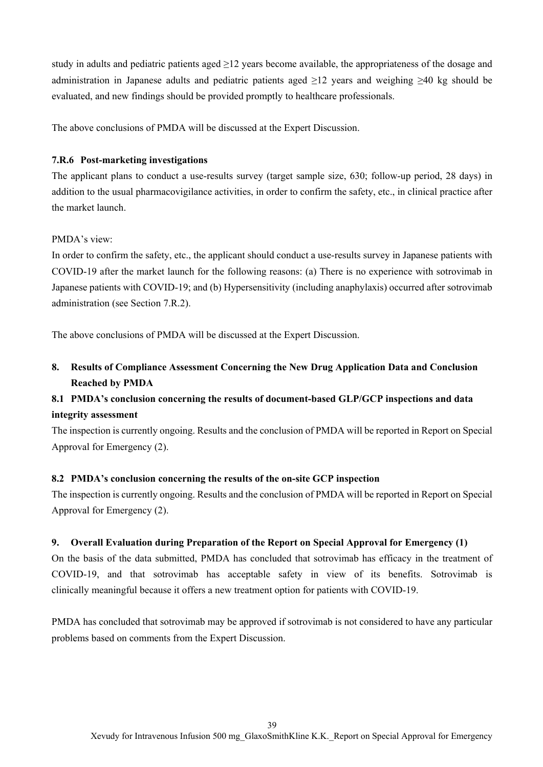study in adults and pediatric patients aged ≥12 years become available, the appropriateness of the dosage and administration in Japanese adults and pediatric patients aged ≥12 years and weighing ≥40 kg should be evaluated, and new findings should be provided promptly to healthcare professionals.

The above conclusions of PMDA will be discussed at the Expert Discussion.

### **7.R.6 Post-marketing investigations**

The applicant plans to conduct a use-results survey (target sample size, 630; follow-up period, 28 days) in addition to the usual pharmacovigilance activities, in order to confirm the safety, etc., in clinical practice after the market launch.

### PMDA's view:

In order to confirm the safety, etc., the applicant should conduct a use-results survey in Japanese patients with COVID-19 after the market launch for the following reasons: (a) There is no experience with sotrovimab in Japanese patients with COVID-19; and (b) Hypersensitivity (including anaphylaxis) occurred after sotrovimab administration (see Section 7.R.2).

The above conclusions of PMDA will be discussed at the Expert Discussion.

**8. Results of Compliance Assessment Concerning the New Drug Application Data and Conclusion Reached by PMDA** 

# **8.1 PMDA's conclusion concerning the results of document-based GLP/GCP inspections and data integrity assessment**

The inspection is currently ongoing. Results and the conclusion of PMDA will be reported in Report on Special Approval for Emergency (2).

### **8.2 PMDA's conclusion concerning the results of the on-site GCP inspection**

The inspection is currently ongoing. Results and the conclusion of PMDA will be reported in Report on Special Approval for Emergency (2).

## **9. Overall Evaluation during Preparation of the Report on Special Approval for Emergency (1)**

On the basis of the data submitted, PMDA has concluded that sotrovimab has efficacy in the treatment of COVID-19, and that sotrovimab has acceptable safety in view of its benefits. Sotrovimab is clinically meaningful because it offers a new treatment option for patients with COVID-19.

PMDA has concluded that sotrovimab may be approved if sotrovimab is not considered to have any particular problems based on comments from the Expert Discussion.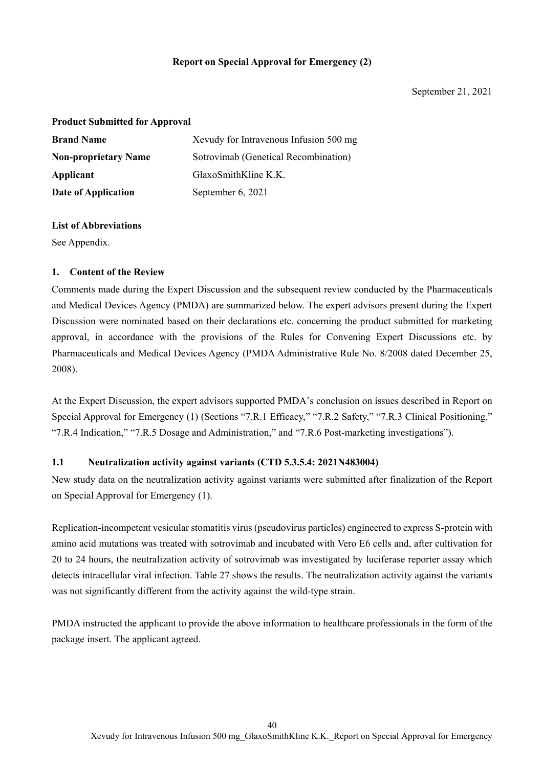### **Report on Special Approval for Emergency (2)**

#### **Product Submitted for Approval**

| <b>Brand Name</b>           | Xevudy for Intravenous Infusion 500 mg |
|-----------------------------|----------------------------------------|
| <b>Non-proprietary Name</b> | Sotrovimab (Genetical Recombination)   |
| Applicant                   | GlaxoSmithKline K.K.                   |
| Date of Application         | September 6, 2021                      |

### **List of Abbreviations**

See Appendix.

### **1. Content of the Review**

Comments made during the Expert Discussion and the subsequent review conducted by the Pharmaceuticals and Medical Devices Agency (PMDA) are summarized below. The expert advisors present during the Expert Discussion were nominated based on their declarations etc. concerning the product submitted for marketing approval, in accordance with the provisions of the Rules for Convening Expert Discussions etc. by Pharmaceuticals and Medical Devices Agency (PMDA Administrative Rule No. 8/2008 dated December 25, 2008).

At the Expert Discussion, the expert advisors supported PMDA's conclusion on issues described in Report on Special Approval for Emergency (1) (Sections "7.R.1 Efficacy," "7.R.2 Safety," "7.R.3 Clinical Positioning," "7.R.4 Indication," "7.R.5 Dosage and Administration," and "7.R.6 Post-marketing investigations").

### **1.1 Neutralization activity against variants (CTD 5.3.5.4: 2021N483004)**

New study data on the neutralization activity against variants were submitted after finalization of the Report on Special Approval for Emergency (1).

Replication-incompetent vesicular stomatitis virus (pseudovirus particles) engineered to express S-protein with amino acid mutations was treated with sotrovimab and incubated with Vero E6 cells and, after cultivation for 20 to 24 hours, the neutralization activity of sotrovimab was investigated by luciferase reporter assay which detects intracellular viral infection. Table 27 shows the results. The neutralization activity against the variants was not significantly different from the activity against the wild-type strain.

PMDA instructed the applicant to provide the above information to healthcare professionals in the form of the package insert. The applicant agreed.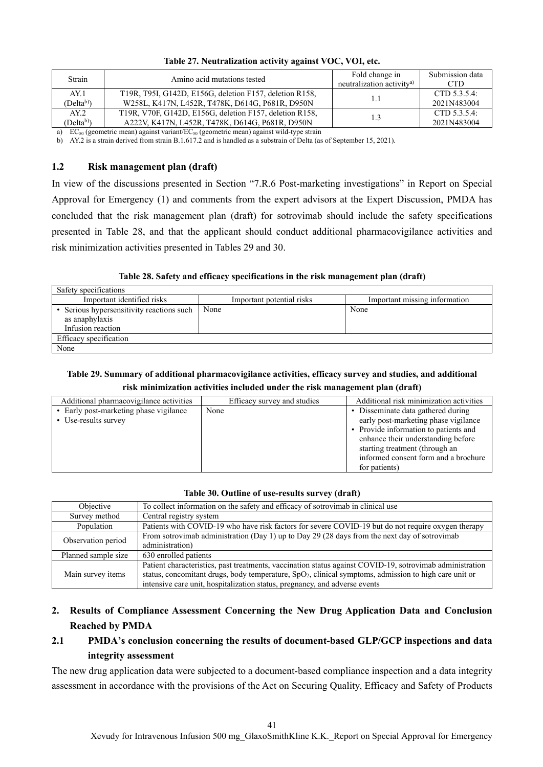| Strain                 | Amino acid mutations tested                             | Fold change in<br>neutralization activity <sup>a)</sup> | Submission data<br>CTD. |
|------------------------|---------------------------------------------------------|---------------------------------------------------------|-------------------------|
| AY.1                   | T19R, T95I, G142D, E156G, deletion F157, deletion R158, |                                                         | CTD 5.3.5.4:            |
| (Delta <sup>b)</sup> ) | W258L, K417N, L452R, T478K, D614G, P681R, D950N         |                                                         | 2021N483004             |
| AY.2                   | T19R, V70F, G142D, E156G, deletion F157, deletion R158, |                                                         | CTD 5.3.5.4:            |
| (Delta <sup>b)</sup> ) | A222V, K417N, L452R, T478K, D614G, P681R, D950N         |                                                         | 2021N483004             |

| Table 27. Neutralization activity against VOC, VOI, etc. |  |  |
|----------------------------------------------------------|--|--|
|                                                          |  |  |

a) EC<sub>50</sub> (geometric mean) against variant/EC<sub>50</sub> (geometric mean) against wild-type strain

b) AY.2 is a strain derived from strain B.1.617.2 and is handled as a substrain of Delta (as of September 15, 2021).

### **1.2 Risk management plan (draft)**

In view of the discussions presented in Section "7.R.6 Post-marketing investigations" in Report on Special Approval for Emergency (1) and comments from the expert advisors at the Expert Discussion, PMDA has concluded that the risk management plan (draft) for sotrovimab should include the safety specifications presented in Table 28, and that the applicant should conduct additional pharmacovigilance activities and risk minimization activities presented in Tables 29 and 30.

**Table 28. Safety and efficacy specifications in the risk management plan (draft)** 

| Safety specifications                                                          |                           |                               |  |
|--------------------------------------------------------------------------------|---------------------------|-------------------------------|--|
| Important identified risks                                                     | Important potential risks | Important missing information |  |
| Serious hypersensitivity reactions such<br>as anaphylaxis<br>Infusion reaction | None                      | None                          |  |
| Efficacy specification                                                         |                           |                               |  |
| None                                                                           |                           |                               |  |

## **Table 29. Summary of additional pharmacovigilance activities, efficacy survey and studies, and additional risk minimization activities included under the risk management plan (draft)**

| Additional pharmacovigilance activities                        | Efficacy survey and studies | Additional risk minimization activities                                                                                                                                                                                                              |
|----------------------------------------------------------------|-----------------------------|------------------------------------------------------------------------------------------------------------------------------------------------------------------------------------------------------------------------------------------------------|
| • Early post-marketing phase vigilance<br>• Use-results survey | None                        | • Disseminate data gathered during<br>early post-marketing phase vigilance<br>• Provide information to patients and<br>enhance their understanding before<br>starting treatment (through an<br>informed consent form and a brochure<br>for patients) |

### **Table 30. Outline of use-results survey (draft)**

| Objective           | To collect information on the safety and efficacy of sotrovimab in clinical use                                 |
|---------------------|-----------------------------------------------------------------------------------------------------------------|
| Survey method       | Central registry system                                                                                         |
| Population          | Patients with COVID-19 who have risk factors for severe COVID-19 but do not require oxygen therapy              |
| Observation period  | From sotrovimab administration (Day 1) up to Day 29 (28 days from the next day of sotrovimab<br>administration) |
|                     |                                                                                                                 |
| Planned sample size | 630 enrolled patients                                                                                           |
|                     | Patient characteristics, past treatments, vaccination status against COVID-19, sotrovimab administration        |
| Main survey items   | status, concomitant drugs, body temperature, $SpO2$ , clinical symptoms, admission to high care unit or         |
|                     | intensive care unit, hospitalization status, pregnancy, and adverse events                                      |

# **2. Results of Compliance Assessment Concerning the New Drug Application Data and Conclusion Reached by PMDA**

# **2.1 PMDA's conclusion concerning the results of document-based GLP/GCP inspections and data integrity assessment**

The new drug application data were subjected to a document-based compliance inspection and a data integrity assessment in accordance with the provisions of the Act on Securing Quality, Efficacy and Safety of Products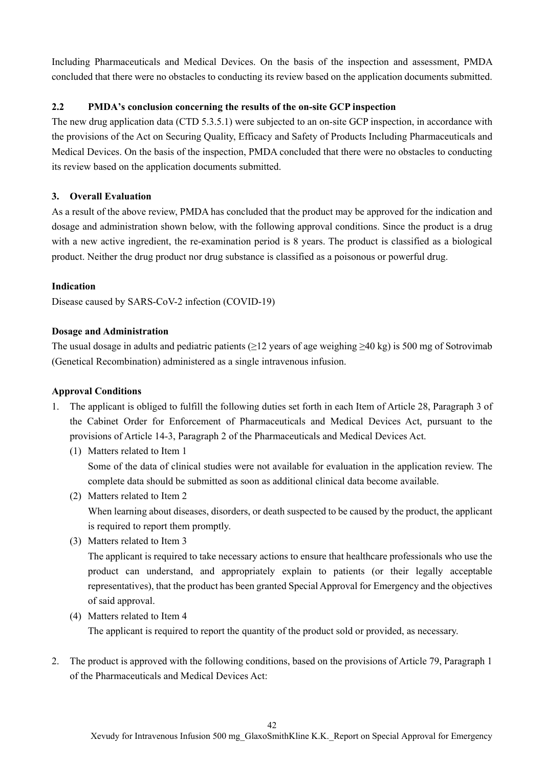Including Pharmaceuticals and Medical Devices. On the basis of the inspection and assessment, PMDA concluded that there were no obstacles to conducting its review based on the application documents submitted.

## **2.2 PMDA's conclusion concerning the results of the on-site GCP inspection**

The new drug application data (CTD 5.3.5.1) were subjected to an on-site GCP inspection, in accordance with the provisions of the Act on Securing Quality, Efficacy and Safety of Products Including Pharmaceuticals and Medical Devices. On the basis of the inspection, PMDA concluded that there were no obstacles to conducting its review based on the application documents submitted.

## **3. Overall Evaluation**

As a result of the above review, PMDA has concluded that the product may be approved for the indication and dosage and administration shown below, with the following approval conditions. Since the product is a drug with a new active ingredient, the re-examination period is 8 years. The product is classified as a biological product. Neither the drug product nor drug substance is classified as a poisonous or powerful drug.

## **Indication**

Disease caused by SARS-CoV-2 infection (COVID-19)

## **Dosage and Administration**

The usual dosage in adults and pediatric patients (≥12 years of age weighing ≥40 kg) is 500 mg of Sotrovimab (Genetical Recombination) administered as a single intravenous infusion.

## **Approval Conditions**

- 1. The applicant is obliged to fulfill the following duties set forth in each Item of Article 28, Paragraph 3 of the Cabinet Order for Enforcement of Pharmaceuticals and Medical Devices Act, pursuant to the provisions of Article 14-3, Paragraph 2 of the Pharmaceuticals and Medical Devices Act.
	- (1) Matters related to Item 1 Some of the data of clinical studies were not available for evaluation in the application review. The complete data should be submitted as soon as additional clinical data become available.
	- (2) Matters related to Item 2 When learning about diseases, disorders, or death suspected to be caused by the product, the applicant is required to report them promptly.
	- (3) Matters related to Item 3

The applicant is required to take necessary actions to ensure that healthcare professionals who use the product can understand, and appropriately explain to patients (or their legally acceptable representatives), that the product has been granted Special Approval for Emergency and the objectives of said approval.

(4) Matters related to Item 4

The applicant is required to report the quantity of the product sold or provided, as necessary.

2. The product is approved with the following conditions, based on the provisions of Article 79, Paragraph 1 of the Pharmaceuticals and Medical Devices Act: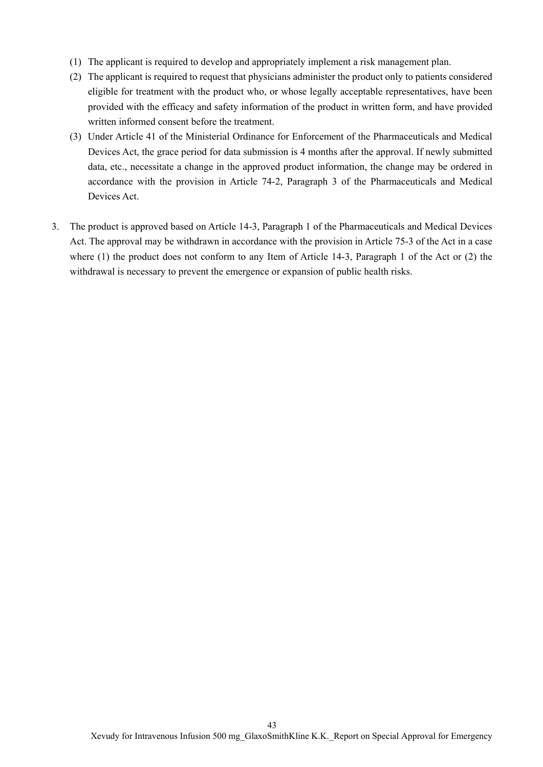- (1) The applicant is required to develop and appropriately implement a risk management plan.
- (2) The applicant is required to request that physicians administer the product only to patients considered eligible for treatment with the product who, or whose legally acceptable representatives, have been provided with the efficacy and safety information of the product in written form, and have provided written informed consent before the treatment.
- (3) Under Article 41 of the Ministerial Ordinance for Enforcement of the Pharmaceuticals and Medical Devices Act, the grace period for data submission is 4 months after the approval. If newly submitted data, etc., necessitate a change in the approved product information, the change may be ordered in accordance with the provision in Article 74-2, Paragraph 3 of the Pharmaceuticals and Medical Devices Act.
- 3. The product is approved based on Article 14-3, Paragraph 1 of the Pharmaceuticals and Medical Devices Act. The approval may be withdrawn in accordance with the provision in Article 75-3 of the Act in a case where (1) the product does not conform to any Item of Article 14-3, Paragraph 1 of the Act or (2) the withdrawal is necessary to prevent the emergence or expansion of public health risks.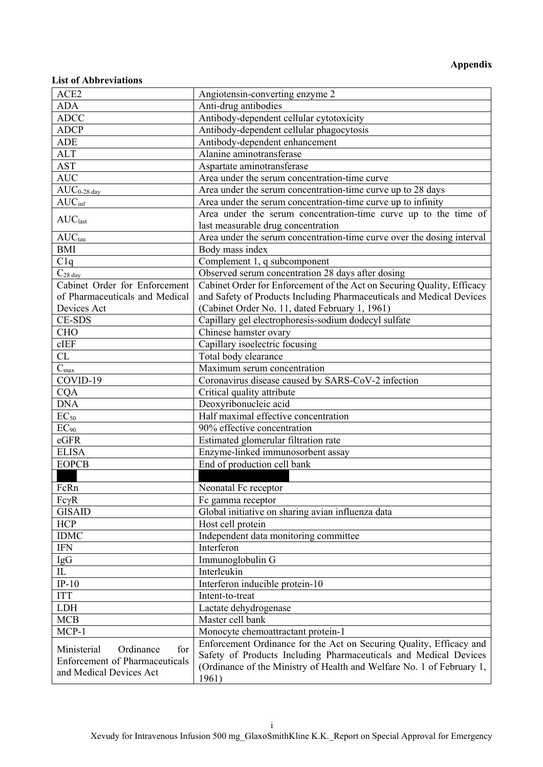# **Appendix**

### **List of Abbreviations**

| ACE2                                  | Angiotensin-converting enzyme 2                                        |
|---------------------------------------|------------------------------------------------------------------------|
| <b>ADA</b>                            | Anti-drug antibodies                                                   |
| <b>ADCC</b>                           | Antibody-dependent cellular cytotoxicity                               |
| <b>ADCP</b>                           | Antibody-dependent cellular phagocytosis                               |
| <b>ADE</b>                            | Antibody-dependent enhancement                                         |
| <b>ALT</b>                            | Alanine aminotransferase                                               |
| <b>AST</b>                            | Aspartate aminotransferase                                             |
| <b>AUC</b>                            | Area under the serum concentration-time curve                          |
| $AUC_{0-28 \frac{day}{x}}$            | Area under the serum concentration-time curve up to 28 days            |
| AUC <sub>inf</sub>                    | Area under the serum concentration-time curve up to infinity           |
|                                       | Area under the serum concentration-time curve up to the time of        |
| AUC <sub>last</sub>                   | last measurable drug concentration                                     |
| $AUC_{tau}$                           | Area under the serum concentration-time curve over the dosing interval |
| <b>BMI</b>                            | Body mass index                                                        |
| C1q                                   | Complement 1, q subcomponent                                           |
| $C_{28 \text{ day}}$                  | Observed serum concentration 28 days after dosing                      |
| Cabinet Order for Enforcement         | Cabinet Order for Enforcement of the Act on Securing Quality, Efficacy |
| of Pharmaceuticals and Medical        | and Safety of Products Including Pharmaceuticals and Medical Devices   |
| Devices Act                           | (Cabinet Order No. 11, dated February 1, 1961)                         |
| <b>CE-SDS</b>                         | Capillary gel electrophoresis-sodium dodecyl sulfate                   |
| <b>CHO</b>                            | Chinese hamster ovary                                                  |
| cIEF                                  | Capillary isoelectric focusing                                         |
| CL                                    | Total body clearance                                                   |
| $C_{max}$                             | Maximum serum concentration                                            |
| COVID-19                              | Coronavirus disease caused by SARS-CoV-2 infection                     |
| <b>CQA</b>                            | Critical quality attribute                                             |
| <b>DNA</b>                            | Deoxyribonucleic acid                                                  |
| $EC_{50}$                             | Half maximal effective concentration                                   |
| $EC_{90}$                             | $\overline{90\%}$ effective concentration                              |
| eGFR                                  | Estimated glomerular filtration rate                                   |
| <b>ELISA</b>                          | Enzyme-linked immunosorbent assay                                      |
| <b>EOPCB</b>                          | End of production cell bank                                            |
|                                       |                                                                        |
| FcRn                                  | Neonatal Fc receptor                                                   |
|                                       |                                                                        |
| $Fc\gamma R$<br><b>GISAID</b>         | Fc gamma receptor                                                      |
| <b>HCP</b>                            | Global initiative on sharing avian influenza data<br>Host cell protein |
| <b>IDMC</b>                           | Independent data monitoring committee                                  |
| <b>IFN</b>                            | Interferon                                                             |
|                                       |                                                                        |
| IgG<br>$\rm IL$                       | Immunoglobulin G                                                       |
|                                       | Interleukin                                                            |
| $IP-10$                               | Interferon inducible protein-10                                        |
| <b>ITT</b>                            | Intent-to-treat                                                        |
| <b>LDH</b>                            | Lactate dehydrogenase                                                  |
| <b>MCB</b>                            | Master cell bank                                                       |
| $MCP-1$                               | Monocyte chemoattractant protein-1                                     |
| Ministerial<br>Ordinance<br>for       | Enforcement Ordinance for the Act on Securing Quality, Efficacy and    |
| <b>Enforcement of Pharmaceuticals</b> | Safety of Products Including Pharmaceuticals and Medical Devices       |
| and Medical Devices Act               | (Ordinance of the Ministry of Health and Welfare No. 1 of February 1,  |
|                                       | 1961)                                                                  |